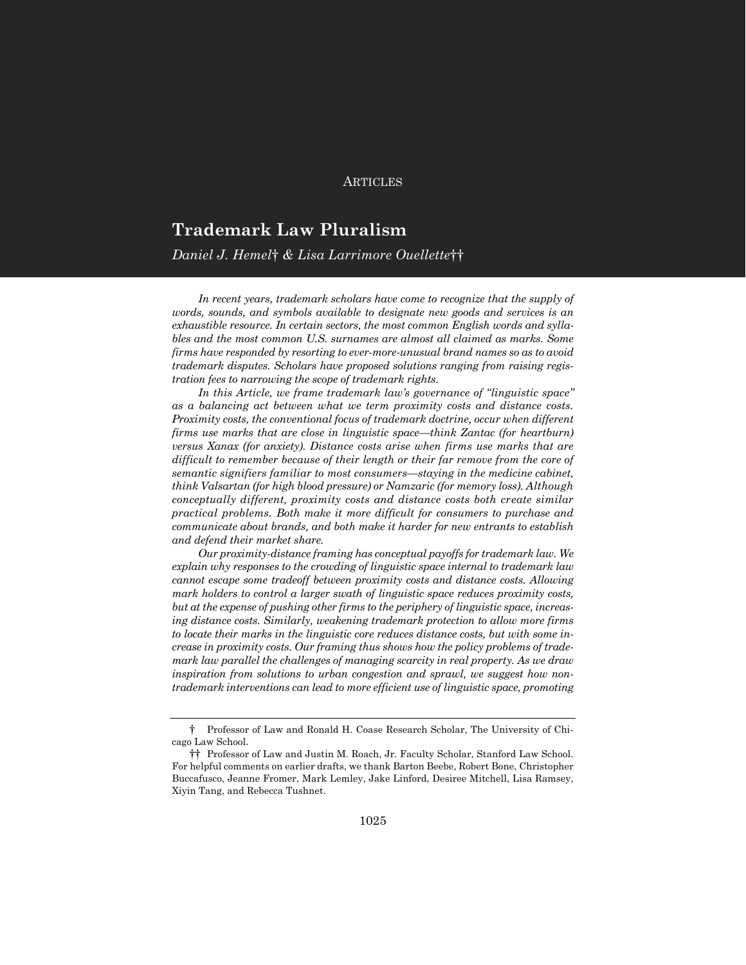#### **ARTICLES**

# **Trademark Law Pluralism**

### *Daniel J. Hemel*† *& Lisa Larrimore Ouellette*††

In recent years, trademark scholars have come to recognize that the supply of *words, sounds, and symbols available to designate new goods and services is an exhaustible resource. In certain sectors, the most common English words and syllables and the most common U.S. surnames are almost all claimed as marks. Some firms have responded by resorting to ever-more-unusual brand names so as to avoid trademark disputes. Scholars have proposed solutions ranging from raising registration fees to narrowing the scope of trademark rights.*

*In this Article, we frame trademark law's governance of "linguistic space" as a balancing act between what we term proximity costs and distance costs. Proximity costs, the conventional focus of trademark doctrine, occur when different firms use marks that are close in linguistic space—think Zantac (for heartburn) versus Xanax (for anxiety). Distance costs arise when firms use marks that are difficult to remember because of their length or their far remove from the core of semantic signifiers familiar to most consumers—staying in the medicine cabinet, think Valsartan (for high blood pressure) or Namzaric (for memory loss). Although conceptually different, proximity costs and distance costs both create similar practical problems. Both make it more difficult for consumers to purchase and communicate about brands, and both make it harder for new entrants to establish and defend their market share.*

*Our proximity-distance framing has conceptual payoffs for trademark law. We explain why responses to the crowding of linguistic space internal to trademark law cannot escape some tradeoff between proximity costs and distance costs. Allowing mark holders to control a larger swath of linguistic space reduces proximity costs, but at the expense of pushing other firms to the periphery of linguistic space, increasing distance costs. Similarly, weakening trademark protection to allow more firms to locate their marks in the linguistic core reduces distance costs, but with some increase in proximity costs. Our framing thus shows how the policy problems of trademark law parallel the challenges of managing scarcity in real property. As we draw inspiration from solutions to urban congestion and sprawl, we suggest how nontrademark interventions can lead to more efficient use of linguistic space, promoting* 

<sup>†</sup> Professor of Law and Ronald H. Coase Research Scholar, The University of Chicago Law School.

<sup>††</sup> Professor of Law and Justin M. Roach, Jr. Faculty Scholar, Stanford Law School. For helpful comments on earlier drafts, we thank Barton Beebe, Robert Bone, Christopher Buccafusco, Jeanne Fromer, Mark Lemley, Jake Linford, Desiree Mitchell, Lisa Ramsey, Xiyin Tang, and Rebecca Tushnet.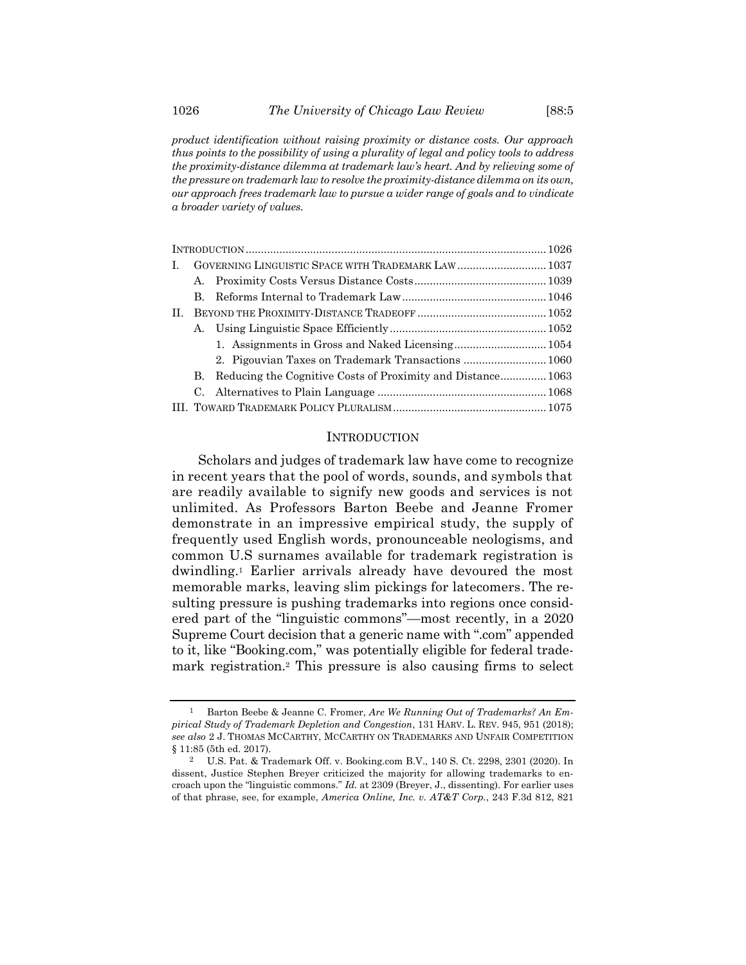*product identification without raising proximity or distance costs. Our approach thus points to the possibility of using a plurality of legal and policy tools to address the proximity-distance dilemma at trademark law's heart. And by relieving some of the pressure on trademark law to resolve the proximity-distance dilemma on its own, our approach frees trademark law to pursue a wider range of goals and to vindicate* 

| L. |    |                                                             |  |
|----|----|-------------------------------------------------------------|--|
|    | А. |                                                             |  |
|    | B. |                                                             |  |
| H. |    |                                                             |  |
|    | А. |                                                             |  |
|    |    |                                                             |  |
|    |    | 2. Pigouvian Taxes on Trademark Transactions  1060          |  |
|    | В. | Reducing the Cognitive Costs of Proximity and Distance 1063 |  |
|    | C. |                                                             |  |
|    |    |                                                             |  |

#### **INTRODUCTION**

<span id="page-1-0"></span>Scholars and judges of trademark law have come to recognize in recent years that the pool of words, sounds, and symbols that are readily available to signify new goods and services is not unlimited. As Professors Barton Beebe and Jeanne Fromer demonstrate in an impressive empirical study, the supply of frequently used English words, pronounceable neologisms, and common U.S surnames available for trademark registration is dwindling.<sup>1</sup> Earlier arrivals already have devoured the most memorable marks, leaving slim pickings for latecomers. The resulting pressure is pushing trademarks into regions once considered part of the "linguistic commons"—most recently, in a 2020 Supreme Court decision that a generic name with ".com" appended to it, like "Booking.com," was potentially eligible for federal trademark registration.<sup>2</sup> This pressure is also causing firms to select

*a broader variety of values.*

<span id="page-1-1"></span><sup>1</sup> Barton Beebe & Jeanne C. Fromer, *Are We Running Out of Trademarks? An Empirical Study of Trademark Depletion and Congestion*, 131 HARV. L. REV. 945, 951 (2018); *see also* 2 J. THOMAS MCCARTHY, MCCARTHY ON TRADEMARKS AND UNFAIR COMPETITION § 11:85 (5th ed. 2017).

<sup>2</sup> U.S. Pat. & Trademark Off. v. Booking.com B.V., 140 S. Ct. 2298, 2301 (2020). In dissent, Justice Stephen Breyer criticized the majority for allowing trademarks to encroach upon the "linguistic commons." *Id.* at 2309 (Breyer, J., dissenting). For earlier uses of that phrase, see, for example, *America Online, Inc. v. AT&T Corp.*, 243 F.3d 812, 821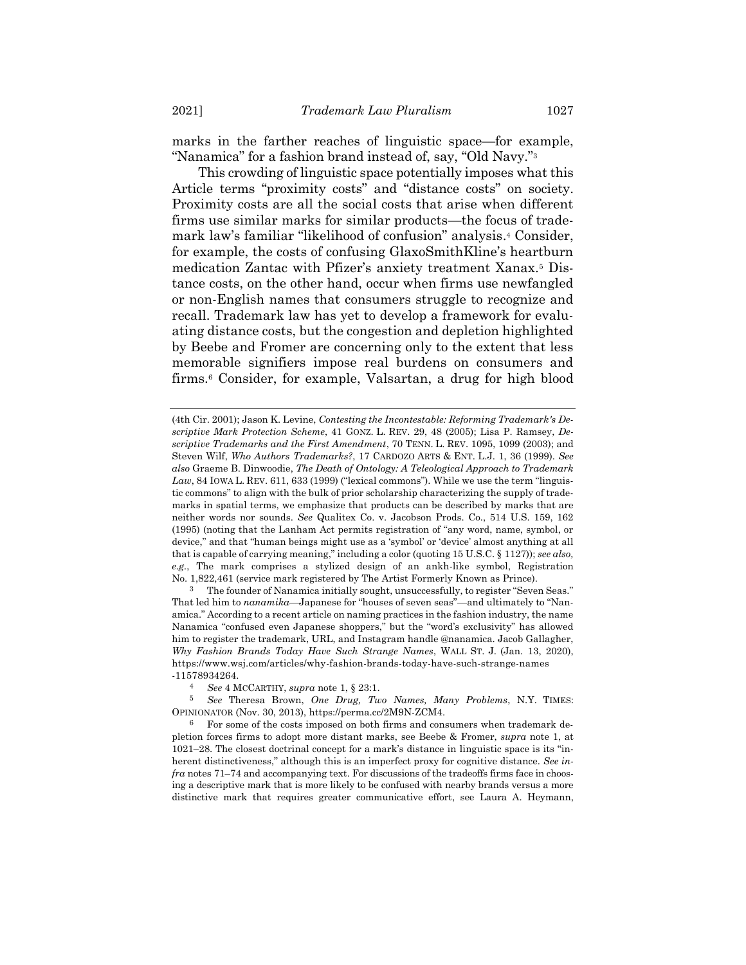marks in the farther reaches of linguistic space—for example, "Nanamica" for a fashion brand instead of, say, "Old Navy."<sup>3</sup>

This crowding of linguistic space potentially imposes what this Article terms "proximity costs" and "distance costs" on society. Proximity costs are all the social costs that arise when different firms use similar marks for similar products—the focus of trademark law's familiar "likelihood of confusion" analysis. <sup>4</sup> Consider, for example, the costs of confusing GlaxoSmithKline's heartburn medication Zantac with Pfizer's anxiety treatment Xanax.<sup>5</sup> Distance costs, on the other hand, occur when firms use newfangled or non-English names that consumers struggle to recognize and recall. Trademark law has yet to develop a framework for evaluating distance costs, but the congestion and depletion highlighted by Beebe and Fromer are concerning only to the extent that less memorable signifiers impose real burdens on consumers and firms. <sup>6</sup> Consider, for example, Valsartan, a drug for high blood

3 The founder of Nanamica initially sought, unsuccessfully, to register "Seven Seas." That led him to *nanamika*—Japanese for "houses of seven seas"—and ultimately to "Nanamica." According to a recent article on naming practices in the fashion industry, the name Nanamica "confused even Japanese shoppers," but the "word's exclusivity" has allowed him to register the trademark, URL, and Instagram handle @nanamica. Jacob Gallagher, *Why Fashion Brands Today Have Such Strange Names*, WALL ST. J. (Jan. 13, 2020), https://www.wsj.com/articles/why-fashion-brands-today-have-such-strange-names -11578934264.

<sup>(4</sup>th Cir. 2001); Jason K. Levine, *Contesting the Incontestable: Reforming Trademark's Descriptive Mark Protection Scheme*, 41 GONZ. L. REV. 29, 48 (2005); Lisa P. Ramsey, *Descriptive Trademarks and the First Amendment*, 70 TENN. L. REV. 1095, 1099 (2003); and Steven Wilf, *Who Authors Trademarks?*, 17 CARDOZO ARTS & ENT. L.J. 1, 36 (1999). *See also* Graeme B. Dinwoodie, *The Death of Ontology: A Teleological Approach to Trademark*  Law, 84 IOWA L. REV. 611, 633 (1999) ("lexical commons"). While we use the term "linguistic commons" to align with the bulk of prior scholarship characterizing the supply of trademarks in spatial terms, we emphasize that products can be described by marks that are neither words nor sounds. *See* Qualitex Co. v. Jacobson Prods. Co., 514 U.S. 159, 162 (1995) (noting that the Lanham Act permits registration of "any word, name, symbol, or device," and that "human beings might use as a 'symbol' or 'device' almost anything at all that is capable of carrying meaning," including a color (quoting 15 U.S.C. § 1127)); *see also, e.g.*, The mark comprises a stylized design of an ankh-like symbol, Registration No. 1,822,461 (service mark registered by The Artist Formerly Known as Prince).

<sup>4</sup> *See* 4 MCCARTHY, *supra* note [1,](#page-1-0) § 23:1.

<sup>5</sup> *See* Theresa Brown, *One Drug, Two Names, Many Problems*, N.Y. TIMES: OPINIONATOR (Nov. 30, 2013), https://perma.cc/2M9N-ZCM4.

<sup>6</sup> For some of the costs imposed on both firms and consumers when trademark depletion forces firms to adopt more distant marks, see Beebe & Fromer, *supra* note [1,](#page-1-0) at 1021–28. The closest doctrinal concept for a mark's distance in linguistic space is its "inherent distinctiveness," although this is an imperfect proxy for cognitive distance. *See infra* note[s 71](#page-19-0)–[74](#page-20-0) and accompanying text. For discussions of the tradeoffs firms face in choosing a descriptive mark that is more likely to be confused with nearby brands versus a more distinctive mark that requires greater communicative effort, see Laura A. Heymann,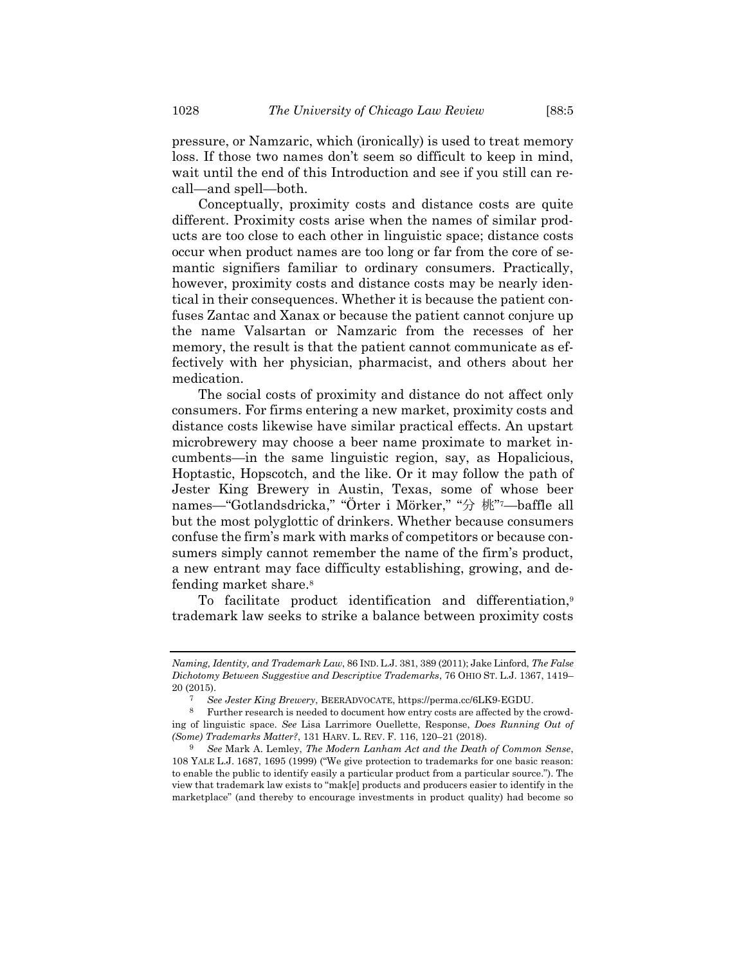pressure, or Namzaric, which (ironically) is used to treat memory loss. If those two names don't seem so difficult to keep in mind, wait until the end of this Introduction and see if you still can recall—and spell—both.

Conceptually, proximity costs and distance costs are quite different. Proximity costs arise when the names of similar products are too close to each other in linguistic space; distance costs occur when product names are too long or far from the core of semantic signifiers familiar to ordinary consumers. Practically, however, proximity costs and distance costs may be nearly identical in their consequences. Whether it is because the patient confuses Zantac and Xanax or because the patient cannot conjure up the name Valsartan or Namzaric from the recesses of her memory, the result is that the patient cannot communicate as effectively with her physician, pharmacist, and others about her medication.

The social costs of proximity and distance do not affect only consumers. For firms entering a new market, proximity costs and distance costs likewise have similar practical effects. An upstart microbrewery may choose a beer name proximate to market incumbents—in the same linguistic region, say, as Hopalicious, Hoptastic, Hopscotch, and the like. Or it may follow the path of Jester King Brewery in Austin, Texas, some of whose beer names—"Gotlandsdricka," "Örter i Mörker," "分 桃" <sup>7</sup>—baffle all but the most polyglottic of drinkers. Whether because consumers confuse the firm's mark with marks of competitors or because consumers simply cannot remember the name of the firm's product, a new entrant may face difficulty establishing, growing, and defending market share.<sup>8</sup>

<span id="page-3-0"></span>To facilitate product identification and differentiation,<sup>9</sup> trademark law seeks to strike a balance between proximity costs

*Naming, Identity, and Trademark Law*, 86 IND.L.J. 381, 389 (2011); Jake Linford, *The False Dichotomy Between Suggestive and Descriptive Trademarks*, 76 OHIO ST. L.J. 1367, 1419– 20 (2015).

<span id="page-3-1"></span><sup>7</sup> *See Jester King Brewery*, BEERADVOCATE, https://perma.cc/6LK9-EGDU.

<sup>8</sup> Further research is needed to document how entry costs are affected by the crowding of linguistic space. *See* Lisa Larrimore Ouellette, Response, *Does Running Out of (Some) Trademarks Matter?*, 131 HARV. L. REV. F. 116, 120–21 (2018).

<sup>9</sup> *See* Mark A. Lemley, *The Modern Lanham Act and the Death of Common Sense*, 108 YALE L.J. 1687, 1695 (1999) ("We give protection to trademarks for one basic reason: to enable the public to identify easily a particular product from a particular source."). The view that trademark law exists to "mak[e] products and producers easier to identify in the marketplace" (and thereby to encourage investments in product quality) had become so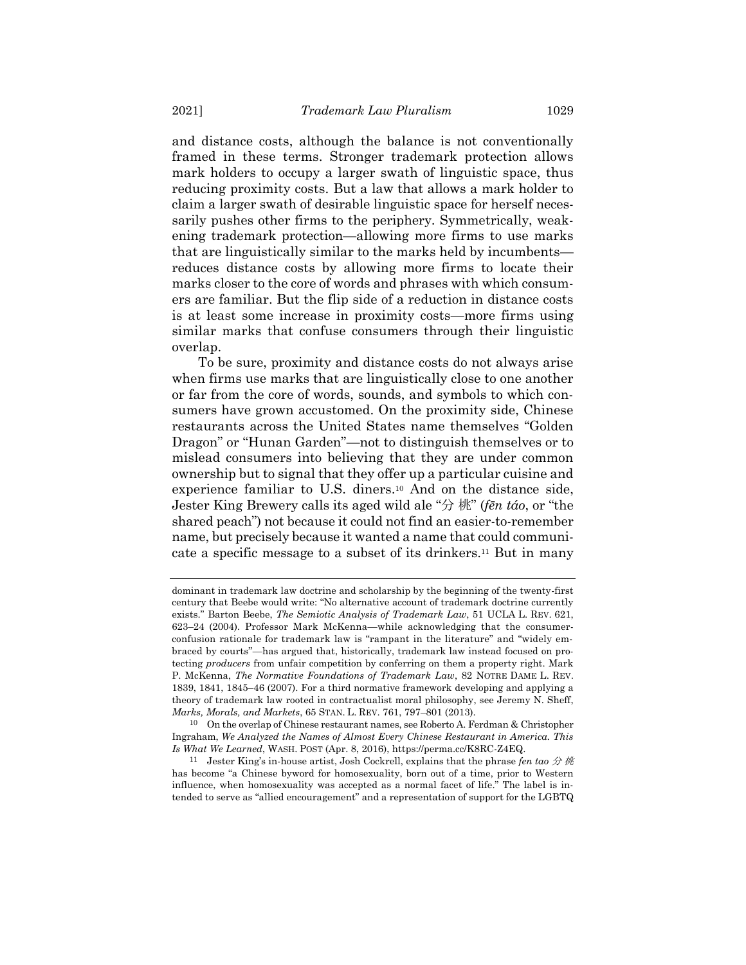and distance costs, although the balance is not conventionally framed in these terms. Stronger trademark protection allows mark holders to occupy a larger swath of linguistic space, thus reducing proximity costs. But a law that allows a mark holder to claim a larger swath of desirable linguistic space for herself necessarily pushes other firms to the periphery. Symmetrically, weakening trademark protection—allowing more firms to use marks that are linguistically similar to the marks held by incumbents reduces distance costs by allowing more firms to locate their marks closer to the core of words and phrases with which consumers are familiar. But the flip side of a reduction in distance costs is at least some increase in proximity costs—more firms using similar marks that confuse consumers through their linguistic overlap.

To be sure, proximity and distance costs do not always arise when firms use marks that are linguistically close to one another or far from the core of words, sounds, and symbols to which consumers have grown accustomed. On the proximity side, Chinese restaurants across the United States name themselves "Golden Dragon" or "Hunan Garden"—not to distinguish themselves or to mislead consumers into believing that they are under common ownership but to signal that they offer up a particular cuisine and experience familiar to U.S. diners.<sup>10</sup> And on the distance side, Jester King Brewery calls its aged wild ale "分 桃" (*fēn táo*, or "the shared peach") not because it could not find an easier-to-remember name, but precisely because it wanted a name that could communicate a specific message to a subset of its drinkers.<sup>11</sup> But in many

<span id="page-4-0"></span>dominant in trademark law doctrine and scholarship by the beginning of the twenty-first century that Beebe would write: "No alternative account of trademark doctrine currently exists." Barton Beebe, *The Semiotic Analysis of Trademark Law*, 51 UCLA L. REV. 621, 623–24 (2004). Professor Mark McKenna—while acknowledging that the consumerconfusion rationale for trademark law is "rampant in the literature" and "widely embraced by courts"—has argued that, historically, trademark law instead focused on protecting *producers* from unfair competition by conferring on them a property right. Mark P. McKenna, *The Normative Foundations of Trademark Law*, 82 NOTRE DAME L. REV. 1839, 1841, 1845–46 (2007). For a third normative framework developing and applying a theory of trademark law rooted in contractualist moral philosophy, see Jeremy N. Sheff, *Marks, Morals, and Markets*, 65 STAN. L. REV. 761, 797–801 (2013).

<sup>10</sup> On the overlap of Chinese restaurant names, see Roberto A. Ferdman & Christopher Ingraham, *We Analyzed the Names of Almost Every Chinese Restaurant in America. This Is What We Learned*, WASH. POST (Apr. 8, 2016), https://perma.cc/K8RC-Z4EQ.

<sup>&</sup>lt;sup>11</sup> Jester King's in-house artist, Josh Cockrell, explains that the phrase *fen tao*  $\hat{\mathcal{H}}$  *M* has become "a Chinese byword for homosexuality, born out of a time, prior to Western influence, when homosexuality was accepted as a normal facet of life." The label is intended to serve as "allied encouragement" and a representation of support for the LGBTQ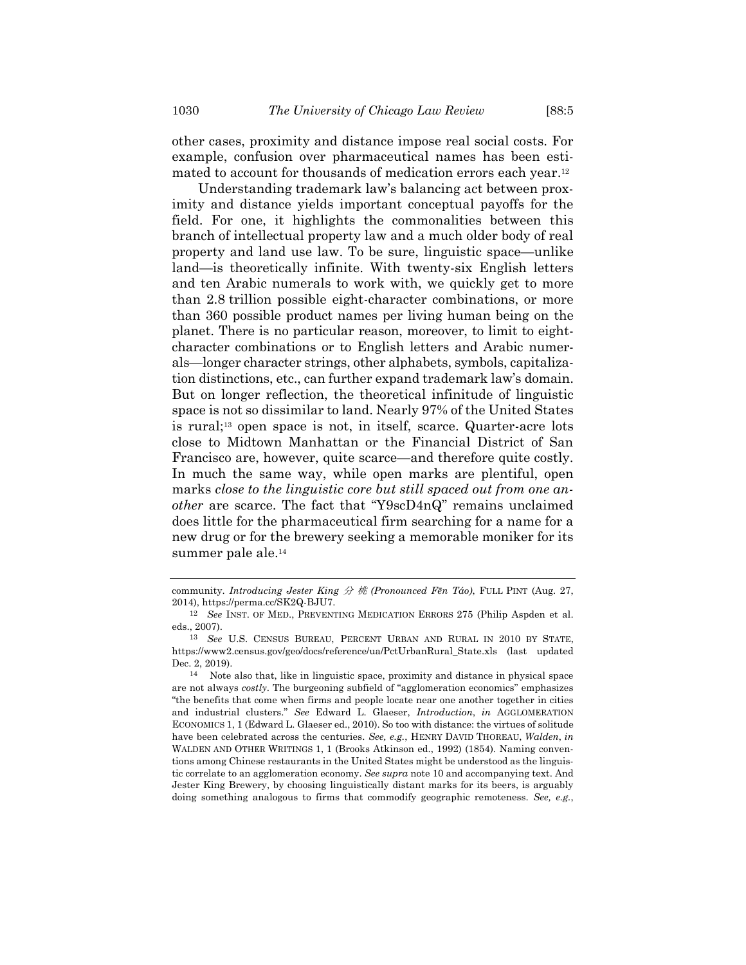other cases, proximity and distance impose real social costs. For example, confusion over pharmaceutical names has been estimated to account for thousands of medication errors each year. 12

Understanding trademark law's balancing act between proximity and distance yields important conceptual payoffs for the field. For one, it highlights the commonalities between this branch of intellectual property law and a much older body of real property and land use law. To be sure, linguistic space—unlike land—is theoretically infinite. With twenty-six English letters and ten Arabic numerals to work with, we quickly get to more than 2.8 trillion possible eight-character combinations, or more than 360 possible product names per living human being on the planet. There is no particular reason, moreover, to limit to eightcharacter combinations or to English letters and Arabic numerals—longer character strings, other alphabets, symbols, capitalization distinctions, etc., can further expand trademark law's domain. But on longer reflection, the theoretical infinitude of linguistic space is not so dissimilar to land. Nearly 97% of the United States is rural;<sup>13</sup> open space is not, in itself, scarce. Quarter-acre lots close to Midtown Manhattan or the Financial District of San Francisco are, however, quite scarce—and therefore quite costly. In much the same way, while open marks are plentiful, open marks *close to the linguistic core but still spaced out from one another* are scarce. The fact that "Y9scD4nQ" remains unclaimed does little for the pharmaceutical firm searching for a name for a new drug or for the brewery seeking a memorable moniker for its summer pale ale.<sup>14</sup>

community. *Introducing Jester King* 分 桃 *(Pronounced Fēn Táo)*, FULL PINT (Aug. 27, 2014), https://perma.cc/SK2Q-BJU7.

<sup>12</sup> *See* INST. OF MED., PREVENTING MEDICATION ERRORS 275 (Philip Aspden et al. eds., 2007).

<sup>13</sup> *See* U.S. CENSUS BUREAU, PERCENT URBAN AND RURAL IN 2010 BY STATE, https://www2.census.gov/geo/docs/reference/ua/PctUrbanRural\_State.xls (last updated Dec. 2, 2019).

<sup>14</sup> Note also that, like in linguistic space, proximity and distance in physical space are not always *costly*. The burgeoning subfield of "agglomeration economics" emphasizes "the benefits that come when firms and people locate near one another together in cities and industrial clusters." *See* Edward L. Glaeser, *Introduction*, *in* AGGLOMERATION ECONOMICS 1, 1 (Edward L. Glaeser ed., 2010). So too with distance: the virtues of solitude have been celebrated across the centuries. *See, e.g.*, HENRY DAVID THOREAU, *Walden*, *in* WALDEN AND OTHER WRITINGS 1, 1 (Brooks Atkinson ed., 1992) (1854). Naming conventions among Chinese restaurants in the United States might be understood as the linguistic correlate to an agglomeration economy. *See supra* not[e 10](#page-4-0) and accompanying text. And Jester King Brewery, by choosing linguistically distant marks for its beers, is arguably doing something analogous to firms that commodify geographic remoteness. *See, e.g.*,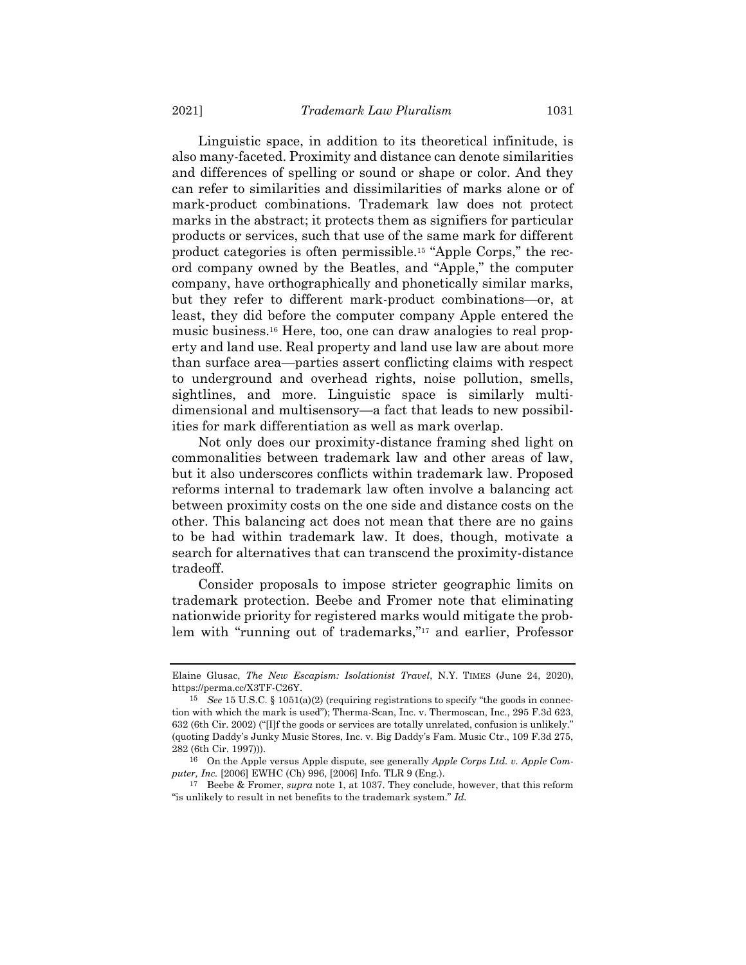<span id="page-6-0"></span>Linguistic space, in addition to its theoretical infinitude, is also many-faceted. Proximity and distance can denote similarities and differences of spelling or sound or shape or color. And they can refer to similarities and dissimilarities of marks alone or of mark-product combinations. Trademark law does not protect marks in the abstract; it protects them as signifiers for particular products or services, such that use of the same mark for different product categories is often permissible.<sup>15</sup> "Apple Corps," the record company owned by the Beatles, and "Apple," the computer company, have orthographically and phonetically similar marks, but they refer to different mark-product combinations—or, at least, they did before the computer company Apple entered the music business.<sup>16</sup> Here, too, one can draw analogies to real property and land use. Real property and land use law are about more than surface area—parties assert conflicting claims with respect to underground and overhead rights, noise pollution, smells, sightlines, and more. Linguistic space is similarly multidimensional and multisensory—a fact that leads to new possibilities for mark differentiation as well as mark overlap.

Not only does our proximity-distance framing shed light on commonalities between trademark law and other areas of law, but it also underscores conflicts within trademark law. Proposed reforms internal to trademark law often involve a balancing act between proximity costs on the one side and distance costs on the other. This balancing act does not mean that there are no gains to be had within trademark law. It does, though, motivate a search for alternatives that can transcend the proximity-distance tradeoff.

Consider proposals to impose stricter geographic limits on trademark protection. Beebe and Fromer note that eliminating nationwide priority for registered marks would mitigate the problem with "running out of trademarks," <sup>17</sup> and earlier, Professor

Elaine Glusac, *The New Escapism: Isolationist Travel*, N.Y. TIMES (June 24, 2020), https://perma.cc/X3TF-C26Y.

<sup>15</sup> *See* 15 U.S.C. § 1051(a)(2) (requiring registrations to specify "the goods in connection with which the mark is used"); Therma-Scan, Inc. v. Thermoscan, Inc., 295 F.3d 623, 632 (6th Cir. 2002) ("[I]f the goods or services are totally unrelated, confusion is unlikely." (quoting Daddy's Junky Music Stores, Inc. v. Big Daddy's Fam. Music Ctr., 109 F.3d 275, 282 (6th Cir. 1997))).

<sup>16</sup> On the Apple versus Apple dispute, see generally *Apple Corps Ltd. v. Apple Computer, Inc.* [2006] EWHC (Ch) 996, [2006] Info. TLR 9 (Eng.).

<sup>17</sup> Beebe & Fromer, *supra* note [1,](#page-1-0) at 1037. They conclude, however, that this reform "is unlikely to result in net benefits to the trademark system." *Id.*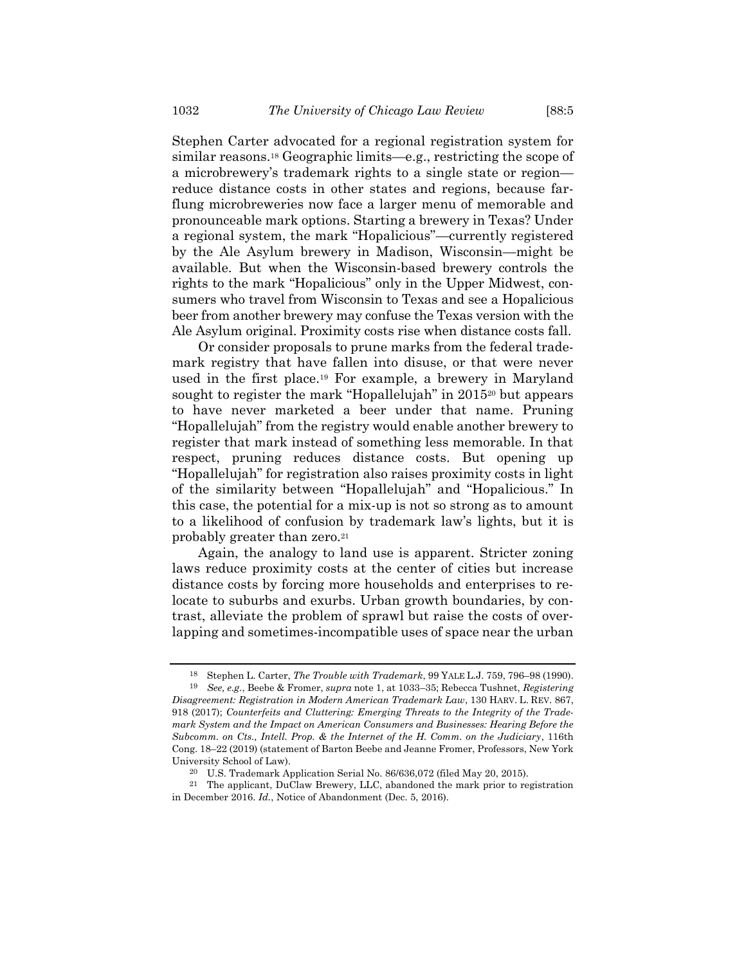<span id="page-7-1"></span>Stephen Carter advocated for a regional registration system for similar reasons.<sup>18</sup> Geographic limits—e.g., restricting the scope of a microbrewery's trademark rights to a single state or region reduce distance costs in other states and regions, because farflung microbreweries now face a larger menu of memorable and pronounceable mark options. Starting a brewery in Texas? Under a regional system, the mark "Hopalicious"—currently registered by the Ale Asylum brewery in Madison, Wisconsin—might be available. But when the Wisconsin-based brewery controls the rights to the mark "Hopalicious" only in the Upper Midwest, consumers who travel from Wisconsin to Texas and see a Hopalicious beer from another brewery may confuse the Texas version with the Ale Asylum original. Proximity costs rise when distance costs fall.

<span id="page-7-0"></span>Or consider proposals to prune marks from the federal trademark registry that have fallen into disuse, or that were never used in the first place.<sup>19</sup> For example, a brewery in Maryland sought to register the mark "Hopallelujah" in 2015<sup>20</sup> but appears to have never marketed a beer under that name. Pruning "Hopallelujah" from the registry would enable another brewery to register that mark instead of something less memorable. In that respect, pruning reduces distance costs. But opening up "Hopallelujah" for registration also raises proximity costs in light of the similarity between "Hopallelujah" and "Hopalicious." In this case, the potential for a mix-up is not so strong as to amount to a likelihood of confusion by trademark law's lights, but it is probably greater than zero.<sup>21</sup>

Again, the analogy to land use is apparent. Stricter zoning laws reduce proximity costs at the center of cities but increase distance costs by forcing more households and enterprises to relocate to suburbs and exurbs. Urban growth boundaries, by contrast, alleviate the problem of sprawl but raise the costs of overlapping and sometimes-incompatible uses of space near the urban

<sup>18</sup> Stephen L. Carter, *The Trouble with Trademark*, 99 YALE L.J. 759, 796–98 (1990). 19 *See, e.g.*, Beebe & Fromer, *supra* not[e 1,](#page-1-0) at 1033–35; Rebecca Tushnet, *Registering* 

*Disagreement: Registration in Modern American Trademark Law*, 130 HARV. L. REV. 867, 918 (2017); *Counterfeits and Cluttering: Emerging Threats to the Integrity of the Trademark System and the Impact on American Consumers and Businesses: Hearing Before the Subcomm. on Cts., Intell. Prop. & the Internet of the H. Comm. on the Judiciary*, 116th Cong. 18–22 (2019) (statement of Barton Beebe and Jeanne Fromer, Professors, New York University School of Law).

<sup>20</sup> U.S. Trademark Application Serial No. 86/636,072 (filed May 20, 2015).

<sup>21</sup> The applicant, DuClaw Brewery, LLC, abandoned the mark prior to registration in December 2016. *Id.*, Notice of Abandonment (Dec. 5, 2016).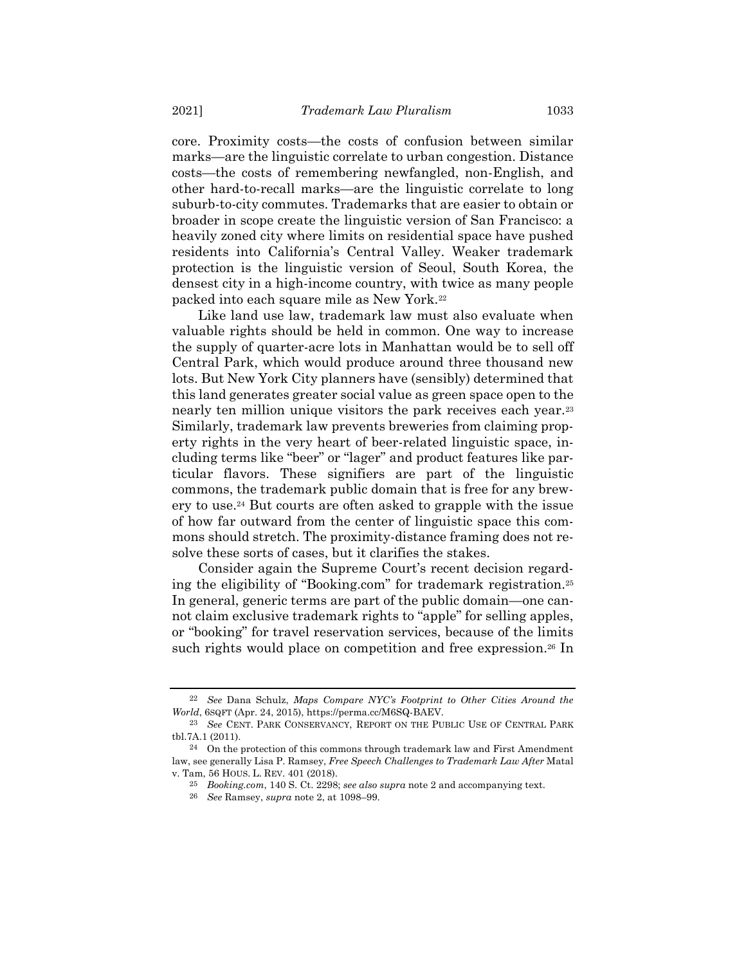core. Proximity costs—the costs of confusion between similar marks—are the linguistic correlate to urban congestion. Distance costs—the costs of remembering newfangled, non-English, and other hard-to-recall marks—are the linguistic correlate to long suburb-to-city commutes. Trademarks that are easier to obtain or broader in scope create the linguistic version of San Francisco: a heavily zoned city where limits on residential space have pushed residents into California's Central Valley. Weaker trademark protection is the linguistic version of Seoul, South Korea, the densest city in a high-income country, with twice as many people packed into each square mile as New York.<sup>22</sup>

Like land use law, trademark law must also evaluate when valuable rights should be held in common. One way to increase the supply of quarter-acre lots in Manhattan would be to sell off Central Park, which would produce around three thousand new lots. But New York City planners have (sensibly) determined that this land generates greater social value as green space open to the nearly ten million unique visitors the park receives each year.<sup>23</sup> Similarly, trademark law prevents breweries from claiming property rights in the very heart of beer-related linguistic space, including terms like "beer" or "lager" and product features like particular flavors. These signifiers are part of the linguistic commons, the trademark public domain that is free for any brewery to use.<sup>24</sup> But courts are often asked to grapple with the issue of how far outward from the center of linguistic space this commons should stretch. The proximity-distance framing does not resolve these sorts of cases, but it clarifies the stakes.

Consider again the Supreme Court's recent decision regarding the eligibility of "Booking.com" for trademark registration.<sup>25</sup> In general, generic terms are part of the public domain—one cannot claim exclusive trademark rights to "apple" for selling apples, or "booking" for travel reservation services, because of the limits such rights would place on competition and free expression.<sup>26</sup> In

<sup>22</sup> *See* Dana Schulz, *Maps Compare NYC's Footprint to Other Cities Around the World*, 6SQFT (Apr. 24, 2015), https://perma.cc/M6SQ-BAEV.

<sup>23</sup> *See* CENT. PARK CONSERVANCY, REPORT ON THE PUBLIC USE OF CENTRAL PARK tbl.7A.1 (2011).

 $24$  On the protection of this commons through trademark law and First Amendment law, see generally Lisa P. Ramsey, *Free Speech Challenges to Trademark Law After* Matal v. Tam, 56 HOUS. L. REV. 401 (2018).

<sup>25</sup> *Booking.com*, 140 S. Ct. 2298; *see also supra* not[e 2](#page-1-1) and accompanying text.

<sup>26</sup> *See* Ramsey, *supra* note [2,](#page-1-1) at 1098–99.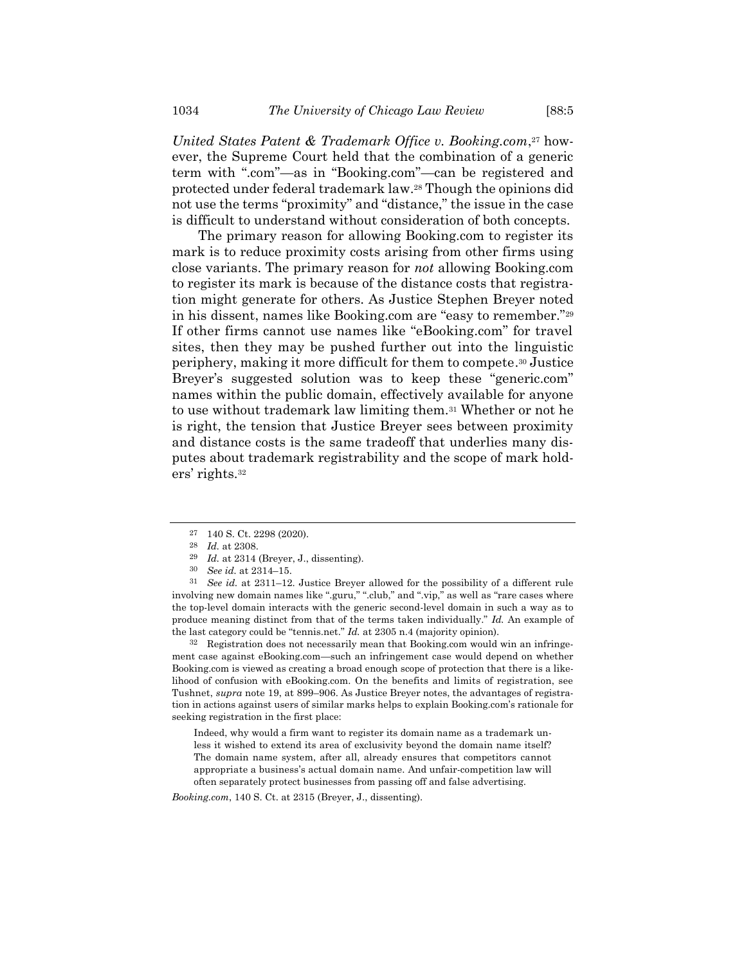*United States Patent & Trademark Office v. Booking.com*, <sup>27</sup> however, the Supreme Court held that the combination of a generic term with ".com"—as in "Booking.com"—can be registered and protected under federal trademark law.<sup>28</sup> Though the opinions did not use the terms "proximity" and "distance," the issue in the case is difficult to understand without consideration of both concepts.

The primary reason for allowing Booking.com to register its mark is to reduce proximity costs arising from other firms using close variants. The primary reason for *not* allowing Booking.com to register its mark is because of the distance costs that registration might generate for others. As Justice Stephen Breyer noted in his dissent, names like Booking.com are "easy to remember."<sup>29</sup> If other firms cannot use names like "eBooking.com" for travel sites, then they may be pushed further out into the linguistic periphery, making it more difficult for them to compete. <sup>30</sup> Justice Breyer's suggested solution was to keep these "generic.com" names within the public domain, effectively available for anyone to use without trademark law limiting them.<sup>31</sup> Whether or not he is right, the tension that Justice Breyer sees between proximity and distance costs is the same tradeoff that underlies many disputes about trademark registrability and the scope of mark holders' rights.<sup>32</sup>

31 *See id.* at 2311–12. Justice Breyer allowed for the possibility of a different rule involving new domain names like ".guru," ".club," and ".vip," as well as "rare cases where the top-level domain interacts with the generic second-level domain in such a way as to produce meaning distinct from that of the terms taken individually." *Id.* An example of the last category could be "tennis.net." *Id.* at 2305 n.4 (majority opinion).

32 Registration does not necessarily mean that Booking.com would win an infringement case against eBooking.com—such an infringement case would depend on whether Booking.com is viewed as creating a broad enough scope of protection that there is a likelihood of confusion with eBooking.com. On the benefits and limits of registration, see Tushnet, *supra* note [19,](#page-7-0) at 899–906. As Justice Breyer notes, the advantages of registration in actions against users of similar marks helps to explain Booking.com's rationale for seeking registration in the first place:

Indeed, why would a firm want to register its domain name as a trademark unless it wished to extend its area of exclusivity beyond the domain name itself? The domain name system, after all, already ensures that competitors cannot appropriate a business's actual domain name. And unfair-competition law will often separately protect businesses from passing off and false advertising.

*Booking.com*, 140 S. Ct. at 2315 (Breyer, J., dissenting).

<sup>27</sup> 140 S. Ct. 2298 (2020).

<sup>28</sup> *Id.* at 2308.

<sup>29</sup> *Id.* at 2314 (Breyer, J., dissenting).

<sup>30</sup> *See id.* at 2314–15.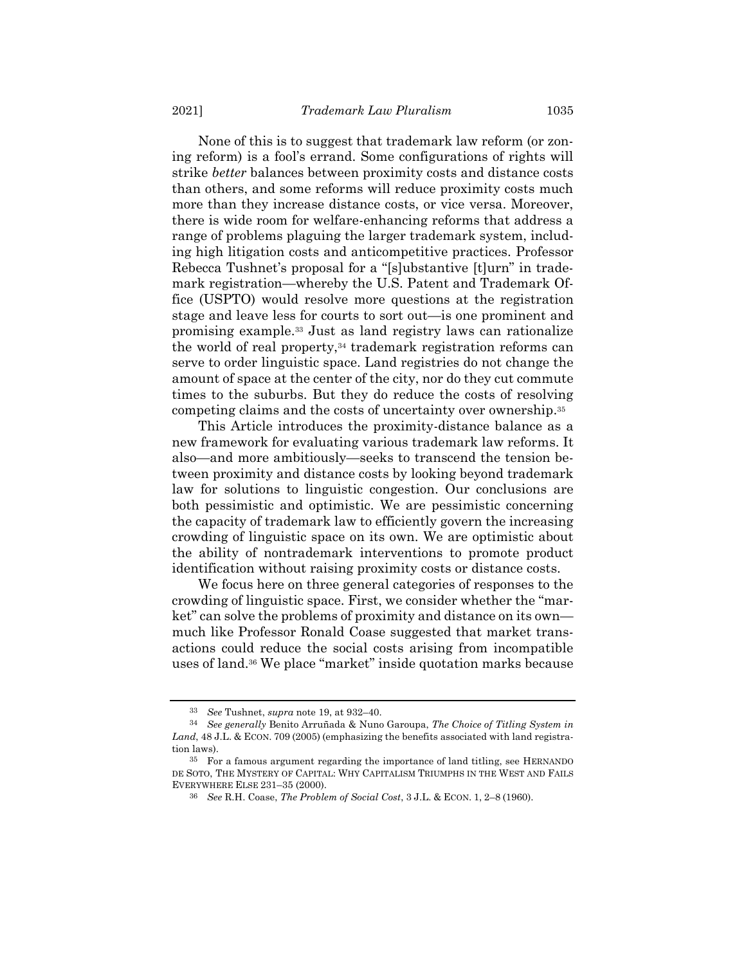None of this is to suggest that trademark law reform (or zoning reform) is a fool's errand. Some configurations of rights will strike *better* balances between proximity costs and distance costs than others, and some reforms will reduce proximity costs much more than they increase distance costs, or vice versa. Moreover, there is wide room for welfare-enhancing reforms that address a range of problems plaguing the larger trademark system, including high litigation costs and anticompetitive practices. Professor Rebecca Tushnet's proposal for a "[s]ubstantive [t]urn" in trademark registration—whereby the U.S. Patent and Trademark Office (USPTO) would resolve more questions at the registration stage and leave less for courts to sort out—is one prominent and promising example.<sup>33</sup> Just as land registry laws can rationalize the world of real property,<sup>34</sup> trademark registration reforms can serve to order linguistic space. Land registries do not change the amount of space at the center of the city, nor do they cut commute times to the suburbs. But they do reduce the costs of resolving competing claims and the costs of uncertainty over ownership. 35

This Article introduces the proximity-distance balance as a new framework for evaluating various trademark law reforms. It also—and more ambitiously—seeks to transcend the tension between proximity and distance costs by looking beyond trademark law for solutions to linguistic congestion. Our conclusions are both pessimistic and optimistic. We are pessimistic concerning the capacity of trademark law to efficiently govern the increasing crowding of linguistic space on its own. We are optimistic about the ability of nontrademark interventions to promote product identification without raising proximity costs or distance costs.

We focus here on three general categories of responses to the crowding of linguistic space. First, we consider whether the "market" can solve the problems of proximity and distance on its own much like Professor Ronald Coase suggested that market transactions could reduce the social costs arising from incompatible uses of land.<sup>36</sup> We place "market" inside quotation marks because

<span id="page-10-0"></span><sup>33</sup> *See* Tushnet, *supra* not[e 19,](#page-7-0) at 932–40.

<sup>34</sup> *See generally* Benito Arruñada & Nuno Garoupa, *The Choice of Titling System in*  Land, 48 J.L. & ECON. 709 (2005) (emphasizing the benefits associated with land registration laws).

<sup>35</sup> For a famous argument regarding the importance of land titling, see HERNANDO DE SOTO, THE MYSTERY OF CAPITAL: WHY CAPITALISM TRIUMPHS IN THE WEST AND FAILS EVERYWHERE ELSE 231–35 (2000).

<sup>36</sup> *See* R.H. Coase, *The Problem of Social Cost*, 3 J.L. & ECON. 1, 2–8 (1960).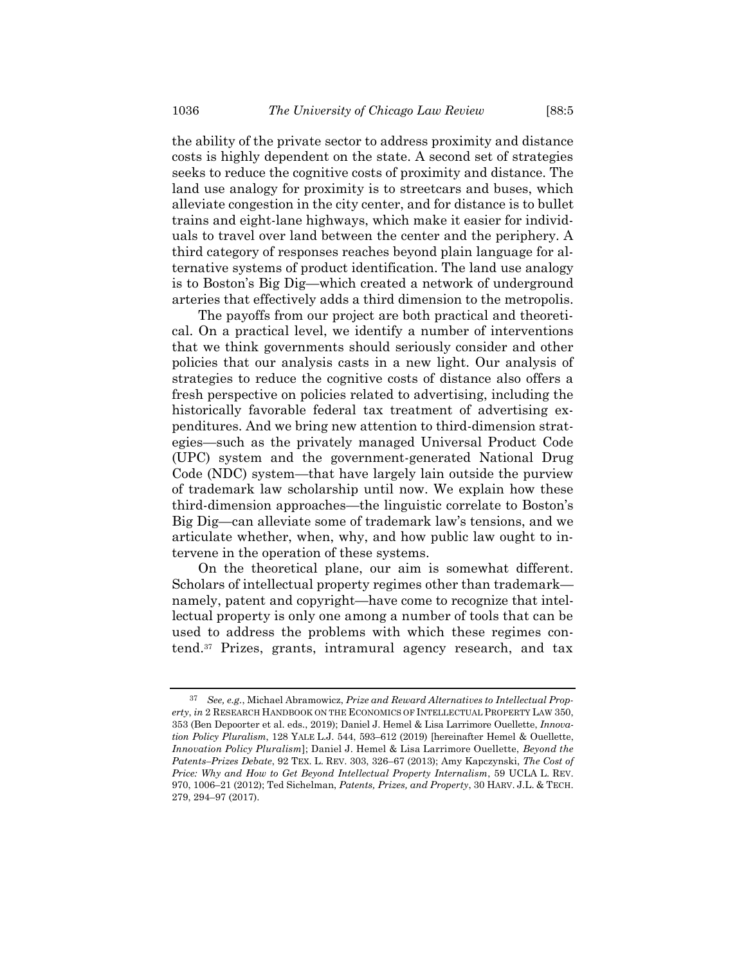the ability of the private sector to address proximity and distance costs is highly dependent on the state. A second set of strategies seeks to reduce the cognitive costs of proximity and distance. The land use analogy for proximity is to streetcars and buses, which alleviate congestion in the city center, and for distance is to bullet trains and eight-lane highways, which make it easier for individuals to travel over land between the center and the periphery. A third category of responses reaches beyond plain language for alternative systems of product identification. The land use analogy is to Boston's Big Dig—which created a network of underground arteries that effectively adds a third dimension to the metropolis.

The payoffs from our project are both practical and theoretical. On a practical level, we identify a number of interventions that we think governments should seriously consider and other policies that our analysis casts in a new light. Our analysis of strategies to reduce the cognitive costs of distance also offers a fresh perspective on policies related to advertising, including the historically favorable federal tax treatment of advertising expenditures. And we bring new attention to third-dimension strategies—such as the privately managed Universal Product Code (UPC) system and the government-generated National Drug Code (NDC) system—that have largely lain outside the purview of trademark law scholarship until now. We explain how these third-dimension approaches—the linguistic correlate to Boston's Big Dig—can alleviate some of trademark law's tensions, and we articulate whether, when, why, and how public law ought to intervene in the operation of these systems.

On the theoretical plane, our aim is somewhat different. Scholars of intellectual property regimes other than trademark namely, patent and copyright—have come to recognize that intellectual property is only one among a number of tools that can be used to address the problems with which these regimes contend.<sup>37</sup> Prizes, grants, intramural agency research, and tax

<span id="page-11-0"></span><sup>37</sup> *See, e.g.*, Michael Abramowicz, *Prize and Reward Alternatives to Intellectual Property*, *in* 2 RESEARCH HANDBOOK ON THE ECONOMICS OF INTELLECTUAL PROPERTY LAW 350, 353 (Ben Depoorter et al. eds., 2019); Daniel J. Hemel & Lisa Larrimore Ouellette, *Innovation Policy Pluralism*, 128 YALE L.J. 544, 593–612 (2019) [hereinafter Hemel & Ouellette, *Innovation Policy Pluralism*]; Daniel J. Hemel & Lisa Larrimore Ouellette, *Beyond the Patents–Prizes Debate*, 92 TEX. L. REV. 303, 326–67 (2013); Amy Kapczynski, *The Cost of Price: Why and How to Get Beyond Intellectual Property Internalism*, 59 UCLA L. REV. 970, 1006–21 (2012); Ted Sichelman, *Patents, Prizes, and Property*, 30 HARV. J.L. & TECH. 279, 294–97 (2017).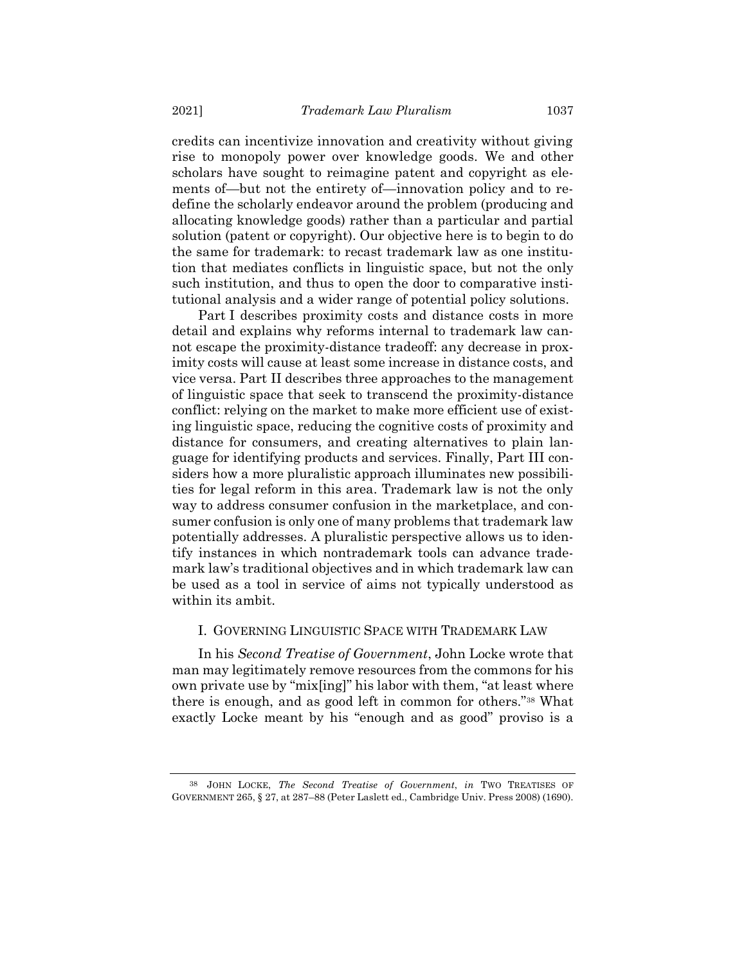credits can incentivize innovation and creativity without giving rise to monopoly power over knowledge goods. We and other scholars have sought to reimagine patent and copyright as elements of—but not the entirety of—innovation policy and to redefine the scholarly endeavor around the problem (producing and allocating knowledge goods) rather than a particular and partial solution (patent or copyright). Our objective here is to begin to do the same for trademark: to recast trademark law as one institution that mediates conflicts in linguistic space, but not the only such institution, and thus to open the door to comparative institutional analysis and a wider range of potential policy solutions.

Part I describes proximity costs and distance costs in more detail and explains why reforms internal to trademark law cannot escape the proximity-distance tradeoff: any decrease in proximity costs will cause at least some increase in distance costs, and vice versa. Part II describes three approaches to the management of linguistic space that seek to transcend the proximity-distance conflict: relying on the market to make more efficient use of existing linguistic space, reducing the cognitive costs of proximity and distance for consumers, and creating alternatives to plain language for identifying products and services. Finally, Part III considers how a more pluralistic approach illuminates new possibilities for legal reform in this area. Trademark law is not the only way to address consumer confusion in the marketplace, and consumer confusion is only one of many problems that trademark law potentially addresses. A pluralistic perspective allows us to identify instances in which nontrademark tools can advance trademark law's traditional objectives and in which trademark law can be used as a tool in service of aims not typically understood as within its ambit.

#### I. GOVERNING LINGUISTIC SPACE WITH TRADEMARK LAW

In his *Second Treatise of Government*, John Locke wrote that man may legitimately remove resources from the commons for his own private use by "mix[ing]" his labor with them, "at least where there is enough, and as good left in common for others."<sup>38</sup> What exactly Locke meant by his "enough and as good" proviso is a

<sup>38</sup> JOHN LOCKE, *The Second Treatise of Government*, *in* TWO TREATISES OF GOVERNMENT 265, § 27, at 287–88 (Peter Laslett ed., Cambridge Univ. Press 2008) (1690).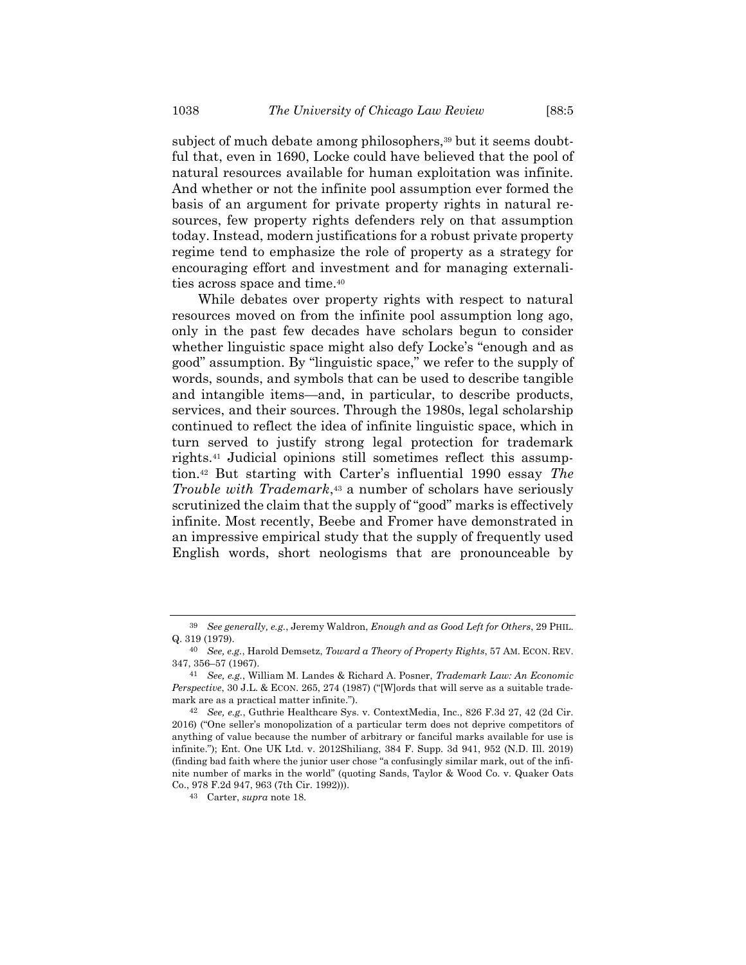subject of much debate among philosophers,<sup>39</sup> but it seems doubtful that, even in 1690, Locke could have believed that the pool of natural resources available for human exploitation was infinite. And whether or not the infinite pool assumption ever formed the basis of an argument for private property rights in natural resources, few property rights defenders rely on that assumption today. Instead, modern justifications for a robust private property regime tend to emphasize the role of property as a strategy for encouraging effort and investment and for managing externalities across space and time.<sup>40</sup>

While debates over property rights with respect to natural resources moved on from the infinite pool assumption long ago, only in the past few decades have scholars begun to consider whether linguistic space might also defy Locke's "enough and as good" assumption. By "linguistic space," we refer to the supply of words, sounds, and symbols that can be used to describe tangible and intangible items—and, in particular, to describe products, services, and their sources. Through the 1980s, legal scholarship continued to reflect the idea of infinite linguistic space, which in turn served to justify strong legal protection for trademark rights.<sup>41</sup> Judicial opinions still sometimes reflect this assumption.<sup>42</sup> But starting with Carter's influential 1990 essay *The Trouble with Trademark*, <sup>43</sup> a number of scholars have seriously scrutinized the claim that the supply of "good" marks is effectively infinite. Most recently, Beebe and Fromer have demonstrated in an impressive empirical study that the supply of frequently used English words, short neologisms that are pronounceable by

<sup>39</sup> *See generally, e.g.*, Jeremy Waldron, *Enough and as Good Left for Others*, 29 PHIL. Q. 319 (1979).

<sup>40</sup> *See, e.g.*, Harold Demsetz, *Toward a Theory of Property Rights*, 57 AM. ECON. REV. 347, 356–57 (1967).

<sup>41</sup> *See, e.g.*, William M. Landes & Richard A. Posner, *Trademark Law: An Economic Perspective*, 30 J.L. & ECON. 265, 274 (1987) ("[W]ords that will serve as a suitable trademark are as a practical matter infinite.").

<sup>42</sup> *See, e.g.*, Guthrie Healthcare Sys. v. ContextMedia, Inc., 826 F.3d 27, 42 (2d Cir. 2016) ("One seller's monopolization of a particular term does not deprive competitors of anything of value because the number of arbitrary or fanciful marks available for use is infinite."); Ent. One UK Ltd. v. 2012Shiliang, 384 F. Supp. 3d 941, 952 (N.D. Ill. 2019) (finding bad faith where the junior user chose "a confusingly similar mark, out of the infinite number of marks in the world" (quoting Sands, Taylor & Wood Co. v. Quaker Oats Co., 978 F.2d 947, 963 (7th Cir. 1992))).

<sup>43</sup> Carter, *supra* not[e 18.](#page-7-1)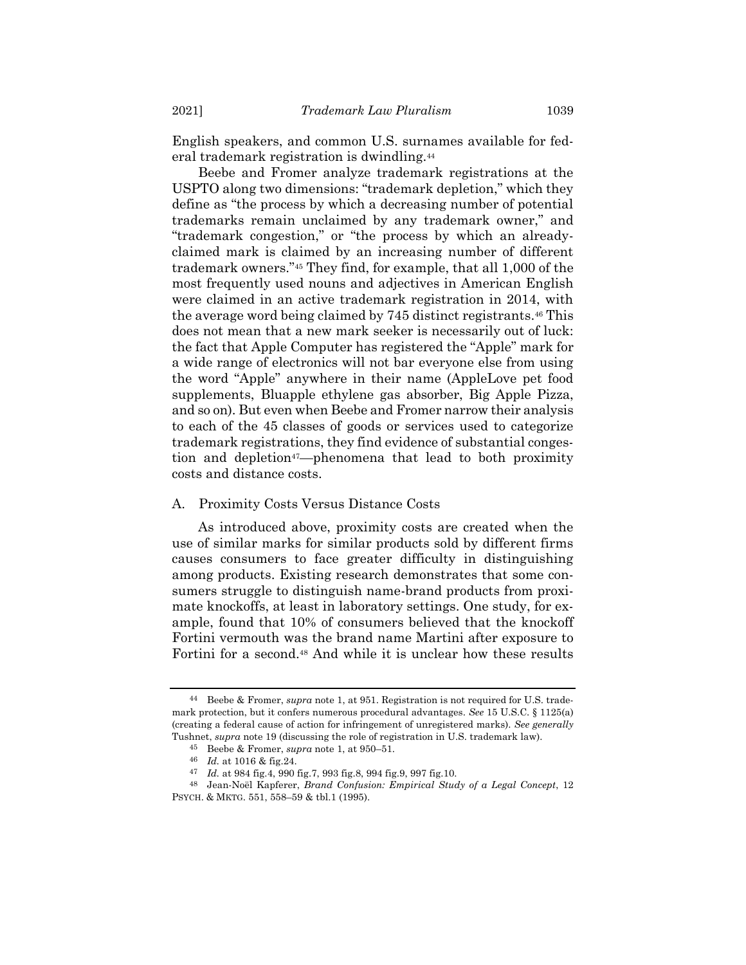English speakers, and common U.S. surnames available for federal trademark registration is dwindling.<sup>44</sup>

Beebe and Fromer analyze trademark registrations at the USPTO along two dimensions: "trademark depletion," which they define as "the process by which a decreasing number of potential trademarks remain unclaimed by any trademark owner," and "trademark congestion," or "the process by which an alreadyclaimed mark is claimed by an increasing number of different trademark owners."<sup>45</sup> They find, for example, that all 1,000 of the most frequently used nouns and adjectives in American English were claimed in an active trademark registration in 2014, with the average word being claimed by 745 distinct registrants.<sup>46</sup> This does not mean that a new mark seeker is necessarily out of luck: the fact that Apple Computer has registered the "Apple" mark for a wide range of electronics will not bar everyone else from using the word "Apple" anywhere in their name (AppleLove pet food supplements, Bluapple ethylene gas absorber, Big Apple Pizza, and so on). But even when Beebe and Fromer narrow their analysis to each of the 45 classes of goods or services used to categorize trademark registrations, they find evidence of substantial congestion and depletion<sup>47</sup>—phenomena that lead to both proximity costs and distance costs.

### A. Proximity Costs Versus Distance Costs

As introduced above, proximity costs are created when the use of similar marks for similar products sold by different firms causes consumers to face greater difficulty in distinguishing among products. Existing research demonstrates that some consumers struggle to distinguish name-brand products from proximate knockoffs, at least in laboratory settings. One study, for example, found that 10% of consumers believed that the knockoff Fortini vermouth was the brand name Martini after exposure to Fortini for a second.<sup>48</sup> And while it is unclear how these results

<sup>44</sup> Beebe & Fromer, *supra* not[e 1,](#page-1-0) at 951. Registration is not required for U.S. trademark protection, but it confers numerous procedural advantages. *See* 15 U.S.C. § 1125(a) (creating a federal cause of action for infringement of unregistered marks). *See generally* Tushnet, *supra* note [19](#page-7-0) (discussing the role of registration in U.S. trademark law).

<sup>45</sup> Beebe & Fromer, *supra* not[e 1,](#page-1-0) at 950–51.

<sup>46</sup> *Id.* at 1016 & fig.24.

<sup>47</sup> *Id.* at 984 fig.4, 990 fig.7, 993 fig.8, 994 fig.9, 997 fig.10.

<sup>48</sup> Jean-Noël Kapferer, *Brand Confusion: Empirical Study of a Legal Concept*, 12 PSYCH. & MKTG. 551, 558–59 & tbl.1 (1995).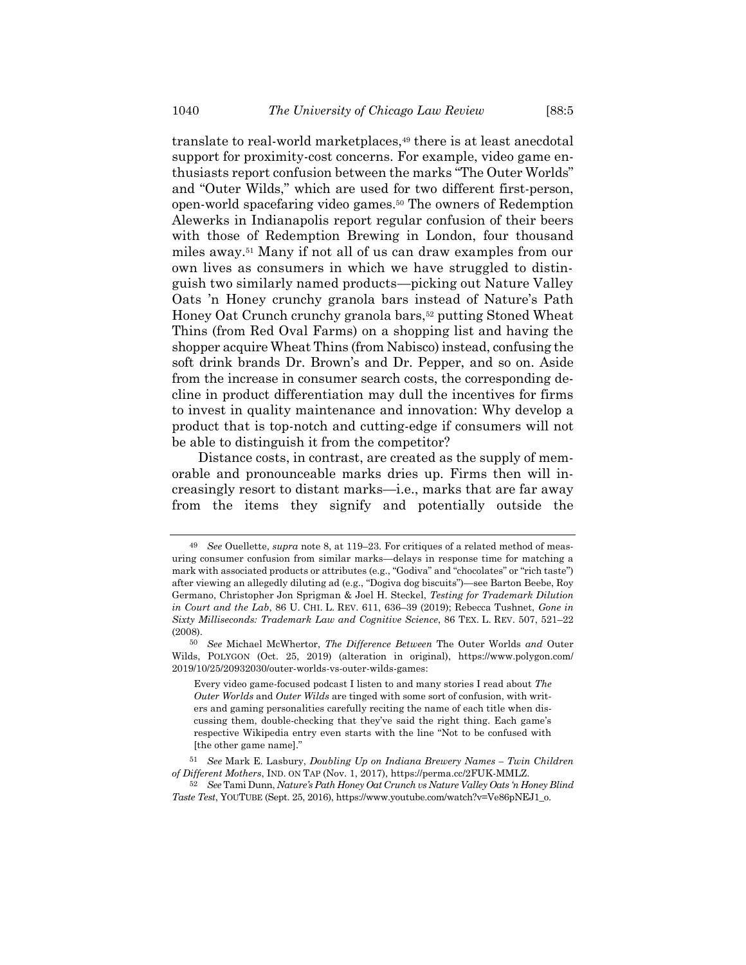translate to real-world marketplaces,<sup>49</sup> there is at least anecdotal support for proximity-cost concerns. For example, video game enthusiasts report confusion between the marks "The Outer Worlds" and "Outer Wilds," which are used for two different first-person, open-world spacefaring video games.<sup>50</sup> The owners of Redemption Alewerks in Indianapolis report regular confusion of their beers with those of Redemption Brewing in London, four thousand miles away.<sup>51</sup> Many if not all of us can draw examples from our own lives as consumers in which we have struggled to distinguish two similarly named products—picking out Nature Valley Oats 'n Honey crunchy granola bars instead of Nature's Path Honey Oat Crunch crunchy granola bars,<sup>52</sup> putting Stoned Wheat Thins (from Red Oval Farms) on a shopping list and having the shopper acquire Wheat Thins (from Nabisco) instead, confusing the soft drink brands Dr. Brown's and Dr. Pepper, and so on. Aside from the increase in consumer search costs, the corresponding decline in product differentiation may dull the incentives for firms to invest in quality maintenance and innovation: Why develop a product that is top-notch and cutting-edge if consumers will not be able to distinguish it from the competitor?

Distance costs, in contrast, are created as the supply of memorable and pronounceable marks dries up. Firms then will increasingly resort to distant marks—i.e., marks that are far away from the items they signify and potentially outside the

<sup>49</sup> *See* Ouellette, *supra* not[e 8,](#page-3-0) at 119–23. For critiques of a related method of measuring consumer confusion from similar marks—delays in response time for matching a mark with associated products or attributes (e.g., "Godiva" and "chocolates" or "rich taste") after viewing an allegedly diluting ad (e.g., "Dogiva dog biscuits")—see Barton Beebe, Roy Germano, Christopher Jon Sprigman & Joel H. Steckel, *Testing for Trademark Dilution in Court and the Lab*, 86 U. CHI. L. REV. 611, 636–39 (2019); Rebecca Tushnet, *Gone in Sixty Milliseconds: Trademark Law and Cognitive Science*, 86 TEX. L. REV. 507, 521–22 (2008).

<sup>50</sup> *See* Michael McWhertor, *The Difference Between* The Outer Worlds *and* Outer Wilds, POLYGON (Oct. 25, 2019) (alteration in original), https://www.polygon.com/ 2019/10/25/20932030/outer-worlds-vs-outer-wilds-games:

Every video game-focused podcast I listen to and many stories I read about *The Outer Worlds* and *Outer Wilds* are tinged with some sort of confusion, with writers and gaming personalities carefully reciting the name of each title when discussing them, double-checking that they've said the right thing. Each game's respective Wikipedia entry even starts with the line "Not to be confused with [the other game name]."

<sup>51</sup> *See* Mark E. Lasbury, *Doubling Up on Indiana Brewery Names – Twin Children of Different Mothers*, IND. ON TAP (Nov. 1, 2017), https://perma.cc/2FUK-MMLZ.

<sup>52</sup> *See* Tami Dunn, *Nature's Path Honey Oat Crunch vs Nature Valley Oats 'n Honey Blind Taste Test*, YOUTUBE (Sept. 25, 2016), https://www.youtube.com/watch?v=Ve86pNEJ1\_o.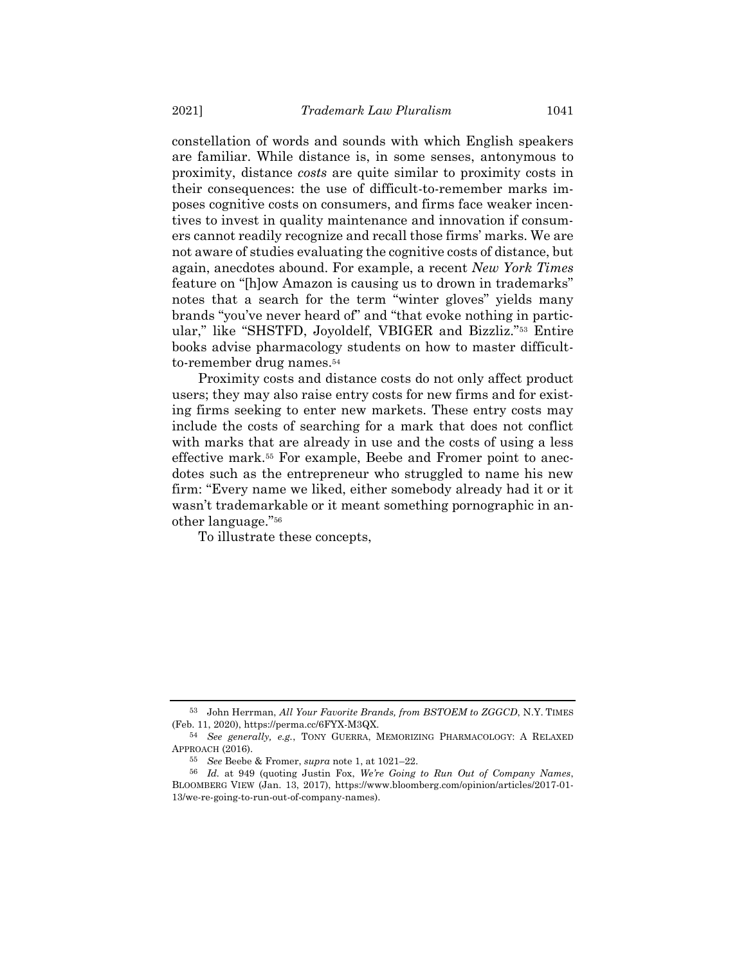constellation of words and sounds with which English speakers are familiar. While distance is, in some senses, antonymous to proximity, distance *costs* are quite similar to proximity costs in their consequences: the use of difficult-to-remember marks imposes cognitive costs on consumers, and firms face weaker incentives to invest in quality maintenance and innovation if consumers cannot readily recognize and recall those firms' marks. We are not aware of studies evaluating the cognitive costs of distance, but again, anecdotes abound. For example, a recent *New York Times* feature on "[h]ow Amazon is causing us to drown in trademarks" notes that a search for the term "winter gloves" yields many brands "you've never heard of" and "that evoke nothing in particular," like "SHSTFD, Joyoldelf, VBIGER and Bizzliz."<sup>53</sup> Entire books advise pharmacology students on how to master difficultto-remember drug names.<sup>54</sup>

<span id="page-16-0"></span>Proximity costs and distance costs do not only affect product users; they may also raise entry costs for new firms and for existing firms seeking to enter new markets. These entry costs may include the costs of searching for a mark that does not conflict with marks that are already in use and the costs of using a less effective mark.<sup>55</sup> For example, Beebe and Fromer point to anecdotes such as the entrepreneur who struggled to name his new firm: "Every name we liked, either somebody already had it or it wasn't trademarkable or it meant something pornographic in another language."<sup>56</sup>

To illustrate these concepts,

<sup>53</sup> John Herrman, *All Your Favorite Brands, from BSTOEM to ZGGCD*, N.Y. TIMES (Feb. 11, 2020), https://perma.cc/6FYX-M3QX.

<sup>54</sup> *See generally, e.g.*, TONY GUERRA, MEMORIZING PHARMACOLOGY: A RELAXED APPROACH (2016).

<sup>55</sup> *See* Beebe & Fromer, *supra* not[e 1,](#page-1-0) at 1021–22.

<sup>56</sup> *Id.* at 949 (quoting Justin Fox, *We're Going to Run Out of Company Names*, BLOOMBERG VIEW (Jan. 13, 2017), [https://www.bloomberg.com/opinion/articles/2017-01-](https://www.bloomberg.com/opinion/articles/2017-01-13/we-re-going-to-run-out-of-company-names) [13/we-re-going-to-run-out-of-company-names\)](https://www.bloomberg.com/opinion/articles/2017-01-13/we-re-going-to-run-out-of-company-names).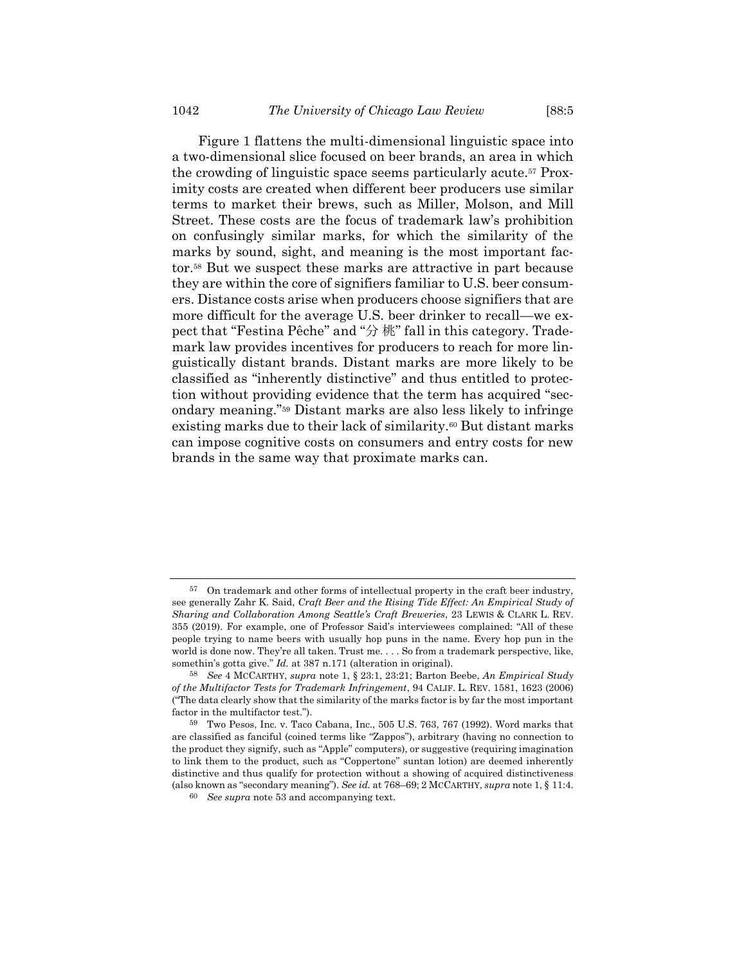<span id="page-17-2"></span>[Figure](#page-17-0) 1 flattens the multi-dimensional linguistic space into a two-dimensional slice focused on beer brands, an area in which the crowding of linguistic space seems particularly acute.<sup>57</sup> Proximity costs are created when different beer producers use similar terms to market their brews, such as Miller, Molson, and Mill Street. These costs are the focus of trademark law's prohibition on confusingly similar marks, for which the similarity of the marks by sound, sight, and meaning is the most important factor.<sup>58</sup> But we suspect these marks are attractive in part because they are within the core of signifiers familiar to U.S. beer consumers. Distance costs arise when producers choose signifiers that are more difficult for the average U.S. beer drinker to recall—we expect that "Festina Pêche" and "分 桃" fall in this category. Trademark law provides incentives for producers to reach for more linguistically distant brands. Distant marks are more likely to be classified as "inherently distinctive" and thus entitled to protection without providing evidence that the term has acquired "secondary meaning."<sup>59</sup> Distant marks are also less likely to infringe existing marks due to their lack of similarity.<sup>60</sup> But distant marks can impose cognitive costs on consumers and entry costs for new brands in the same way that proximate marks can.

<span id="page-17-1"></span><span id="page-17-0"></span><sup>57</sup> On trademark and other forms of intellectual property in the craft beer industry, see generally Zahr K. Said, *Craft Beer and the Rising Tide Effect: An Empirical Study of Sharing and Collaboration Among Seattle's Craft Breweries*, 23 LEWIS & CLARK L. REV. 355 (2019). For example, one of Professor Said's interviewees complained: "All of these people trying to name beers with usually hop puns in the name. Every hop pun in the world is done now. They're all taken. Trust me. . . . So from a trademark perspective, like, somethin's gotta give." *Id.* at 387 n.171 (alteration in original).

<sup>58</sup> *See* 4 MCCARTHY, *supra* not[e 1,](#page-1-0) § 23:1, 23:21; Barton Beebe, *An Empirical Study of the Multifactor Tests for Trademark Infringement*, 94 CALIF. L. REV. 1581, 1623 (2006) ("The data clearly show that the similarity of the marks factor is by far the most important factor in the multifactor test.").

<sup>59</sup> Two Pesos, Inc. v. Taco Cabana, Inc., 505 U.S. 763, 767 (1992). Word marks that are classified as fanciful (coined terms like "Zappos"), arbitrary (having no connection to the product they signify, such as "Apple" computers), or suggestive (requiring imagination to link them to the product, such as "Coppertone" suntan lotion) are deemed inherently distinctive and thus qualify for protection without a showing of acquired distinctiveness (also known as "secondary meaning"). *See id.* at 768–69; 2 MCCARTHY, *supra* not[e 1,](#page-1-0) § 11:4.

<sup>60</sup> *See supra* note [53](#page-16-0) and accompanying text.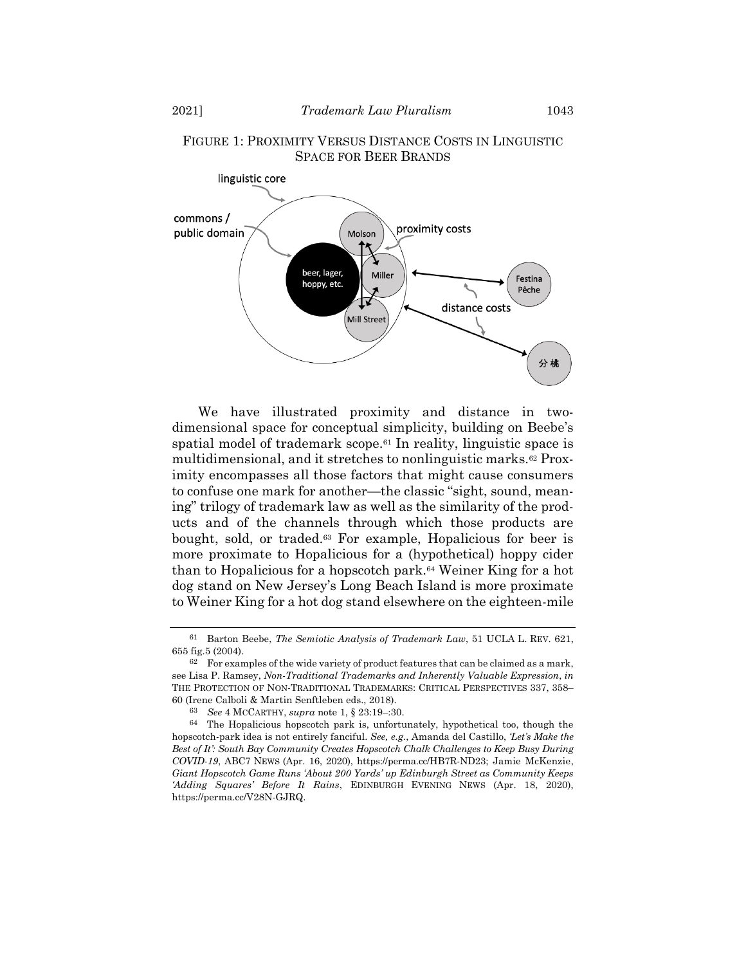

### FIGURE 1: PROXIMITY VERSUS DISTANCE COSTS IN LINGUISTIC SPACE FOR BEER BRANDS

We have illustrated proximity and distance in twodimensional space for conceptual simplicity, building on Beebe's spatial model of trademark scope.<sup>61</sup> In reality, linguistic space is multidimensional, and it stretches to nonlinguistic marks.<sup>62</sup> Proximity encompasses all those factors that might cause consumers to confuse one mark for another—the classic "sight, sound, meaning" trilogy of trademark law as well as the similarity of the products and of the channels through which those products are bought, sold, or traded.<sup>63</sup> For example, Hopalicious for beer is more proximate to Hopalicious for a (hypothetical) hoppy cider than to Hopalicious for a hopscotch park.<sup>64</sup> Weiner King for a hot dog stand on New Jersey's Long Beach Island is more proximate to Weiner King for a hot dog stand elsewhere on the eighteen-mile

<sup>61</sup> Barton Beebe, *The Semiotic Analysis of Trademark Law*, 51 UCLA L. REV. 621, 655 fig.5 (2004).

 $62$  For examples of the wide variety of product features that can be claimed as a mark, see Lisa P. Ramsey, *Non-Traditional Trademarks and Inherently Valuable Expression*, *in* THE PROTECTION OF NON-TRADITIONAL TRADEMARKS: CRITICAL PERSPECTIVES 337, 358– 60 (Irene Calboli & Martin Senftleben eds., 2018).

<sup>63</sup> *See* 4 MCCARTHY, *supra* note [1,](#page-1-0) § 23:19–:30.

<sup>64</sup> The Hopalicious hopscotch park is, unfortunately, hypothetical too, though the hopscotch-park idea is not entirely fanciful. *See, e.g.*, Amanda del Castillo, *'Let's Make the Best of It': South Bay Community Creates Hopscotch Chalk Challenges to Keep Busy During COVID-19*, ABC7 NEWS (Apr. 16, 2020), https://perma.cc/HB7R-ND23; Jamie McKenzie, *Giant Hopscotch Game Runs 'About 200 Yards' up Edinburgh Street as Community Keeps 'Adding Squares' Before It Rains*, EDINBURGH EVENING NEWS (Apr. 18, 2020), https://perma.cc/V28N-GJRQ.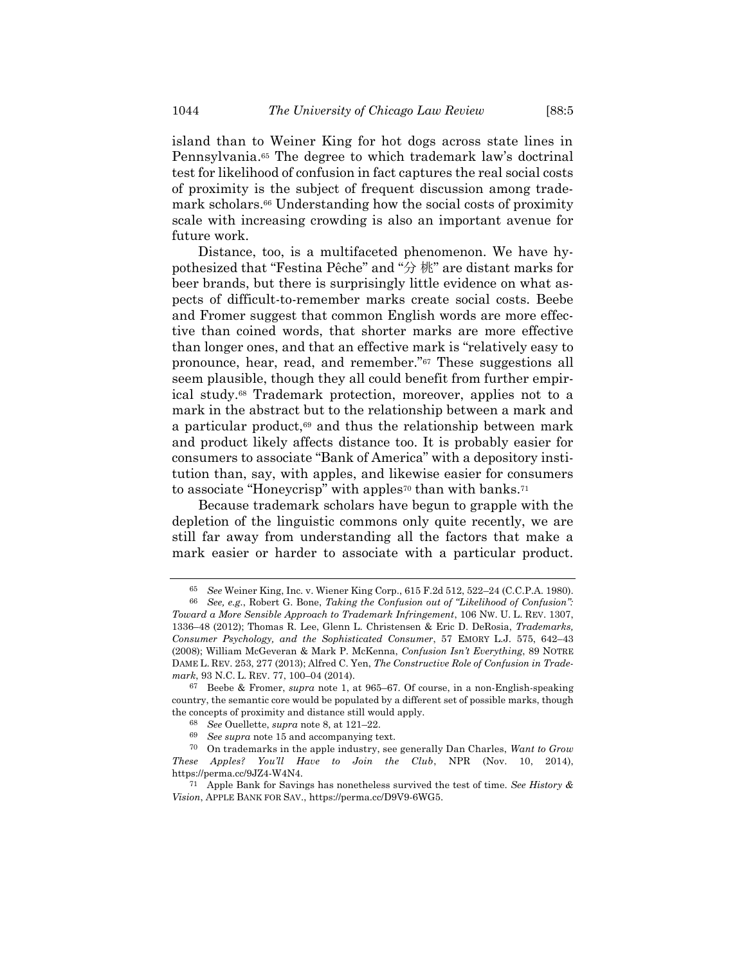island than to Weiner King for hot dogs across state lines in Pennsylvania. <sup>65</sup> The degree to which trademark law's doctrinal test for likelihood of confusion in fact captures the real social costs of proximity is the subject of frequent discussion among trademark scholars.<sup>66</sup> Understanding how the social costs of proximity scale with increasing crowding is also an important avenue for future work.

<span id="page-19-1"></span>Distance, too, is a multifaceted phenomenon. We have hypothesized that "Festina Pêche" and "分 桃" are distant marks for beer brands, but there is surprisingly little evidence on what aspects of difficult-to-remember marks create social costs. Beebe and Fromer suggest that common English words are more effective than coined words, that shorter marks are more effective than longer ones, and that an effective mark is "relatively easy to pronounce, hear, read, and remember."<sup>67</sup> These suggestions all seem plausible, though they all could benefit from further empirical study.<sup>68</sup> Trademark protection, moreover, applies not to a mark in the abstract but to the relationship between a mark and a particular product, $69$  and thus the relationship between mark and product likely affects distance too. It is probably easier for consumers to associate "Bank of America" with a depository institution than, say, with apples, and likewise easier for consumers to associate "Honeycrisp" with apples<sup>70</sup> than with banks.<sup>71</sup>

Because trademark scholars have begun to grapple with the depletion of the linguistic commons only quite recently, we are still far away from understanding all the factors that make a mark easier or harder to associate with a particular product.

<span id="page-19-0"></span><sup>65</sup> *See* Weiner King, Inc. v. Wiener King Corp., 615 F.2d 512, 522–24 (C.C.P.A. 1980).

<sup>66</sup> *See, e.g.*, Robert G. Bone, *Taking the Confusion out of "Likelihood of Confusion": Toward a More Sensible Approach to Trademark Infringement*, 106 NW. U. L. REV. 1307, 1336–48 (2012); Thomas R. Lee, Glenn L. Christensen & Eric D. DeRosia, *Trademarks, Consumer Psychology, and the Sophisticated Consumer*, 57 EMORY L.J. 575, 642–43 (2008); William McGeveran & Mark P. McKenna, *Confusion Isn't Everything*, 89 NOTRE DAME L. REV. 253, 277 (2013); Alfred C. Yen, *The Constructive Role of Confusion in Trademark*, 93 N.C. L. REV. 77, 100–04 (2014).

<sup>67</sup> Beebe & Fromer, *supra* note [1,](#page-1-0) at 965–67. Of course, in a non-English-speaking country, the semantic core would be populated by a different set of possible marks, though the concepts of proximity and distance still would apply.

<sup>68</sup> *See* Ouellette, *supra* note [8,](#page-3-0) at 121–22.

<sup>69</sup> *See supra* note [15](#page-6-0) and accompanying text.

<sup>70</sup> On trademarks in the apple industry, see generally Dan Charles, *Want to Grow These Apples? You'll Have to Join the Club*, NPR (Nov. 10, 2014), https://perma.cc/9JZ4-W4N4.

<sup>71</sup> Apple Bank for Savings has nonetheless survived the test of time. *See History & Vision*, APPLE BANK FOR SAV., https://perma.cc/D9V9-6WG5.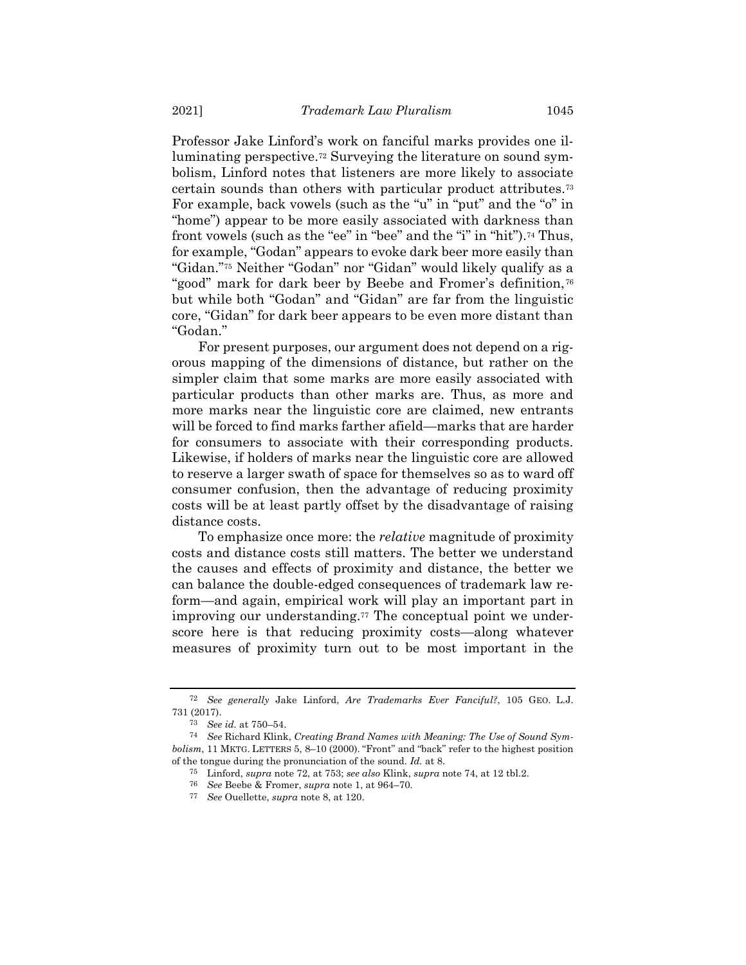<span id="page-20-1"></span><span id="page-20-0"></span>Professor Jake Linford's work on fanciful marks provides one illuminating perspective.<sup>72</sup> Surveying the literature on sound symbolism, Linford notes that listeners are more likely to associate certain sounds than others with particular product attributes.<sup>73</sup> For example, back vowels (such as the "u" in "put" and the "o" in "home") appear to be more easily associated with darkness than front vowels (such as the "ee" in "bee" and the "i" in "hit").<sup>74</sup> Thus, for example, "Godan" appears to evoke dark beer more easily than "Gidan."<sup>75</sup> Neither "Godan" nor "Gidan" would likely qualify as a "good" mark for dark beer by Beebe and Fromer's definition,<sup>76</sup> but while both "Godan" and "Gidan" are far from the linguistic core, "Gidan" for dark beer appears to be even more distant than "Godan."

For present purposes, our argument does not depend on a rigorous mapping of the dimensions of distance, but rather on the simpler claim that some marks are more easily associated with particular products than other marks are. Thus, as more and more marks near the linguistic core are claimed, new entrants will be forced to find marks farther afield—marks that are harder for consumers to associate with their corresponding products. Likewise, if holders of marks near the linguistic core are allowed to reserve a larger swath of space for themselves so as to ward off consumer confusion, then the advantage of reducing proximity costs will be at least partly offset by the disadvantage of raising distance costs.

To emphasize once more: the *relative* magnitude of proximity costs and distance costs still matters. The better we understand the causes and effects of proximity and distance, the better we can balance the double-edged consequences of trademark law reform—and again, empirical work will play an important part in improving our understanding.<sup>77</sup> The conceptual point we underscore here is that reducing proximity costs—along whatever measures of proximity turn out to be most important in the

<sup>72</sup> *See generally* Jake Linford, *Are Trademarks Ever Fanciful?*, 105 GEO. L.J. 731 (2017).

<sup>73</sup> *See id.* at 750–54.

<sup>74</sup> *See* Richard Klink, *Creating Brand Names with Meaning: The Use of Sound Symbolism*, 11 MKTG. LETTERS 5, 8–10 (2000). "Front" and "back" refer to the highest position of the tongue during the pronunciation of the sound. *Id.* at 8.

<sup>75</sup> Linford, *supra* not[e 72,](#page-20-1) at 753; *see also* Klink, *supra* not[e 74,](#page-20-0) at 12 tbl.2.

<sup>76</sup> *See* Beebe & Fromer, *supra* not[e 1,](#page-1-0) at 964–70.

<sup>77</sup> *See* Ouellette, *supra* note [8,](#page-3-0) at 120.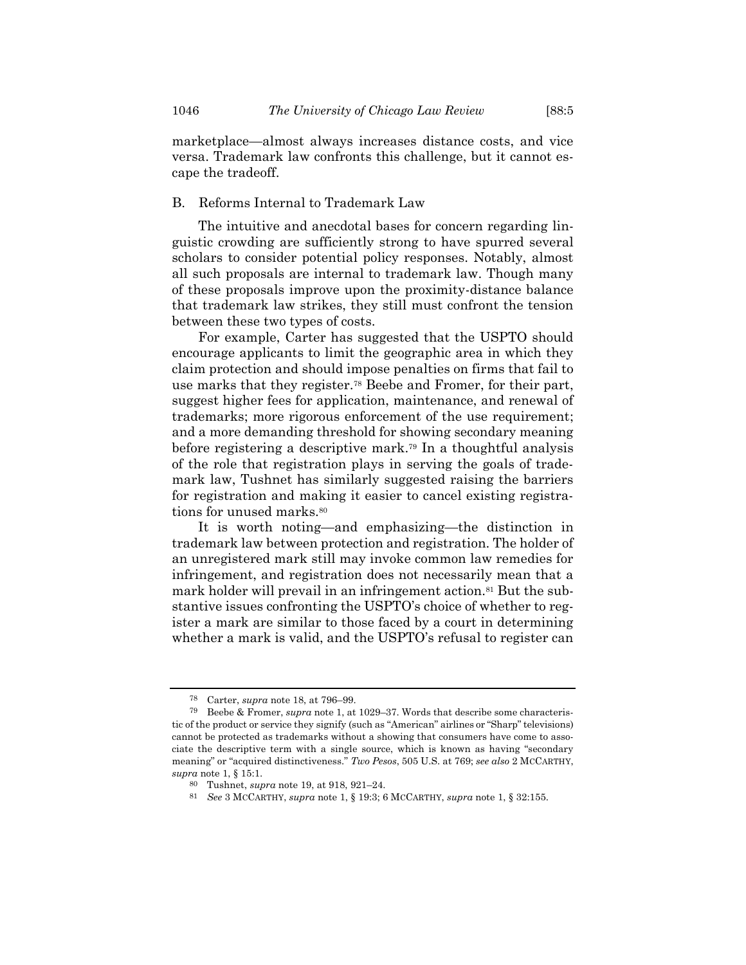marketplace—almost always increases distance costs, and vice versa. Trademark law confronts this challenge, but it cannot escape the tradeoff.

#### B. Reforms Internal to Trademark Law

The intuitive and anecdotal bases for concern regarding linguistic crowding are sufficiently strong to have spurred several scholars to consider potential policy responses. Notably, almost all such proposals are internal to trademark law. Though many of these proposals improve upon the proximity-distance balance that trademark law strikes, they still must confront the tension between these two types of costs.

For example, Carter has suggested that the USPTO should encourage applicants to limit the geographic area in which they claim protection and should impose penalties on firms that fail to use marks that they register.<sup>78</sup> Beebe and Fromer, for their part, suggest higher fees for application, maintenance, and renewal of trademarks; more rigorous enforcement of the use requirement; and a more demanding threshold for showing secondary meaning before registering a descriptive mark.<sup>79</sup> In a thoughtful analysis of the role that registration plays in serving the goals of trademark law, Tushnet has similarly suggested raising the barriers for registration and making it easier to cancel existing registrations for unused marks.<sup>80</sup>

It is worth noting—and emphasizing—the distinction in trademark law between protection and registration. The holder of an unregistered mark still may invoke common law remedies for infringement, and registration does not necessarily mean that a mark holder will prevail in an infringement action.<sup>81</sup> But the substantive issues confronting the USPTO's choice of whether to register a mark are similar to those faced by a court in determining whether a mark is valid, and the USPTO's refusal to register can

<sup>78</sup> Carter, *supra* not[e 18,](#page-7-1) at 796–99.

<sup>79</sup> Beebe & Fromer, *supra* not[e 1,](#page-1-0) at 1029–37. Words that describe some characteristic of the product or service they signify (such as "American" airlines or "Sharp" televisions) cannot be protected as trademarks without a showing that consumers have come to associate the descriptive term with a single source, which is known as having "secondary meaning" or "acquired distinctiveness." *Two Pesos*, 505 U.S. at 769; *see also* 2 MCCARTHY, *supra* not[e 1,](#page-1-0) § 15:1.

<sup>80</sup> Tushnet, *supra* note [19,](#page-7-0) at 918, 921–24.

<sup>81</sup> *See* 3 MCCARTHY, *supra* note [1,](#page-1-0) § 19:3; 6 MCCARTHY, *supra* not[e 1,](#page-1-0) § 32:155.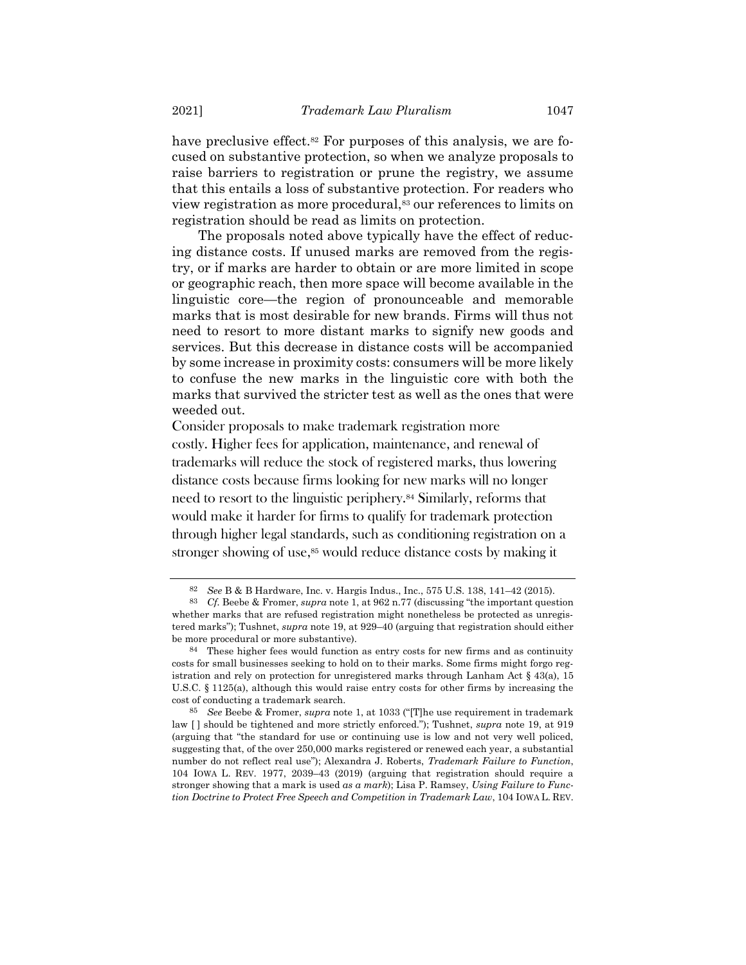have preclusive effect.<sup>82</sup> For purposes of this analysis, we are focused on substantive protection, so when we analyze proposals to raise barriers to registration or prune the registry, we assume that this entails a loss of substantive protection. For readers who view registration as more procedural,<sup>83</sup> our references to limits on registration should be read as limits on protection.

The proposals noted above typically have the effect of reducing distance costs. If unused marks are removed from the registry, or if marks are harder to obtain or are more limited in scope or geographic reach, then more space will become available in the linguistic core—the region of pronounceable and memorable marks that is most desirable for new brands. Firms will thus not need to resort to more distant marks to signify new goods and services. But this decrease in distance costs will be accompanied by some increase in proximity costs: consumers will be more likely to confuse the new marks in the linguistic core with both the marks that survived the stricter test as well as the ones that were weeded out.

Consider proposals to make trademark registration more costly. Higher fees for application, maintenance, and renewal of trademarks will reduce the stock of registered marks, thus lowering distance costs because firms looking for new marks will no longer need to resort to the linguistic periphery.<sup>84</sup> Similarly, reforms that would make it harder for firms to qualify for trademark protection through higher legal standards, such as conditioning registration on a stronger showing of use,<sup>85</sup> would reduce distance costs by making it

<sup>82</sup> *See* B & B Hardware, Inc. v. Hargis Indus., Inc., 575 U.S. 138, 141–42 (2015).

<sup>83</sup> *Cf.* Beebe & Fromer, *supra* not[e 1](#page-1-0), at 962 n.77 (discussing "the important question whether marks that are refused registration might nonetheless be protected as unregistered marks"); Tushnet, *supra* note [19,](#page-7-0) at 929–40 (arguing that registration should either be more procedural or more substantive).

<sup>84</sup> These higher fees would function as entry costs for new firms and as continuity costs for small businesses seeking to hold on to their marks. Some firms might forgo registration and rely on protection for unregistered marks through Lanham Act  $\S$  43(a), 15 U.S.C. § 1125(a), although this would raise entry costs for other firms by increasing the cost of conducting a trademark search.

<sup>85</sup> *See* Beebe & Fromer, *supra* note [1](#page-1-0), at 1033 ("[T]he use requirement in trademark law [ ] should be tightened and more strictly enforced."); Tushnet, *supra* note [19,](#page-7-0) at 919 (arguing that "the standard for use or continuing use is low and not very well policed, suggesting that, of the over 250,000 marks registered or renewed each year, a substantial number do not reflect real use"); Alexandra J. Roberts, *Trademark Failure to Function*, 104 IOWA L. REV. 1977, 2039–43 (2019) (arguing that registration should require a stronger showing that a mark is used *as a mark*); Lisa P. Ramsey, *Using Failure to Function Doctrine to Protect Free Speech and Competition in Trademark Law*, 104 IOWA L. REV.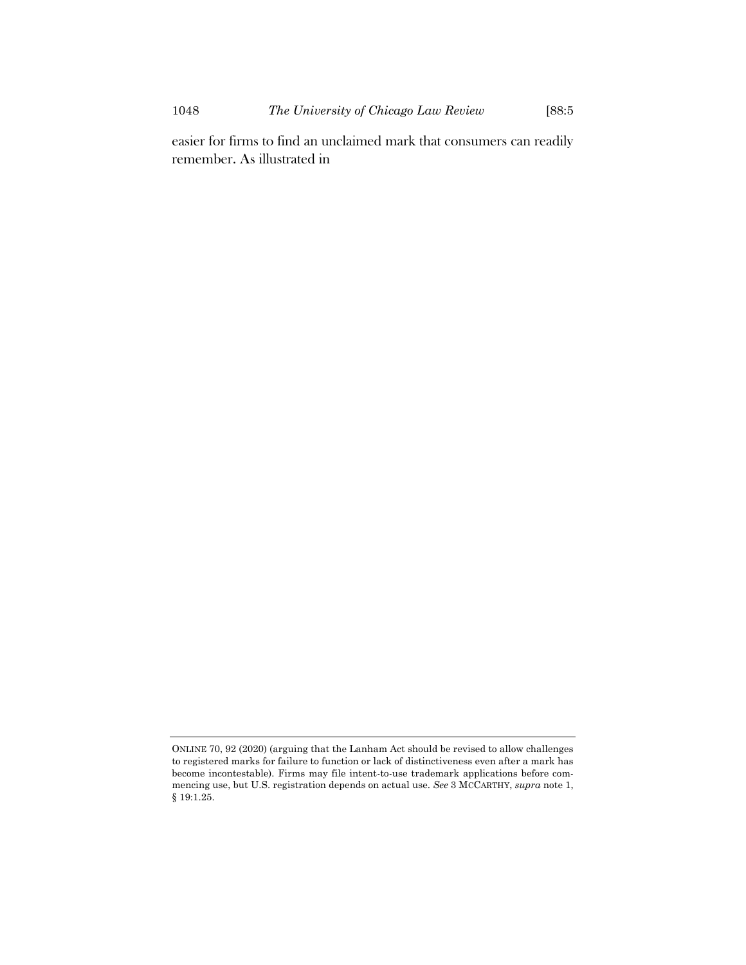easier for firms to find an unclaimed mark that consumers can readily remember. As illustrated in

ONLINE 70, 92 (2020) (arguing that the Lanham Act should be revised to allow challenges to registered marks for failure to function or lack of distinctiveness even after a mark has become incontestable). Firms may file intent-to-use trademark applications before commencing use, but U.S. registration depends on actual use. *See* 3 MCCARTHY, *supra* not[e 1,](#page-1-0)  § 19:1.25.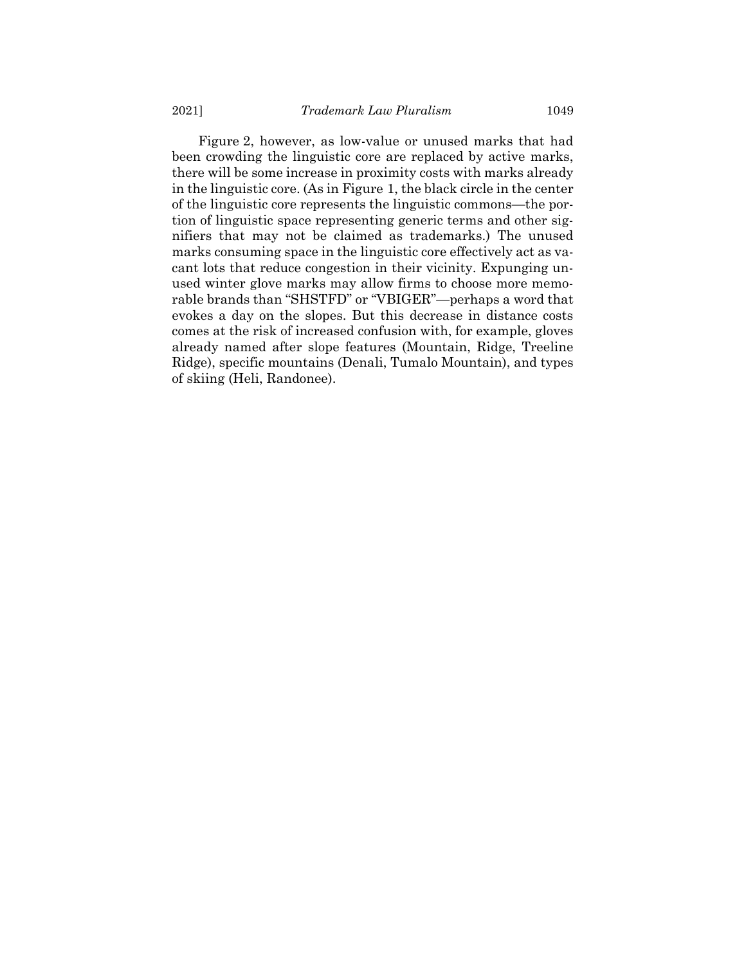<span id="page-24-0"></span>[Figure](#page-24-0) 2, however, as low-value or unused marks that had been crowding the linguistic core are replaced by active marks, there will be some increase in proximity costs with marks already in the linguistic core. (As in Figure 1, the black circle in the center of the linguistic core represents the linguistic commons—the portion of linguistic space representing generic terms and other signifiers that may not be claimed as trademarks.) The unused marks consuming space in the linguistic core effectively act as vacant lots that reduce congestion in their vicinity. Expunging unused winter glove marks may allow firms to choose more memorable brands than "SHSTFD" or "VBIGER"—perhaps a word that evokes a day on the slopes. But this decrease in distance costs comes at the risk of increased confusion with, for example, gloves already named after slope features (Mountain, Ridge, Treeline Ridge), specific mountains (Denali, Tumalo Mountain), and types of skiing (Heli, Randonee).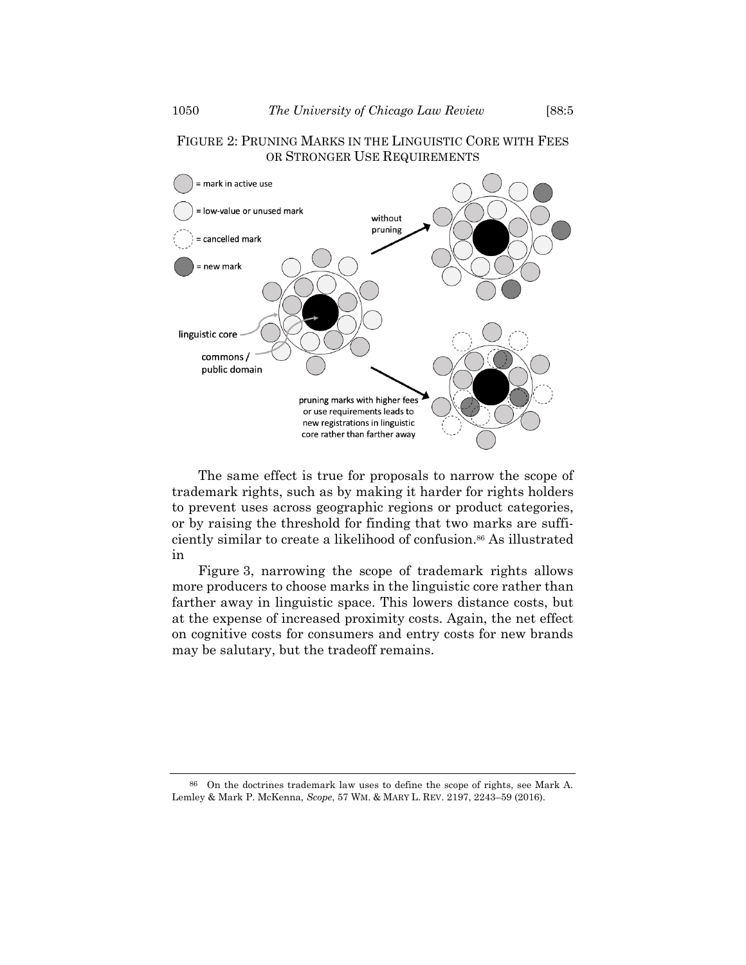# FIGURE 2: PRUNING MARKS IN THE LINGUISTIC CORE WITH FEES OR STRONGER USE REQUIREMENTS



The same effect is true for proposals to narrow the scope of trademark rights, such as by making it harder for rights holders to prevent uses across geographic regions or product categories, or by raising the threshold for finding that two marks are sufficiently similar to create a likelihood of confusion. <sup>86</sup> As illustrated in

<span id="page-25-1"></span><span id="page-25-0"></span>[Figure](#page-25-0) 3, narrowing the scope of trademark rights allows more producers to choose marks in the linguistic core rather than farther away in linguistic space. This lowers distance costs, but at the expense of increased proximity costs. Again, the net effect on cognitive costs for consumers and entry costs for new brands may be salutary, but the tradeoff remains.

86 On the doctrines trademark law uses to define the scope of rights, see Mark A. Lemley & Mark P. McKenna, *Scope*, 57 WM. & MARY L. REV. 2197, 2243–59 (2016).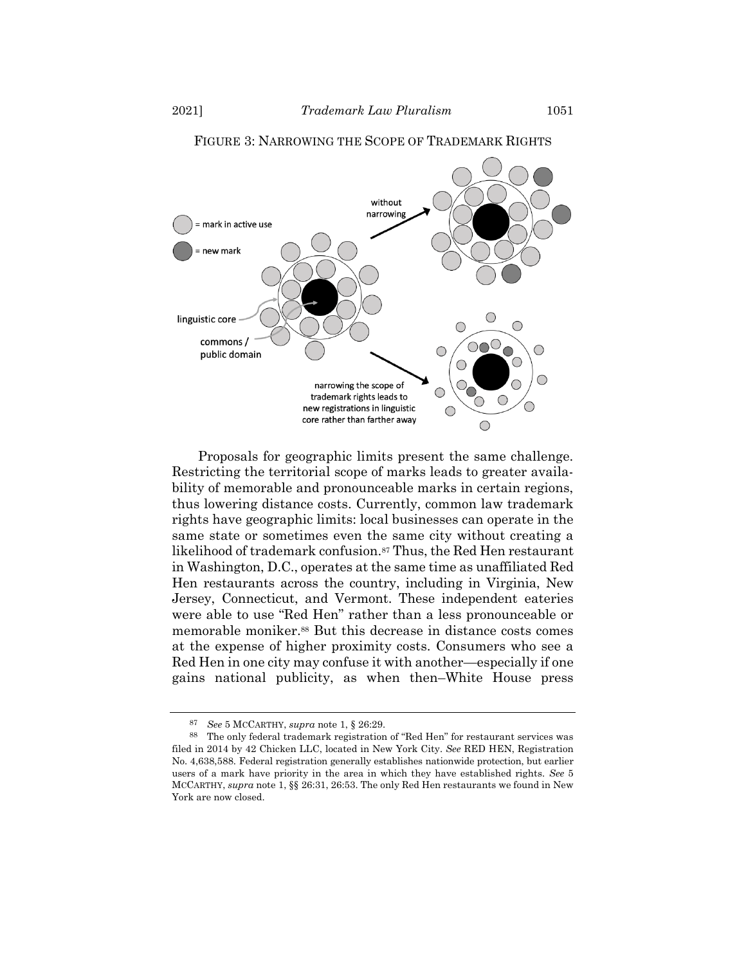

### FIGURE 3: NARROWING THE SCOPE OF TRADEMARK RIGHTS

Proposals for geographic limits present the same challenge. Restricting the territorial scope of marks leads to greater availability of memorable and pronounceable marks in certain regions, thus lowering distance costs. Currently, common law trademark rights have geographic limits: local businesses can operate in the same state or sometimes even the same city without creating a likelihood of trademark confusion.<sup>87</sup> Thus, the Red Hen restaurant in Washington, D.C., operates at the same time as unaffiliated Red Hen restaurants across the country, including in Virginia, New Jersey, Connecticut, and Vermont. These independent eateries were able to use "Red Hen" rather than a less pronounceable or memorable moniker.<sup>88</sup> But this decrease in distance costs comes at the expense of higher proximity costs. Consumers who see a Red Hen in one city may confuse it with another—especially if one gains national publicity, as when then–White House press

<sup>87</sup> *See* 5 MCCARTHY, *supra* note [1,](#page-1-0) § 26:29.

<sup>88</sup> The only federal trademark registration of "Red Hen" for restaurant services was filed in 2014 by 42 Chicken LLC, located in New York City. *See* RED HEN, Registration No. 4,638,588. Federal registration generally establishes nationwide protection, but earlier users of a mark have priority in the area in which they have established rights. *See* 5 MCCARTHY, *supra* note [1,](#page-1-0) §§ 26:31, 26:53. The only Red Hen restaurants we found in New York are now closed.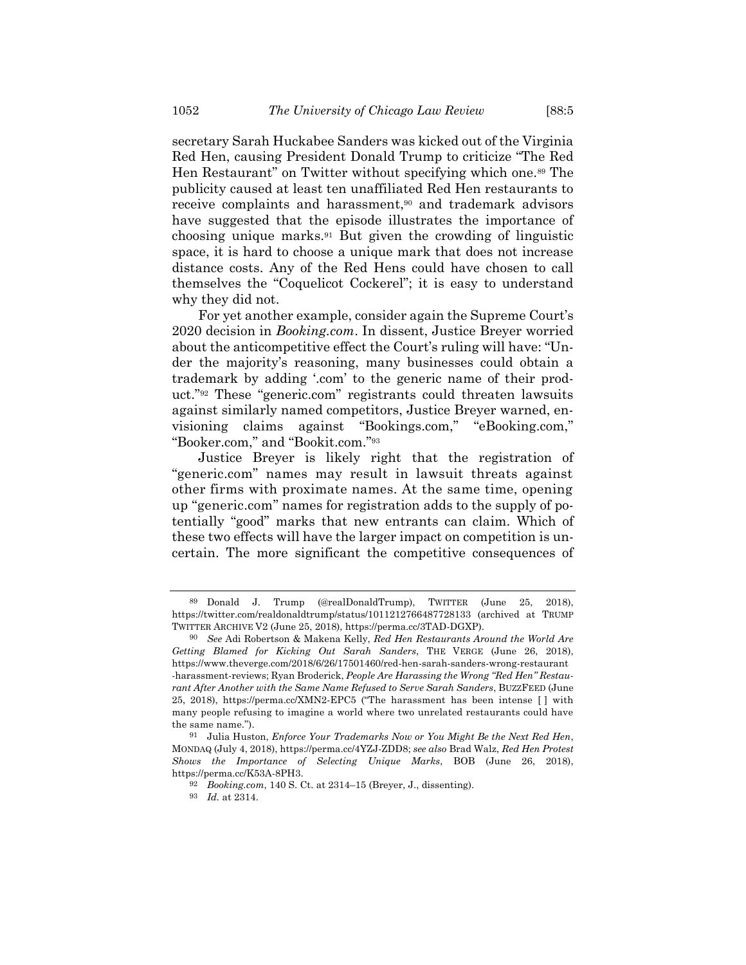secretary Sarah Huckabee Sanders was kicked out of the Virginia Red Hen, causing President Donald Trump to criticize "The Red Hen Restaurant" on Twitter without specifying which one.<sup>89</sup> The publicity caused at least ten unaffiliated Red Hen restaurants to receive complaints and harassment,<sup>90</sup> and trademark advisors have suggested that the episode illustrates the importance of choosing unique marks.<sup>91</sup> But given the crowding of linguistic space, it is hard to choose a unique mark that does not increase distance costs. Any of the Red Hens could have chosen to call themselves the "Coquelicot Cockerel"; it is easy to understand why they did not.

For yet another example, consider again the Supreme Court's 2020 decision in *Booking.com*. In dissent, Justice Breyer worried about the anticompetitive effect the Court's ruling will have: "Under the majority's reasoning, many businesses could obtain a trademark by adding '.com' to the generic name of their product." <sup>92</sup> These "generic.com" registrants could threaten lawsuits against similarly named competitors, Justice Breyer warned, envisioning claims against "Bookings.com," "eBooking.com," "Booker.com," and "Bookit.com."<sup>93</sup>

Justice Breyer is likely right that the registration of "generic.com" names may result in lawsuit threats against other firms with proximate names. At the same time, opening up "generic.com" names for registration adds to the supply of potentially "good" marks that new entrants can claim. Which of these two effects will have the larger impact on competition is uncertain. The more significant the competitive consequences of

<sup>89</sup> Donald J. Trump (@realDonaldTrump), TWITTER (June 25, 2018), https://twitter.com/realdonaldtrump/status/1011212766487728133 (archived at TRUMP TWITTER ARCHIVE V2 (June 25, 2018), https://perma.cc/3TAD-DGXP).

<sup>90</sup> *See* Adi Robertson & Makena Kelly, *Red Hen Restaurants Around the World Are Getting Blamed for Kicking Out Sarah Sanders*, THE VERGE (June 26, 2018), https://www.theverge.com/2018/6/26/17501460/red-hen-sarah-sanders-wrong-restaurant -harassment-reviews; Ryan Broderick, *People Are Harassing the Wrong "Red Hen" Restaurant After Another with the Same Name Refused to Serve Sarah Sanders*, BUZZFEED (June 25, 2018), https://perma.cc/XMN2-EPC5 ("The harassment has been intense [ ] with many people refusing to imagine a world where two unrelated restaurants could have the same name.").

<sup>91</sup> Julia Huston, *Enforce Your Trademarks Now or You Might Be the Next Red Hen*, MONDAQ (July 4, 2018), https://perma.cc/4YZJ-ZDD8; *see also* Brad Walz, *Red Hen Protest Shows the Importance of Selecting Unique Marks*, BOB (June 26, 2018), https://perma.cc/K53A-8PH3.

<sup>92</sup> *Booking.com*, 140 S. Ct. at 2314–15 (Breyer, J., dissenting).

<sup>93</sup> *Id.* at 2314.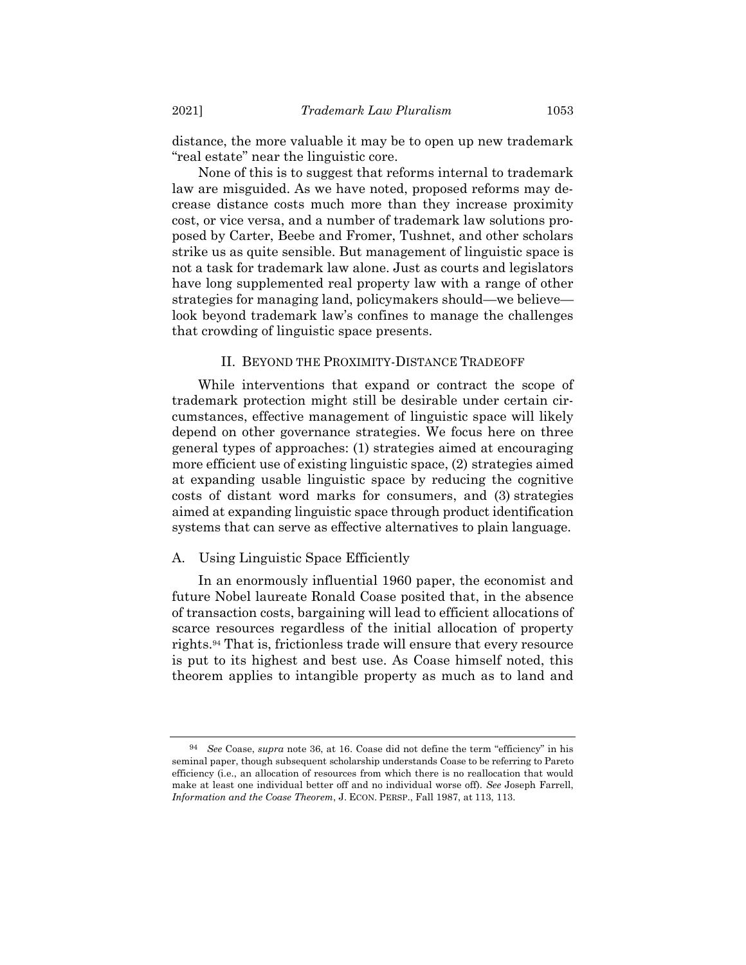distance, the more valuable it may be to open up new trademark "real estate" near the linguistic core.

None of this is to suggest that reforms internal to trademark law are misguided. As we have noted, proposed reforms may decrease distance costs much more than they increase proximity cost, or vice versa, and a number of trademark law solutions proposed by Carter, Beebe and Fromer, Tushnet, and other scholars strike us as quite sensible. But management of linguistic space is not a task for trademark law alone. Just as courts and legislators have long supplemented real property law with a range of other strategies for managing land, policymakers should—we believe look beyond trademark law's confines to manage the challenges that crowding of linguistic space presents.

### II. BEYOND THE PROXIMITY-DISTANCE TRADEOFF

While interventions that expand or contract the scope of trademark protection might still be desirable under certain circumstances, effective management of linguistic space will likely depend on other governance strategies. We focus here on three general types of approaches: (1) strategies aimed at encouraging more efficient use of existing linguistic space, (2) strategies aimed at expanding usable linguistic space by reducing the cognitive costs of distant word marks for consumers, and (3) strategies aimed at expanding linguistic space through product identification systems that can serve as effective alternatives to plain language.

#### A. Using Linguistic Space Efficiently

In an enormously influential 1960 paper, the economist and future Nobel laureate Ronald Coase posited that, in the absence of transaction costs, bargaining will lead to efficient allocations of scarce resources regardless of the initial allocation of property rights.<sup>94</sup> That is, frictionless trade will ensure that every resource is put to its highest and best use. As Coase himself noted, this theorem applies to intangible property as much as to land and

<sup>94</sup> *See* Coase, *supra* note [36,](#page-10-0) at 16. Coase did not define the term "efficiency" in his seminal paper, though subsequent scholarship understands Coase to be referring to Pareto efficiency (i.e., an allocation of resources from which there is no reallocation that would make at least one individual better off and no individual worse off). *See* Joseph Farrell, *Information and the Coase Theorem*, J. ECON. PERSP., Fall 1987, at 113, 113.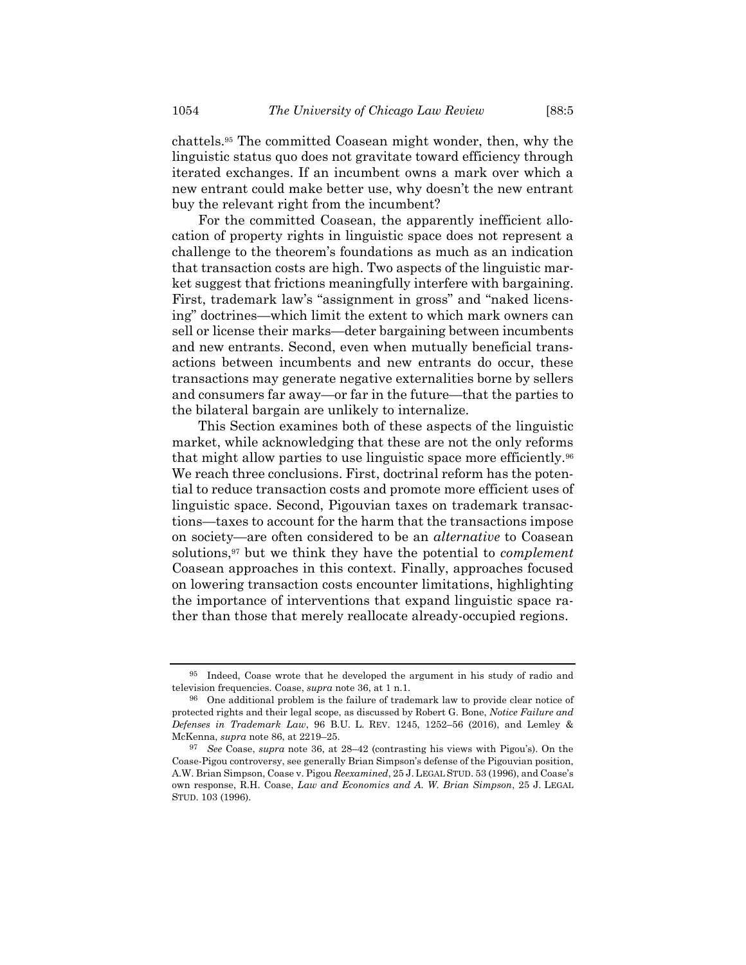chattels.<sup>95</sup> The committed Coasean might wonder, then, why the linguistic status quo does not gravitate toward efficiency through iterated exchanges. If an incumbent owns a mark over which a new entrant could make better use, why doesn't the new entrant buy the relevant right from the incumbent?

For the committed Coasean, the apparently inefficient allocation of property rights in linguistic space does not represent a challenge to the theorem's foundations as much as an indication that transaction costs are high. Two aspects of the linguistic market suggest that frictions meaningfully interfere with bargaining. First, trademark law's "assignment in gross" and "naked licensing" doctrines—which limit the extent to which mark owners can sell or license their marks—deter bargaining between incumbents and new entrants. Second, even when mutually beneficial transactions between incumbents and new entrants do occur, these transactions may generate negative externalities borne by sellers and consumers far away—or far in the future—that the parties to the bilateral bargain are unlikely to internalize.

This Section examines both of these aspects of the linguistic market, while acknowledging that these are not the only reforms that might allow parties to use linguistic space more efficiently.<sup>96</sup> We reach three conclusions. First, doctrinal reform has the potential to reduce transaction costs and promote more efficient uses of linguistic space. Second, Pigouvian taxes on trademark transactions—taxes to account for the harm that the transactions impose on society—are often considered to be an *alternative* to Coasean solutions,<sup>97</sup> but we think they have the potential to *complement* Coasean approaches in this context. Finally, approaches focused on lowering transaction costs encounter limitations, highlighting the importance of interventions that expand linguistic space rather than those that merely reallocate already-occupied regions.

<sup>95</sup> Indeed, Coase wrote that he developed the argument in his study of radio and television frequencies. Coase, *supra* not[e 36,](#page-10-0) at 1 n.1.

<sup>96</sup> One additional problem is the failure of trademark law to provide clear notice of protected rights and their legal scope, as discussed by Robert G. Bone, *Notice Failure and Defenses in Trademark Law*, 96 B.U. L. REV. 1245, 1252–56 (2016), and Lemley & McKenna, *supra* not[e 86,](#page-25-1) at 2219–25.

<sup>97</sup> *See* Coase, *supra* note [36,](#page-10-0) at 28–42 (contrasting his views with Pigou's). On the Coase-Pigou controversy, see generally Brian Simpson's defense of the Pigouvian position, A.W. Brian Simpson, Coase v. Pigou *Reexamined*, 25 J. LEGAL STUD. 53 (1996), and Coase's own response, R.H. Coase, *Law and Economics and A. W. Brian Simpson*, 25 J. LEGAL STUD. 103 (1996).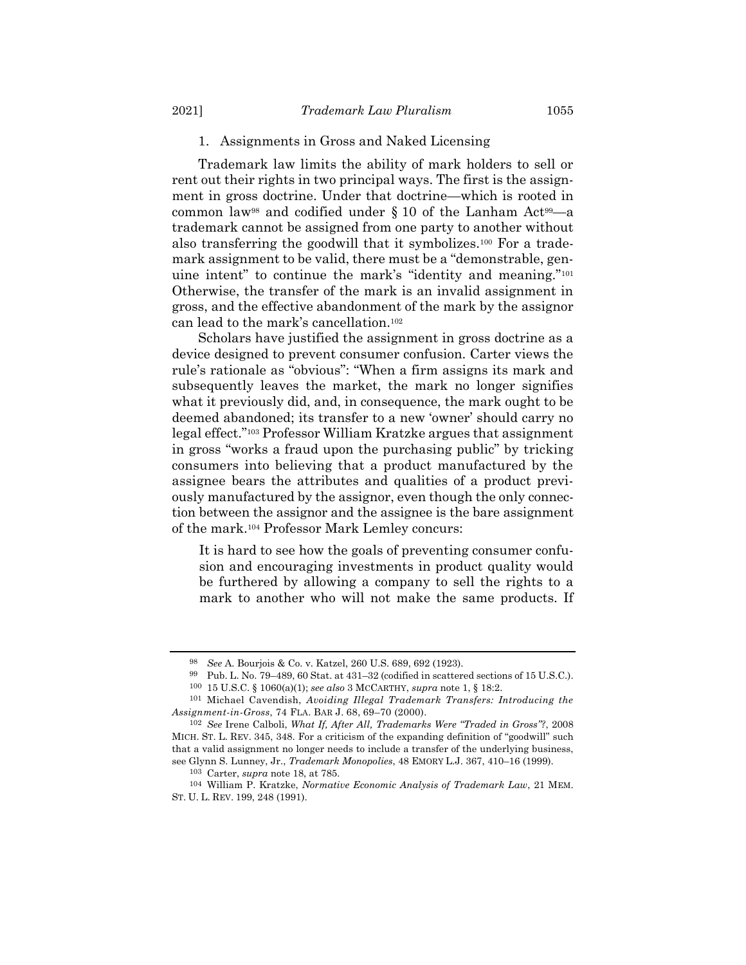Trademark law limits the ability of mark holders to sell or rent out their rights in two principal ways. The first is the assignment in gross doctrine. Under that doctrine—which is rooted in common law<sup>98</sup> and codified under  $\S 10$  of the Lanham Act<sup>99</sup>—a trademark cannot be assigned from one party to another without also transferring the goodwill that it symbolizes.<sup>100</sup> For a trademark assignment to be valid, there must be a "demonstrable, genuine intent" to continue the mark's "identity and meaning."<sup>101</sup> Otherwise, the transfer of the mark is an invalid assignment in gross, and the effective abandonment of the mark by the assignor can lead to the mark's cancellation.<sup>102</sup>

Scholars have justified the assignment in gross doctrine as a device designed to prevent consumer confusion. Carter views the rule's rationale as "obvious": "When a firm assigns its mark and subsequently leaves the market, the mark no longer signifies what it previously did, and, in consequence, the mark ought to be deemed abandoned; its transfer to a new 'owner' should carry no legal effect."<sup>103</sup> Professor William Kratzke argues that assignment in gross "works a fraud upon the purchasing public" by tricking consumers into believing that a product manufactured by the assignee bears the attributes and qualities of a product previously manufactured by the assignor, even though the only connection between the assignor and the assignee is the bare assignment of the mark.<sup>104</sup> Professor Mark Lemley concurs:

It is hard to see how the goals of preventing consumer confusion and encouraging investments in product quality would be furthered by allowing a company to sell the rights to a mark to another who will not make the same products. If

<sup>98</sup> *See* A. Bourjois & Co. v. Katzel, 260 U.S. 689, 692 (1923).

<sup>99</sup> Pub. L. No. 79–489, 60 Stat. at 431–32 (codified in scattered sections of 15 U.S.C.). 100 15 U.S.C. § 1060(a)(1); *see also* 3 MCCARTHY, *supra* not[e 1,](#page-1-0) § 18:2.

<sup>101</sup> Michael Cavendish, *Avoiding Illegal Trademark Transfers: Introducing the Assignment-in-Gross*, 74 FLA. BAR J. 68, 69–70 (2000).

<sup>102</sup> *See* Irene Calboli, *What If, After All, Trademarks Were "Traded in Gross"?*, 2008 MICH. ST. L. REV. 345, 348. For a criticism of the expanding definition of "goodwill" such that a valid assignment no longer needs to include a transfer of the underlying business, see Glynn S. Lunney, Jr., *Trademark Monopolies*, 48 EMORY L.J. 367, 410–16 (1999).

<sup>103</sup> Carter, *supra* not[e 18,](#page-7-1) at 785.

<sup>104</sup> William P. Kratzke, *Normative Economic Analysis of Trademark Law*, 21 MEM. ST. U. L. REV. 199, 248 (1991).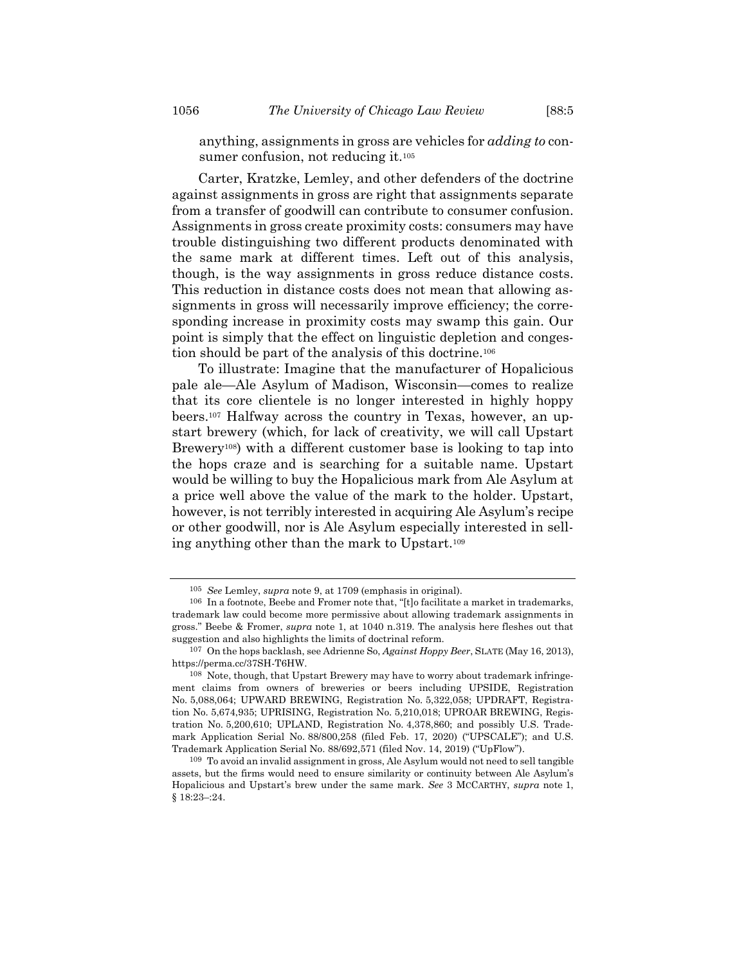anything, assignments in gross are vehicles for *adding to* consumer confusion, not reducing it.<sup>105</sup>

Carter, Kratzke, Lemley, and other defenders of the doctrine against assignments in gross are right that assignments separate from a transfer of goodwill can contribute to consumer confusion. Assignments in gross create proximity costs: consumers may have trouble distinguishing two different products denominated with the same mark at different times. Left out of this analysis, though, is the way assignments in gross reduce distance costs. This reduction in distance costs does not mean that allowing assignments in gross will necessarily improve efficiency; the corresponding increase in proximity costs may swamp this gain. Our point is simply that the effect on linguistic depletion and congestion should be part of the analysis of this doctrine.<sup>106</sup>

To illustrate: Imagine that the manufacturer of Hopalicious pale ale—Ale Asylum of Madison, Wisconsin—comes to realize that its core clientele is no longer interested in highly hoppy beers.<sup>107</sup> Halfway across the country in Texas, however, an upstart brewery (which, for lack of creativity, we will call Upstart Brewery108) with a different customer base is looking to tap into the hops craze and is searching for a suitable name. Upstart would be willing to buy the Hopalicious mark from Ale Asylum at a price well above the value of the mark to the holder. Upstart, however, is not terribly interested in acquiring Ale Asylum's recipe or other goodwill, nor is Ale Asylum especially interested in selling anything other than the mark to Upstart.<sup>109</sup>

<sup>105</sup> *See* Lemley, *supra* note [9,](#page-3-1) at 1709 (emphasis in original).

<sup>106</sup> In a footnote, Beebe and Fromer note that, "[t]o facilitate a market in trademarks, trademark law could become more permissive about allowing trademark assignments in gross." Beebe & Fromer, *supra* note [1,](#page-1-0) at 1040 n.319. The analysis here fleshes out that suggestion and also highlights the limits of doctrinal reform.

<sup>107</sup> On the hops backlash, see Adrienne So, *Against Hoppy Beer*, SLATE (May 16, 2013), https://perma.cc/37SH-T6HW.

<sup>108</sup> Note, though, that Upstart Brewery may have to worry about trademark infringement claims from owners of breweries or beers including UPSIDE, Registration No. 5,088,064; UPWARD BREWING, Registration No. 5,322,058; UPDRAFT, Registration No. 5,674,935; UPRISING, Registration No. 5,210,018; UPROAR BREWING, Registration No. 5,200,610; UPLAND, Registration No. 4,378,860; and possibly U.S. Trademark Application Serial No. 88/800,258 (filed Feb. 17, 2020) ("UPSCALE"); and U.S. Trademark Application Serial No. 88/692,571 (filed Nov. 14, 2019) ("UpFlow").

<sup>109</sup> To avoid an invalid assignment in gross, Ale Asylum would not need to sell tangible assets, but the firms would need to ensure similarity or continuity between Ale Asylum's Hopalicious and Upstart's brew under the same mark. *See* 3 MCCARTHY, *supra* note [1,](#page-1-0)  § 18:23–:24.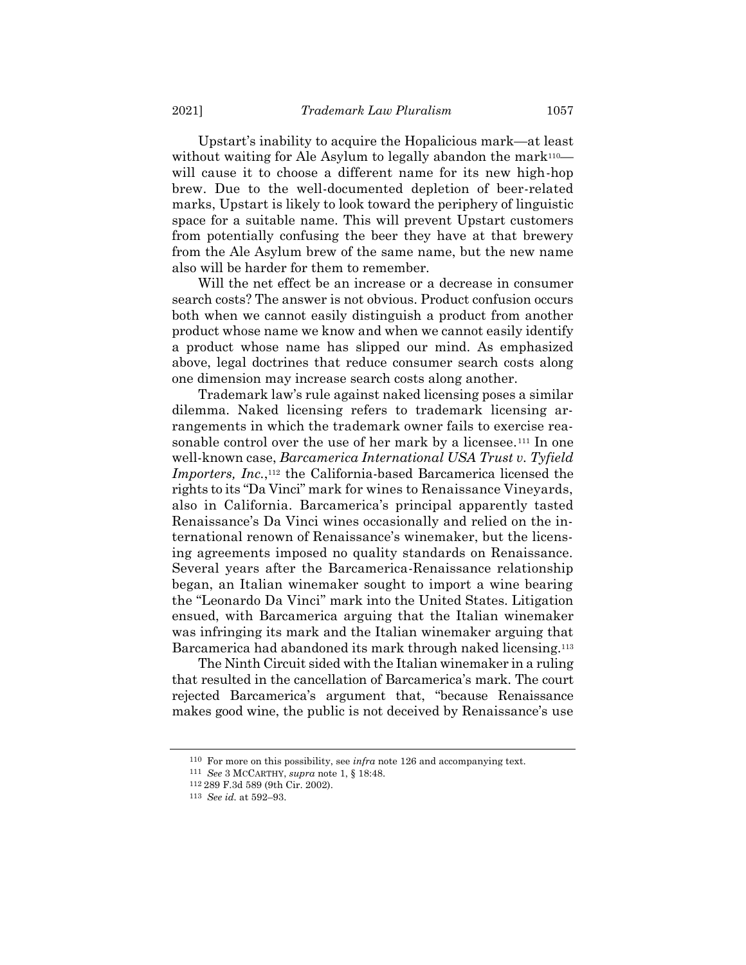Upstart's inability to acquire the Hopalicious mark—at least without waiting for Ale Asylum to legally abandon the mark<sup>110—</sup> will cause it to choose a different name for its new high-hop brew. Due to the well-documented depletion of beer-related marks, Upstart is likely to look toward the periphery of linguistic space for a suitable name. This will prevent Upstart customers from potentially confusing the beer they have at that brewery from the Ale Asylum brew of the same name, but the new name also will be harder for them to remember.

Will the net effect be an increase or a decrease in consumer search costs? The answer is not obvious. Product confusion occurs both when we cannot easily distinguish a product from another product whose name we know and when we cannot easily identify a product whose name has slipped our mind. As emphasized above, legal doctrines that reduce consumer search costs along one dimension may increase search costs along another.

Trademark law's rule against naked licensing poses a similar dilemma. Naked licensing refers to trademark licensing arrangements in which the trademark owner fails to exercise reasonable control over the use of her mark by a licensee.<sup>111</sup> In one well-known case, *Barcamerica International USA Trust v. Tyfield Importers, Inc.*,<sup>112</sup> the California-based Barcamerica licensed the rights to its "Da Vinci" mark for wines to Renaissance Vineyards, also in California. Barcamerica's principal apparently tasted Renaissance's Da Vinci wines occasionally and relied on the international renown of Renaissance's winemaker, but the licensing agreements imposed no quality standards on Renaissance. Several years after the Barcamerica-Renaissance relationship began, an Italian winemaker sought to import a wine bearing the "Leonardo Da Vinci" mark into the United States. Litigation ensued, with Barcamerica arguing that the Italian winemaker was infringing its mark and the Italian winemaker arguing that Barcamerica had abandoned its mark through naked licensing.<sup>113</sup>

The Ninth Circuit sided with the Italian winemaker in a ruling that resulted in the cancellation of Barcamerica's mark. The court rejected Barcamerica's argument that, "because Renaissance makes good wine, the public is not deceived by Renaissance's use

<sup>110</sup> For more on this possibility, see *infra* not[e 126](#page-35-0) and accompanying text.

<sup>111</sup> *See* 3 MCCARTHY, *supra* note [1,](#page-1-0) § 18:48.

<sup>112</sup> 289 F.3d 589 (9th Cir. 2002).

<sup>113</sup> *See id.* at 592–93.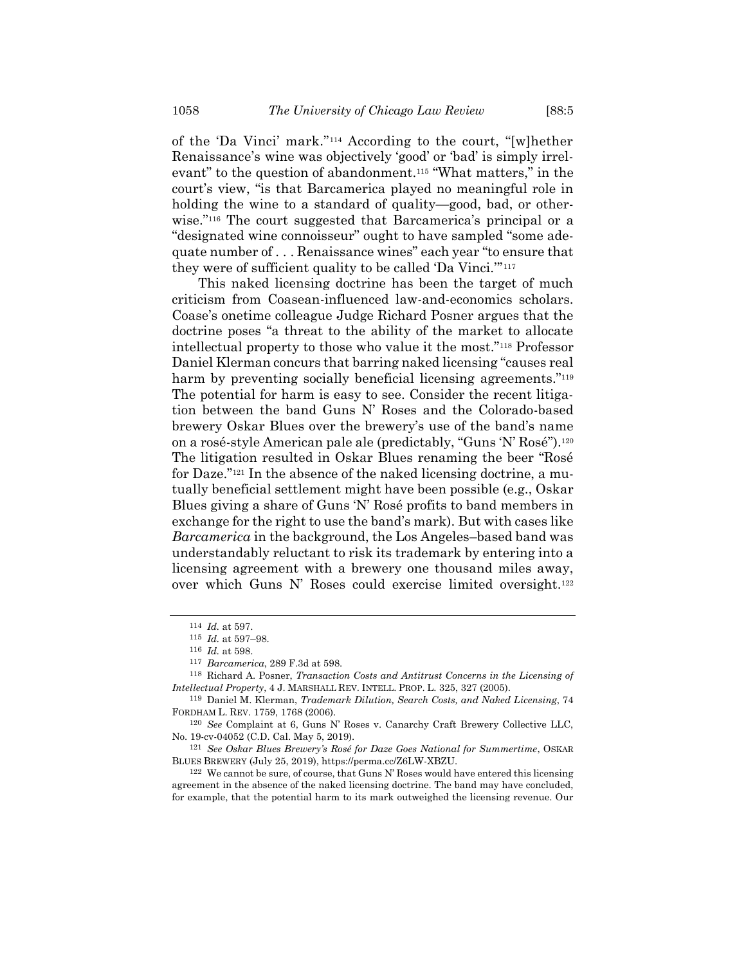of the 'Da Vinci' mark."<sup>114</sup> According to the court, "[w]hether Renaissance's wine was objectively 'good' or 'bad' is simply irrelevant" to the question of abandonment.<sup>115</sup> "What matters," in the court's view, "is that Barcamerica played no meaningful role in holding the wine to a standard of quality—good, bad, or otherwise."<sup>116</sup> The court suggested that Barcamerica's principal or a "designated wine connoisseur" ought to have sampled "some adequate number of . . . Renaissance wines" each year "to ensure that they were of sufficient quality to be called 'Da Vinci.'" 117

This naked licensing doctrine has been the target of much criticism from Coasean-influenced law-and-economics scholars. Coase's onetime colleague Judge Richard Posner argues that the doctrine poses "a threat to the ability of the market to allocate intellectual property to those who value it the most."<sup>118</sup> Professor Daniel Klerman concurs that barring naked licensing "causes real harm by preventing socially beneficial licensing agreements."<sup>119</sup> The potential for harm is easy to see. Consider the recent litigation between the band Guns N' Roses and the Colorado-based brewery Oskar Blues over the brewery's use of the band's name on a rosé-style American pale ale (predictably, "Guns 'N' Rosé").<sup>120</sup> The litigation resulted in Oskar Blues renaming the beer "Rosé for Daze."<sup>121</sup> In the absence of the naked licensing doctrine, a mutually beneficial settlement might have been possible (e.g., Oskar Blues giving a share of Guns 'N' Rosé profits to band members in exchange for the right to use the band's mark). But with cases like *Barcamerica* in the background, the Los Angeles–based band was understandably reluctant to risk its trademark by entering into a licensing agreement with a brewery one thousand miles away, over which Guns N' Roses could exercise limited oversight.<sup>122</sup>

<sup>114</sup> *Id.* at 597.

<sup>115</sup> *Id.* at 597–98.

<sup>116</sup> *Id.* at 598.

<sup>117</sup> *Barcamerica*, 289 F.3d at 598.

<sup>118</sup> Richard A. Posner, *Transaction Costs and Antitrust Concerns in the Licensing of Intellectual Property*, 4 J. MARSHALL REV. INTELL. PROP. L. 325, 327 (2005).

<sup>119</sup> Daniel M. Klerman, *Trademark Dilution, Search Costs, and Naked Licensing*, 74 FORDHAM L. REV. 1759, 1768 (2006).

<sup>120</sup> *See* Complaint at 6, Guns N' Roses v. Canarchy Craft Brewery Collective LLC, No. 19-cv-04052 (C.D. Cal. May 5, 2019).

<sup>121</sup> *See Oskar Blues Brewery's Rosé for Daze Goes National for Summertime*, OSKAR BLUES BREWERY (July 25, 2019), https://perma.cc/Z6LW-XBZU.

 $122$  We cannot be sure, of course, that Guns N' Roses would have entered this licensing agreement in the absence of the naked licensing doctrine. The band may have concluded, for example, that the potential harm to its mark outweighed the licensing revenue. Our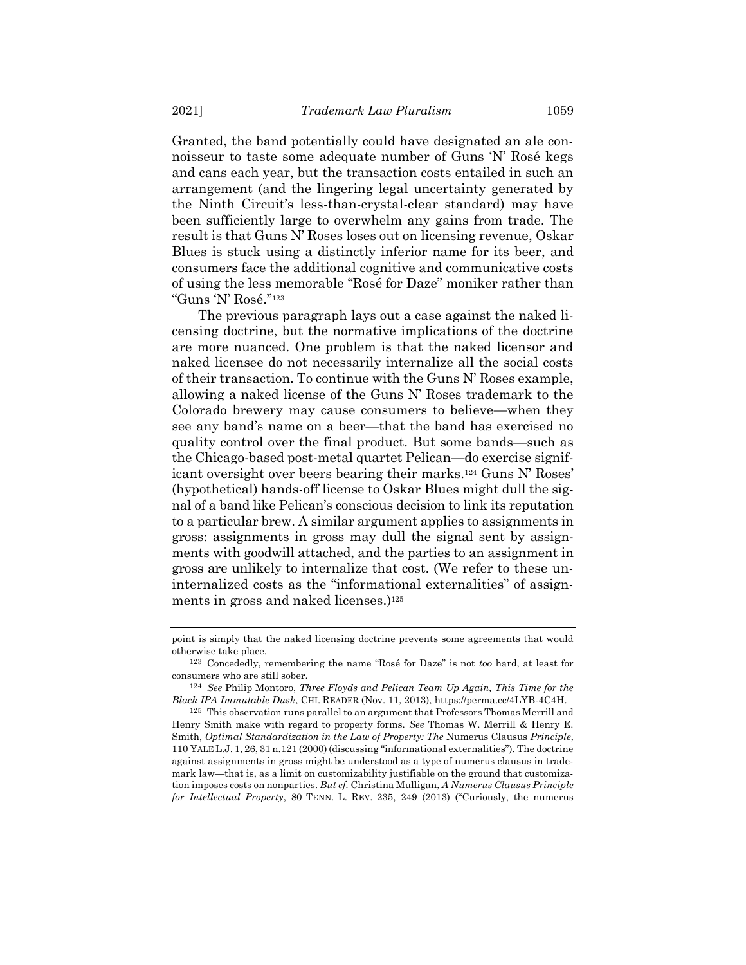Granted, the band potentially could have designated an ale connoisseur to taste some adequate number of Guns 'N' Rosé kegs and cans each year, but the transaction costs entailed in such an arrangement (and the lingering legal uncertainty generated by the Ninth Circuit's less-than-crystal-clear standard) may have been sufficiently large to overwhelm any gains from trade. The result is that Guns N' Roses loses out on licensing revenue, Oskar Blues is stuck using a distinctly inferior name for its beer, and consumers face the additional cognitive and communicative costs of using the less memorable "Rosé for Daze" moniker rather than "Guns 'N' Rosé."<sup>123</sup>

The previous paragraph lays out a case against the naked licensing doctrine, but the normative implications of the doctrine are more nuanced. One problem is that the naked licensor and naked licensee do not necessarily internalize all the social costs of their transaction. To continue with the Guns N' Roses example, allowing a naked license of the Guns N' Roses trademark to the Colorado brewery may cause consumers to believe—when they see any band's name on a beer—that the band has exercised no quality control over the final product. But some bands—such as the Chicago-based post-metal quartet Pelican—do exercise significant oversight over beers bearing their marks.<sup>124</sup> Guns N' Roses' (hypothetical) hands-off license to Oskar Blues might dull the signal of a band like Pelican's conscious decision to link its reputation to a particular brew. A similar argument applies to assignments in gross: assignments in gross may dull the signal sent by assignments with goodwill attached, and the parties to an assignment in gross are unlikely to internalize that cost. (We refer to these uninternalized costs as the "informational externalities" of assignments in gross and naked licenses.) 125

point is simply that the naked licensing doctrine prevents some agreements that would otherwise take place.

<sup>123</sup> Concededly, remembering the name "Rosé for Daze" is not *too* hard, at least for consumers who are still sober.

<sup>124</sup> *See* Philip Montoro, *Three Floyds and Pelican Team Up Again, This Time for the Black IPA Immutable Dusk*, CHI. READER (Nov. 11, 2013), https://perma.cc/4LYB-4C4H.

<sup>125</sup> This observation runs parallel to an argument that Professors Thomas Merrill and Henry Smith make with regard to property forms. *See* Thomas W. Merrill & Henry E. Smith, *Optimal Standardization in the Law of Property: The* Numerus Clausus *Principle*, 110 YALE L.J. 1, 26, 31 n.121 (2000) (discussing "informational externalities"). The doctrine against assignments in gross might be understood as a type of numerus clausus in trademark law—that is, as a limit on customizability justifiable on the ground that customization imposes costs on nonparties. *But cf.* Christina Mulligan, *A Numerus Clausus Principle for Intellectual Property*, 80 TENN. L. REV. 235, 249 (2013) ("Curiously, the numerus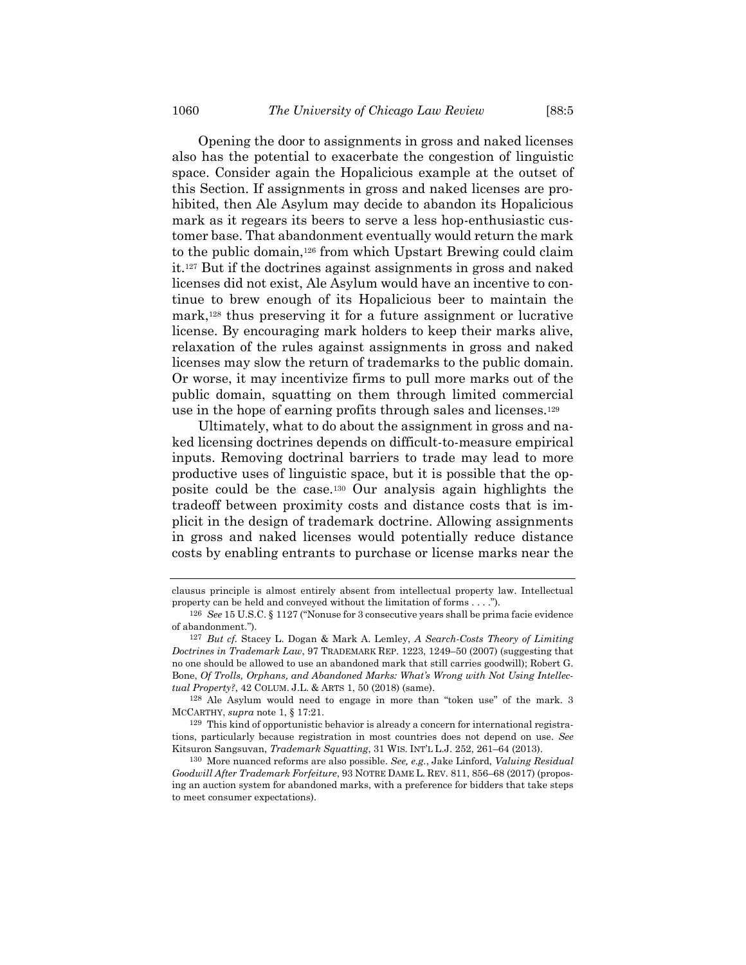<span id="page-35-0"></span>Opening the door to assignments in gross and naked licenses also has the potential to exacerbate the congestion of linguistic space. Consider again the Hopalicious example at the outset of this Section. If assignments in gross and naked licenses are prohibited, then Ale Asylum may decide to abandon its Hopalicious mark as it regears its beers to serve a less hop-enthusiastic customer base. That abandonment eventually would return the mark to the public domain,<sup>126</sup> from which Upstart Brewing could claim it.<sup>127</sup> But if the doctrines against assignments in gross and naked licenses did not exist, Ale Asylum would have an incentive to continue to brew enough of its Hopalicious beer to maintain the mark,<sup>128</sup> thus preserving it for a future assignment or lucrative license. By encouraging mark holders to keep their marks alive, relaxation of the rules against assignments in gross and naked licenses may slow the return of trademarks to the public domain. Or worse, it may incentivize firms to pull more marks out of the public domain, squatting on them through limited commercial use in the hope of earning profits through sales and licenses.<sup>129</sup>

Ultimately, what to do about the assignment in gross and naked licensing doctrines depends on difficult-to-measure empirical inputs. Removing doctrinal barriers to trade may lead to more productive uses of linguistic space, but it is possible that the opposite could be the case.<sup>130</sup> Our analysis again highlights the tradeoff between proximity costs and distance costs that is implicit in the design of trademark doctrine. Allowing assignments in gross and naked licenses would potentially reduce distance costs by enabling entrants to purchase or license marks near the

128 Ale Asylum would need to engage in more than "token use" of the mark. 3 MCCARTHY, *supra* note [1,](#page-1-0) § 17:21.

129 This kind of opportunistic behavior is already a concern for international registrations, particularly because registration in most countries does not depend on use. *See* Kitsuron Sangsuvan, *Trademark Squatting*, 31 WIS. INT'L L.J. 252, 261–64 (2013).

130 More nuanced reforms are also possible. *See, e.g.*, Jake Linford, *Valuing Residual Goodwill After Trademark Forfeiture*, 93 NOTRE DAME L. REV. 811, 856–68 (2017) (proposing an auction system for abandoned marks, with a preference for bidders that take steps to meet consumer expectations).

clausus principle is almost entirely absent from intellectual property law. Intellectual property can be held and conveyed without the limitation of forms . . . .").

<sup>126</sup> *See* 15 U.S.C. § 1127 ("Nonuse for 3 consecutive years shall be prima facie evidence of abandonment.").

<sup>127</sup> *But cf.* Stacey L. Dogan & Mark A. Lemley, *A Search-Costs Theory of Limiting Doctrines in Trademark Law*, 97 TRADEMARK REP. 1223, 1249–50 (2007) (suggesting that no one should be allowed to use an abandoned mark that still carries goodwill); Robert G. Bone, *Of Trolls, Orphans, and Abandoned Marks: What's Wrong with Not Using Intellectual Property?*, 42 COLUM. J.L. & ARTS 1, 50 (2018) (same).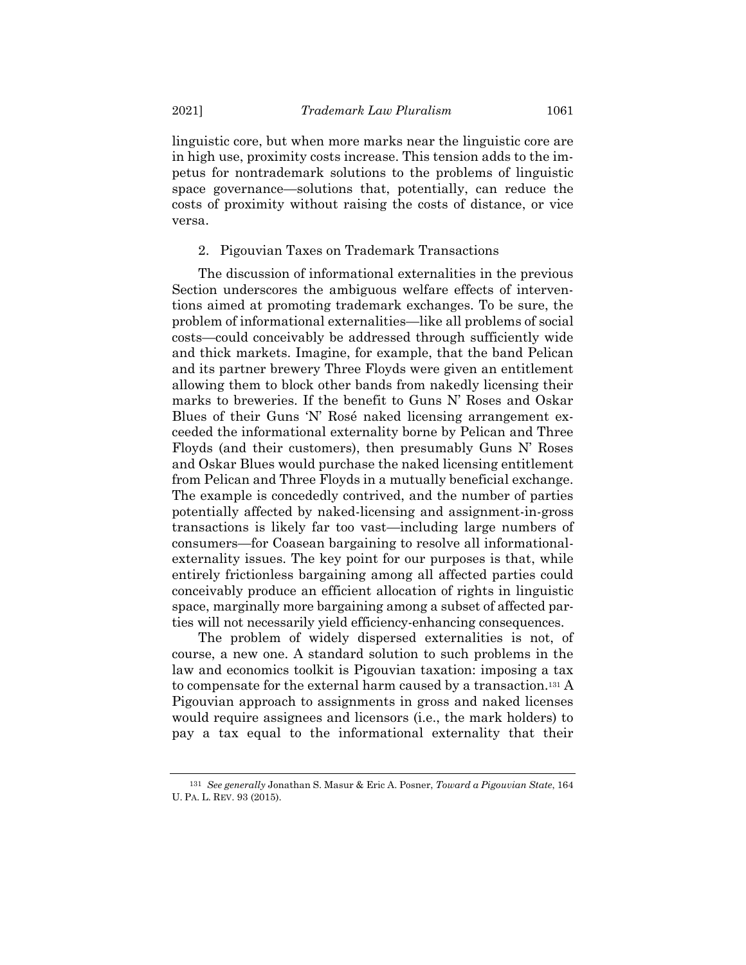linguistic core, but when more marks near the linguistic core are in high use, proximity costs increase. This tension adds to the impetus for nontrademark solutions to the problems of linguistic space governance—solutions that, potentially, can reduce the costs of proximity without raising the costs of distance, or vice versa.

2. Pigouvian Taxes on Trademark Transactions

The discussion of informational externalities in the previous Section underscores the ambiguous welfare effects of interventions aimed at promoting trademark exchanges. To be sure, the problem of informational externalities—like all problems of social costs—could conceivably be addressed through sufficiently wide and thick markets. Imagine, for example, that the band Pelican and its partner brewery Three Floyds were given an entitlement allowing them to block other bands from nakedly licensing their marks to breweries. If the benefit to Guns N' Roses and Oskar Blues of their Guns 'N' Rosé naked licensing arrangement exceeded the informational externality borne by Pelican and Three Floyds (and their customers), then presumably Guns N' Roses and Oskar Blues would purchase the naked licensing entitlement from Pelican and Three Floyds in a mutually beneficial exchange. The example is concededly contrived, and the number of parties potentially affected by naked-licensing and assignment-in-gross transactions is likely far too vast—including large numbers of consumers—for Coasean bargaining to resolve all informationalexternality issues. The key point for our purposes is that, while entirely frictionless bargaining among all affected parties could conceivably produce an efficient allocation of rights in linguistic space, marginally more bargaining among a subset of affected parties will not necessarily yield efficiency-enhancing consequences.

The problem of widely dispersed externalities is not, of course, a new one. A standard solution to such problems in the law and economics toolkit is Pigouvian taxation: imposing a tax to compensate for the external harm caused by a transaction.<sup>131</sup> A Pigouvian approach to assignments in gross and naked licenses would require assignees and licensors (i.e., the mark holders) to pay a tax equal to the informational externality that their

<sup>131</sup> *See generally* Jonathan S. Masur & Eric A. Posner, *Toward a Pigouvian State*, 164 U. PA. L. REV. 93 (2015).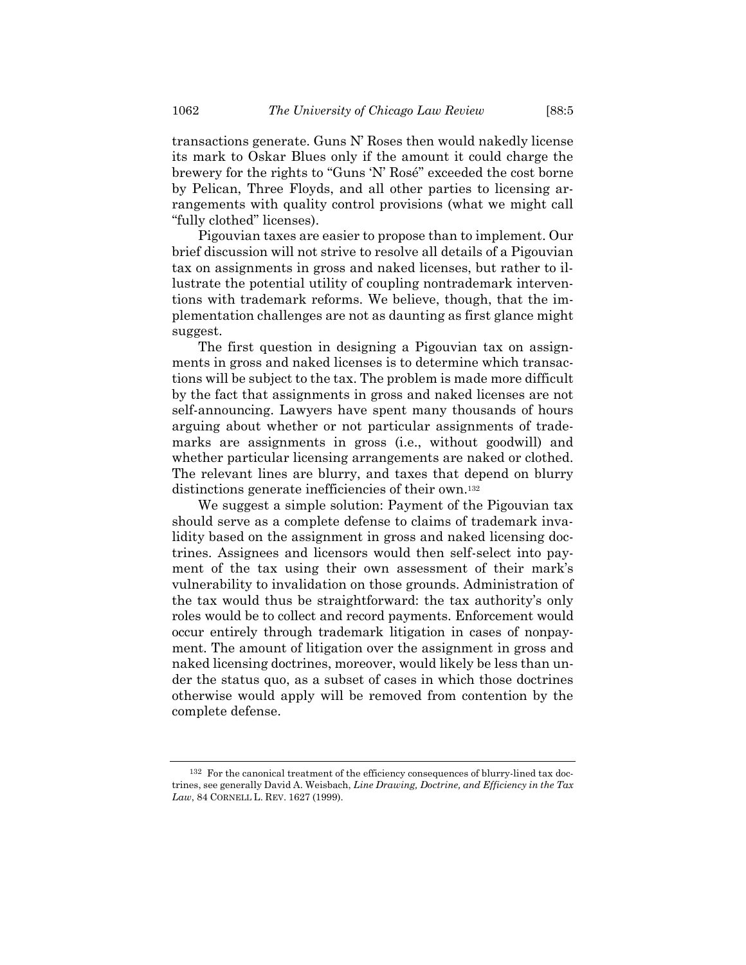transactions generate. Guns N' Roses then would nakedly license its mark to Oskar Blues only if the amount it could charge the brewery for the rights to "Guns 'N' Rosé" exceeded the cost borne by Pelican, Three Floyds, and all other parties to licensing arrangements with quality control provisions (what we might call "fully clothed" licenses).

Pigouvian taxes are easier to propose than to implement. Our brief discussion will not strive to resolve all details of a Pigouvian tax on assignments in gross and naked licenses, but rather to illustrate the potential utility of coupling nontrademark interventions with trademark reforms. We believe, though, that the implementation challenges are not as daunting as first glance might suggest.

The first question in designing a Pigouvian tax on assignments in gross and naked licenses is to determine which transactions will be subject to the tax. The problem is made more difficult by the fact that assignments in gross and naked licenses are not self-announcing. Lawyers have spent many thousands of hours arguing about whether or not particular assignments of trademarks are assignments in gross (i.e., without goodwill) and whether particular licensing arrangements are naked or clothed. The relevant lines are blurry, and taxes that depend on blurry distinctions generate inefficiencies of their own.<sup>132</sup>

We suggest a simple solution: Payment of the Pigouvian tax should serve as a complete defense to claims of trademark invalidity based on the assignment in gross and naked licensing doctrines. Assignees and licensors would then self-select into payment of the tax using their own assessment of their mark's vulnerability to invalidation on those grounds. Administration of the tax would thus be straightforward: the tax authority's only roles would be to collect and record payments. Enforcement would occur entirely through trademark litigation in cases of nonpayment. The amount of litigation over the assignment in gross and naked licensing doctrines, moreover, would likely be less than under the status quo, as a subset of cases in which those doctrines otherwise would apply will be removed from contention by the complete defense.

<sup>132</sup> For the canonical treatment of the efficiency consequences of blurry-lined tax doctrines, see generally David A. Weisbach, *Line Drawing, Doctrine, and Efficiency in the Tax Law*, 84 CORNELL L. REV. 1627 (1999).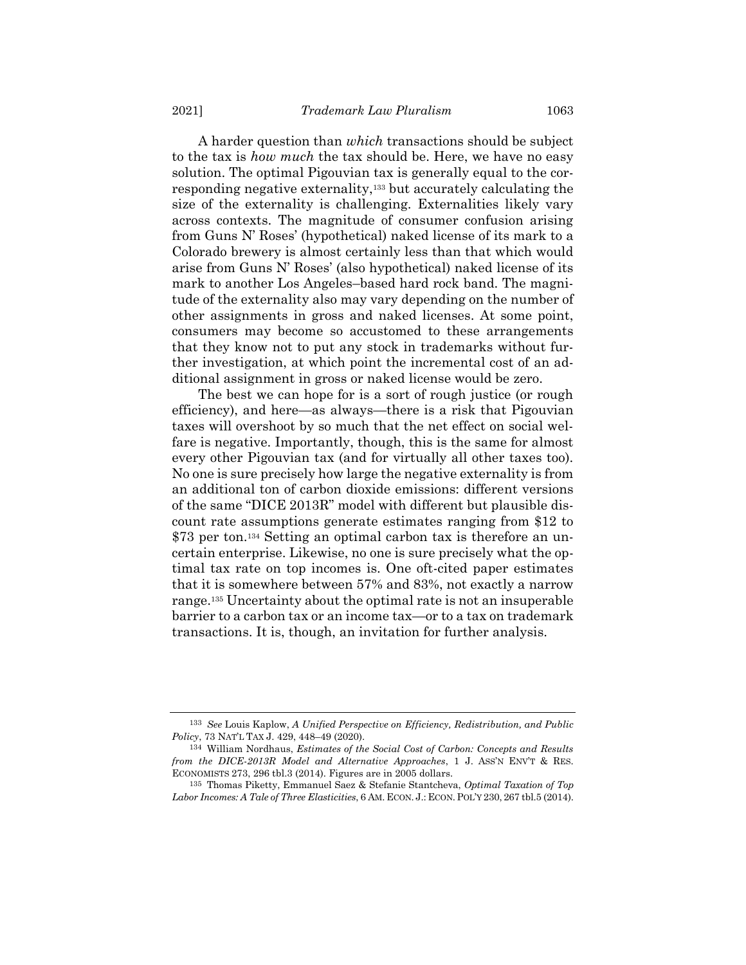A harder question than *which* transactions should be subject to the tax is *how much* the tax should be. Here, we have no easy solution. The optimal Pigouvian tax is generally equal to the corresponding negative externality,<sup>133</sup> but accurately calculating the size of the externality is challenging. Externalities likely vary across contexts. The magnitude of consumer confusion arising from Guns N' Roses' (hypothetical) naked license of its mark to a Colorado brewery is almost certainly less than that which would arise from Guns N' Roses' (also hypothetical) naked license of its mark to another Los Angeles–based hard rock band. The magnitude of the externality also may vary depending on the number of other assignments in gross and naked licenses. At some point, consumers may become so accustomed to these arrangements that they know not to put any stock in trademarks without further investigation, at which point the incremental cost of an additional assignment in gross or naked license would be zero.

The best we can hope for is a sort of rough justice (or rough efficiency), and here—as always—there is a risk that Pigouvian taxes will overshoot by so much that the net effect on social welfare is negative. Importantly, though, this is the same for almost every other Pigouvian tax (and for virtually all other taxes too). No one is sure precisely how large the negative externality is from an additional ton of carbon dioxide emissions: different versions of the same "DICE 2013R" model with different but plausible discount rate assumptions generate estimates ranging from \$12 to \$73 per ton.<sup>134</sup> Setting an optimal carbon tax is therefore an uncertain enterprise. Likewise, no one is sure precisely what the optimal tax rate on top incomes is. One oft-cited paper estimates that it is somewhere between 57% and 83%, not exactly a narrow range.<sup>135</sup> Uncertainty about the optimal rate is not an insuperable barrier to a carbon tax or an income tax—or to a tax on trademark transactions. It is, though, an invitation for further analysis.

<sup>133</sup> *See* Louis Kaplow, *A Unified Perspective on Efficiency, Redistribution, and Public Policy*, 73 NAT'L TAX J. 429, 448–49 (2020).

<sup>134</sup> William Nordhaus, *Estimates of the Social Cost of Carbon: Concepts and Results from the DICE-2013R Model and Alternative Approaches*, 1 J. ASS'N ENV'T & RES. ECONOMISTS 273, 296 tbl.3 (2014). Figures are in 2005 dollars.

<sup>135</sup> Thomas Piketty, Emmanuel Saez & Stefanie Stantcheva, *Optimal Taxation of Top Labor Incomes: A Tale of Three Elasticities*, 6 AM. ECON. J.: ECON.POL'Y 230, 267 tbl.5 (2014).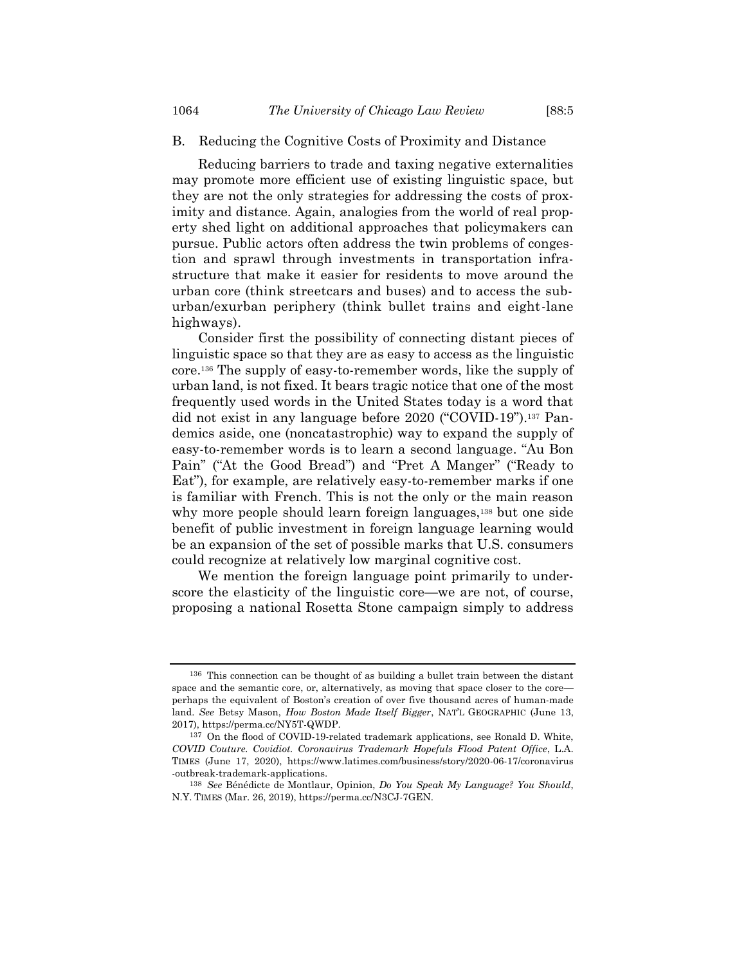# B. Reducing the Cognitive Costs of Proximity and Distance

Reducing barriers to trade and taxing negative externalities may promote more efficient use of existing linguistic space, but they are not the only strategies for addressing the costs of proximity and distance. Again, analogies from the world of real property shed light on additional approaches that policymakers can pursue. Public actors often address the twin problems of congestion and sprawl through investments in transportation infrastructure that make it easier for residents to move around the urban core (think streetcars and buses) and to access the suburban/exurban periphery (think bullet trains and eight-lane highways).

Consider first the possibility of connecting distant pieces of linguistic space so that they are as easy to access as the linguistic core.<sup>136</sup> The supply of easy-to-remember words, like the supply of urban land, is not fixed. It bears tragic notice that one of the most frequently used words in the United States today is a word that did not exist in any language before 2020 ("COVID-19").<sup>137</sup> Pandemics aside, one (noncatastrophic) way to expand the supply of easy-to-remember words is to learn a second language. "Au Bon Pain" ("At the Good Bread") and "Pret A Manger" ("Ready to Eat"), for example, are relatively easy-to-remember marks if one is familiar with French. This is not the only or the main reason why more people should learn foreign languages,<sup>138</sup> but one side benefit of public investment in foreign language learning would be an expansion of the set of possible marks that U.S. consumers could recognize at relatively low marginal cognitive cost.

We mention the foreign language point primarily to underscore the elasticity of the linguistic core—we are not, of course, proposing a national Rosetta Stone campaign simply to address

<sup>136</sup> This connection can be thought of as building a bullet train between the distant space and the semantic core, or, alternatively, as moving that space closer to the core perhaps the equivalent of Boston's creation of over five thousand acres of human-made land. *See* Betsy Mason, *How Boston Made Itself Bigger*, NAT'L GEOGRAPHIC (June 13, 2017), https://perma.cc/NY5T-QWDP.

<sup>137</sup> On the flood of COVID-19-related trademark applications, see Ronald D. White, *COVID Couture. Covidiot. Coronavirus Trademark Hopefuls Flood Patent Office*, L.A. TIMES (June 17, 2020), https://www.latimes.com/business/story/2020-06-17/coronavirus -outbreak-trademark-applications.

<sup>138</sup> *See* Bénédicte de Montlaur, Opinion, *Do You Speak My Language? You Should*, N.Y. TIMES (Mar. 26, 2019), https://perma.cc/N3CJ-7GEN.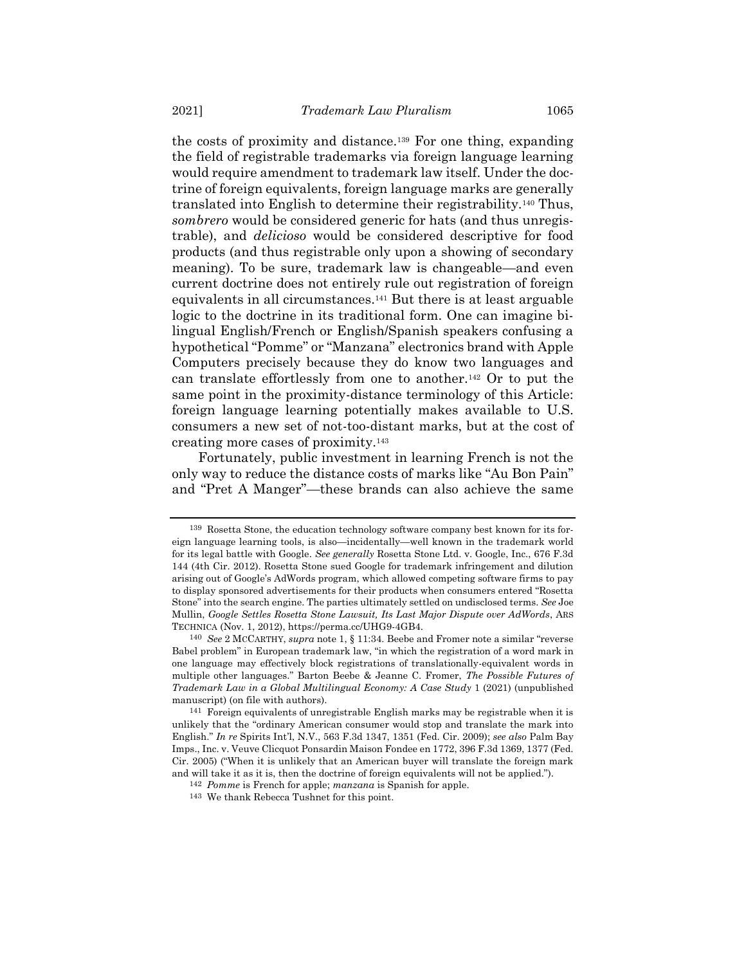the costs of proximity and distance.<sup>139</sup> For one thing, expanding the field of registrable trademarks via foreign language learning would require amendment to trademark law itself. Under the doctrine of foreign equivalents, foreign language marks are generally translated into English to determine their registrability.<sup>140</sup> Thus, *sombrero* would be considered generic for hats (and thus unregistrable), and *delicioso* would be considered descriptive for food products (and thus registrable only upon a showing of secondary meaning). To be sure, trademark law is changeable—and even current doctrine does not entirely rule out registration of foreign equivalents in all circumstances.<sup>141</sup> But there is at least arguable logic to the doctrine in its traditional form. One can imagine bilingual English/French or English/Spanish speakers confusing a hypothetical "Pomme" or "Manzana" electronics brand with Apple Computers precisely because they do know two languages and can translate effortlessly from one to another.<sup>142</sup> Or to put the same point in the proximity-distance terminology of this Article: foreign language learning potentially makes available to U.S. consumers a new set of not-too-distant marks, but at the cost of creating more cases of proximity.<sup>143</sup>

Fortunately, public investment in learning French is not the only way to reduce the distance costs of marks like "Au Bon Pain" and "Pret A Manger"—these brands can also achieve the same

<sup>139</sup> Rosetta Stone, the education technology software company best known for its foreign language learning tools, is also—incidentally—well known in the trademark world for its legal battle with Google. *See generally* Rosetta Stone Ltd. v. Google, Inc., 676 F.3d 144 (4th Cir. 2012). Rosetta Stone sued Google for trademark infringement and dilution arising out of Google's AdWords program, which allowed competing software firms to pay to display sponsored advertisements for their products when consumers entered "Rosetta Stone" into the search engine. The parties ultimately settled on undisclosed terms. *See* Joe Mullin, *Google Settles Rosetta Stone Lawsuit, Its Last Major Dispute over AdWords*, ARS TECHNICA (Nov. 1, 2012), https://perma.cc/UHG9-4GB4.

<sup>140</sup> *See* 2 MCCARTHY, *supra* not[e 1,](#page-1-0) § 11:34. Beebe and Fromer note a similar "reverse Babel problem" in European trademark law, "in which the registration of a word mark in one language may effectively block registrations of translationally-equivalent words in multiple other languages." Barton Beebe & Jeanne C. Fromer, *The Possible Futures of Trademark Law in a Global Multilingual Economy: A Case Study* 1 (2021) (unpublished manuscript) (on file with authors).

<sup>141</sup> Foreign equivalents of unregistrable English marks may be registrable when it is unlikely that the "ordinary American consumer would stop and translate the mark into English." *In re* Spirits Int'l, N.V., 563 F.3d 1347, 1351 (Fed. Cir. 2009); *see also* Palm Bay Imps., Inc. v. Veuve Clicquot Ponsardin Maison Fondee en 1772, 396 F.3d 1369, 1377 (Fed. Cir. 2005) ("When it is unlikely that an American buyer will translate the foreign mark and will take it as it is, then the doctrine of foreign equivalents will not be applied.").

<sup>142</sup> *Pomme* is French for apple; *manzana* is Spanish for apple.

<sup>143</sup> We thank Rebecca Tushnet for this point.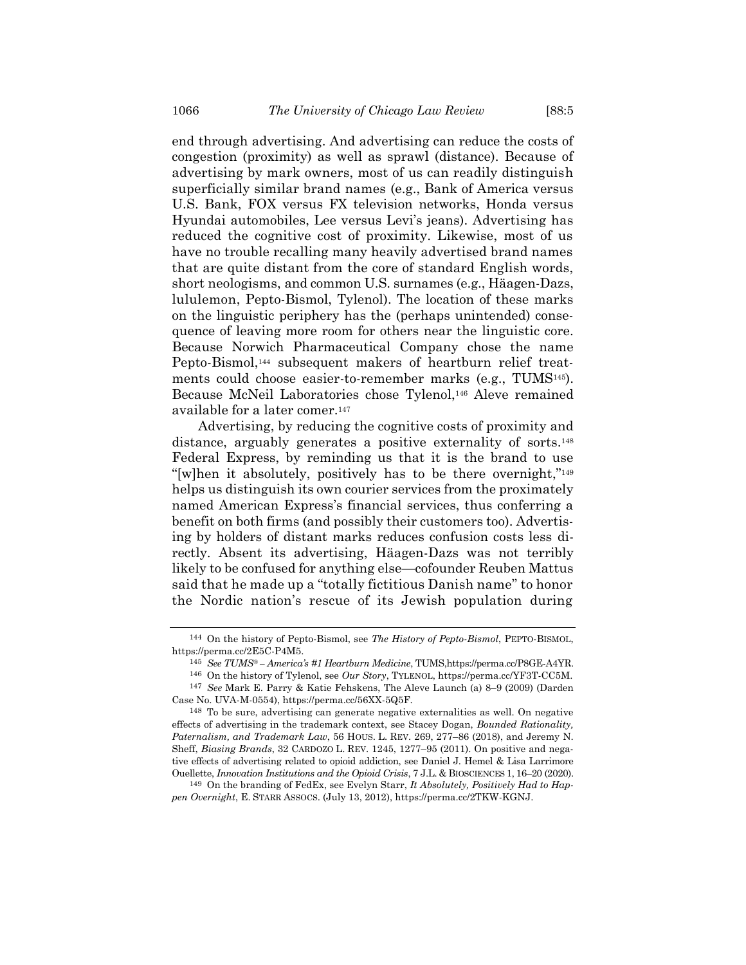end through advertising. And advertising can reduce the costs of congestion (proximity) as well as sprawl (distance). Because of advertising by mark owners, most of us can readily distinguish superficially similar brand names (e.g., Bank of America versus U.S. Bank, FOX versus FX television networks, Honda versus Hyundai automobiles, Lee versus Levi's jeans). Advertising has reduced the cognitive cost of proximity. Likewise, most of us have no trouble recalling many heavily advertised brand names that are quite distant from the core of standard English words, short neologisms, and common U.S. surnames (e.g., Häagen-Dazs, lululemon, Pepto-Bismol, Tylenol). The location of these marks on the linguistic periphery has the (perhaps unintended) consequence of leaving more room for others near the linguistic core. Because Norwich Pharmaceutical Company chose the name Pepto-Bismol,<sup>144</sup> subsequent makers of heartburn relief treatments could choose easier-to-remember marks (e.g., TUMS145). Because McNeil Laboratories chose Tylenol,<sup>146</sup> Aleve remained available for a later comer.<sup>147</sup>

Advertising, by reducing the cognitive costs of proximity and distance, arguably generates a positive externality of sorts.<sup>148</sup> Federal Express, by reminding us that it is the brand to use "[w]hen it absolutely, positively has to be there overnight,"<sup>149</sup> helps us distinguish its own courier services from the proximately named American Express's financial services, thus conferring a benefit on both firms (and possibly their customers too). Advertising by holders of distant marks reduces confusion costs less directly. Absent its advertising, Häagen-Dazs was not terribly likely to be confused for anything else—cofounder Reuben Mattus said that he made up a "totally fictitious Danish name" to honor the Nordic nation's rescue of its Jewish population during

<sup>144</sup> On the history of Pepto-Bismol, see *The History of Pepto-Bismol*, PEPTO-BISMOL, https://perma.cc/2E5C-P4M5.

<sup>145</sup> *See TUMS® – America's #1 Heartburn Medicine*, TUMS,https://perma.cc/P8GE-A4YR.

<sup>146</sup> On the history of Tylenol, see *Our Story*, TYLENOL, https://perma.cc/YF3T-CC5M. 147 *See* Mark E. Parry & Katie Fehskens, The Aleve Launch (a) 8–9 (2009) (Darden Case No. UVA-M-0554), https://perma.cc/56XX-5Q5F.

<sup>148</sup> To be sure, advertising can generate negative externalities as well. On negative effects of advertising in the trademark context, see Stacey Dogan, *Bounded Rationality, Paternalism, and Trademark Law*, 56 HOUS. L. REV. 269, 277–86 (2018), and Jeremy N. Sheff, *Biasing Brands*, 32 CARDOZO L. REV. 1245, 1277–95 (2011). On positive and negative effects of advertising related to opioid addiction, see Daniel J. Hemel & Lisa Larrimore Ouellette, *Innovation Institutions and the Opioid Crisis*, 7 J.L. & BIOSCIENCES 1, 16–20 (2020).

<sup>149</sup> On the branding of FedEx, see Evelyn Starr, *It Absolutely, Positively Had to Happen Overnight*, E. STARR ASSOCS. (July 13, 2012), https://perma.cc/2TKW-KGNJ.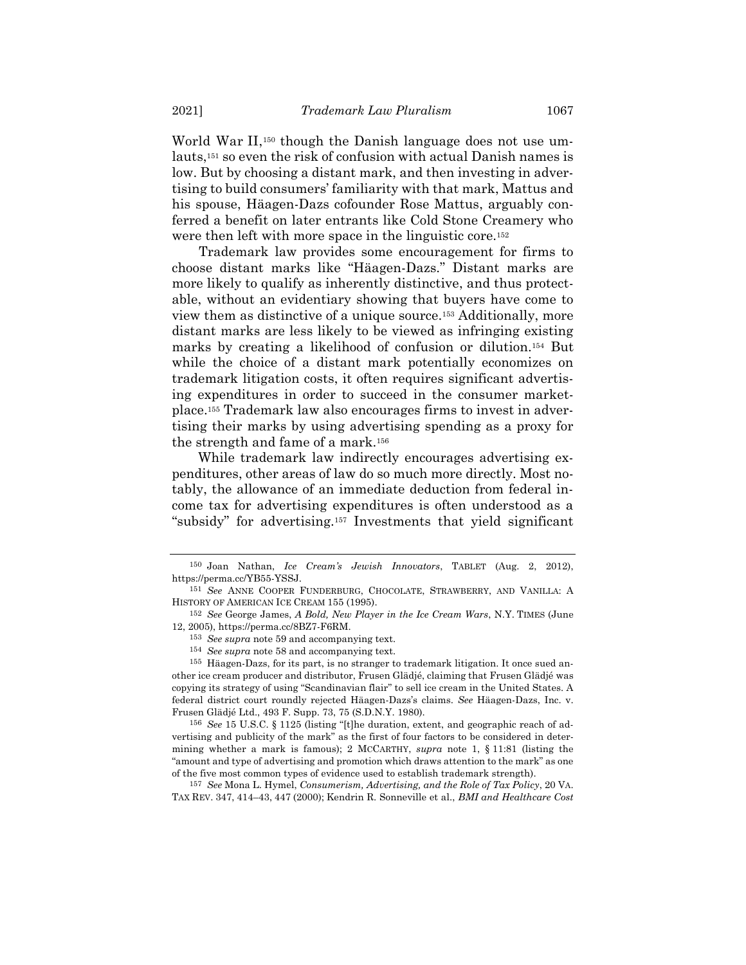World War II,<sup>150</sup> though the Danish language does not use umlauts,<sup>151</sup> so even the risk of confusion with actual Danish names is low. But by choosing a distant mark, and then investing in advertising to build consumers' familiarity with that mark, Mattus and his spouse, Häagen-Dazs cofounder Rose Mattus, arguably conferred a benefit on later entrants like Cold Stone Creamery who were then left with more space in the linguistic core.<sup>152</sup>

Trademark law provides some encouragement for firms to choose distant marks like "Häagen-Dazs." Distant marks are more likely to qualify as inherently distinctive, and thus protectable, without an evidentiary showing that buyers have come to view them as distinctive of a unique source.<sup>153</sup> Additionally, more distant marks are less likely to be viewed as infringing existing marks by creating a likelihood of confusion or dilution.<sup>154</sup> But while the choice of a distant mark potentially economizes on trademark litigation costs, it often requires significant advertising expenditures in order to succeed in the consumer marketplace.<sup>155</sup> Trademark law also encourages firms to invest in advertising their marks by using advertising spending as a proxy for the strength and fame of a mark.<sup>156</sup>

While trademark law indirectly encourages advertising expenditures, other areas of law do so much more directly. Most notably, the allowance of an immediate deduction from federal income tax for advertising expenditures is often understood as a "subsidy" for advertising.<sup>157</sup> Investments that yield significant

<sup>150</sup> Joan Nathan, *Ice Cream's Jewish Innovators*, TABLET (Aug. 2, 2012), https://perma.cc/YB55-YSSJ.

<sup>151</sup> *See* ANNE COOPER FUNDERBURG, CHOCOLATE, STRAWBERRY, AND VANILLA: A HISTORY OF AMERICAN ICE CREAM 155 (1995).

<sup>152</sup> *See* George James, *A Bold, New Player in the Ice Cream Wars*, N.Y. TIMES (June 12, 2005), https://perma.cc/8BZ7-F6RM.

<sup>153</sup> *See supra* note [59](#page-17-1) and accompanying text.

<sup>154</sup> *See supra* note [58](#page-17-2) and accompanying text.

<sup>155</sup> Häagen-Dazs, for its part, is no stranger to trademark litigation. It once sued another ice cream producer and distributor, Frusen Glädjé, claiming that Frusen Glädjé was copying its strategy of using "Scandinavian flair" to sell ice cream in the United States. A federal district court roundly rejected Häagen-Dazs's claims. *See* Häagen-Dazs, Inc. v. Frusen Glädjé Ltd., 493 F. Supp. 73, 75 (S.D.N.Y. 1980).

<sup>156</sup> *See* 15 U.S.C. § 1125 (listing "[t]he duration, extent, and geographic reach of advertising and publicity of the mark" as the first of four factors to be considered in determining whether a mark is famous); 2 MCCARTHY, *supra* note [1,](#page-1-0) § 11:81 (listing the "amount and type of advertising and promotion which draws attention to the mark" as one of the five most common types of evidence used to establish trademark strength).

<sup>157</sup> *See* Mona L. Hymel, *Consumerism, Advertising, and the Role of Tax Policy*, 20 VA. TAX REV. 347, 414–43, 447 (2000); Kendrin R. Sonneville et al., *BMI and Healthcare Cost*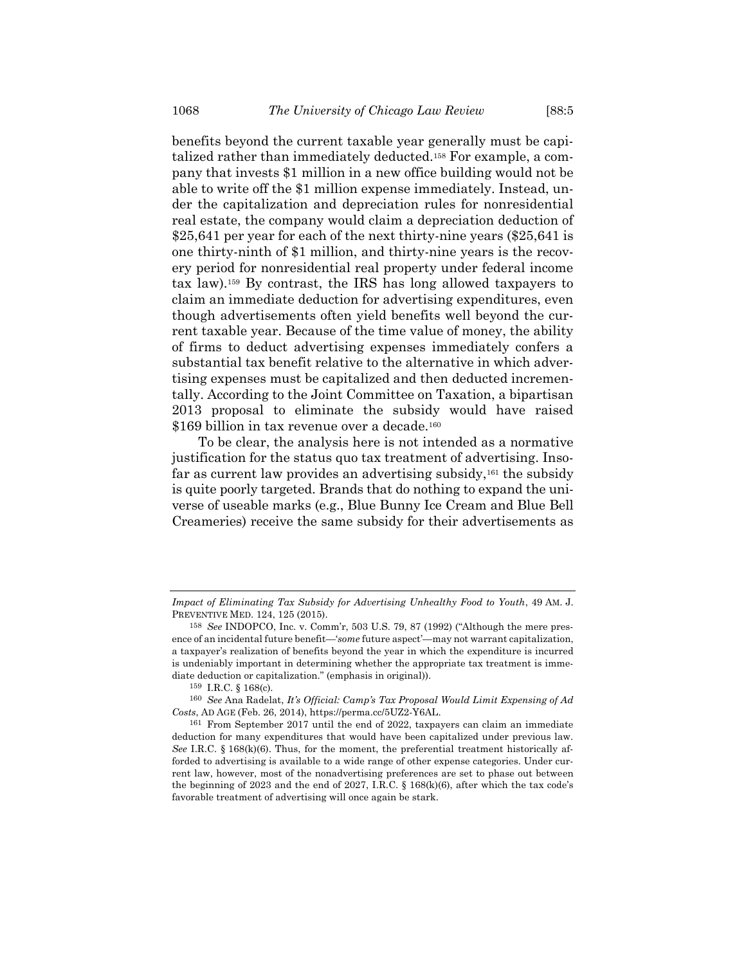benefits beyond the current taxable year generally must be capitalized rather than immediately deducted.<sup>158</sup> For example, a company that invests \$1 million in a new office building would not be able to write off the \$1 million expense immediately. Instead, under the capitalization and depreciation rules for nonresidential real estate, the company would claim a depreciation deduction of \$25,641 per year for each of the next thirty-nine years (\$25,641 is one thirty-ninth of \$1 million, and thirty-nine years is the recovery period for nonresidential real property under federal income tax law).<sup>159</sup> By contrast, the IRS has long allowed taxpayers to claim an immediate deduction for advertising expenditures, even though advertisements often yield benefits well beyond the current taxable year. Because of the time value of money, the ability of firms to deduct advertising expenses immediately confers a substantial tax benefit relative to the alternative in which advertising expenses must be capitalized and then deducted incrementally. According to the Joint Committee on Taxation, a bipartisan 2013 proposal to eliminate the subsidy would have raised \$169 billion in tax revenue over a decade.<sup>160</sup>

To be clear, the analysis here is not intended as a normative justification for the status quo tax treatment of advertising. Insofar as current law provides an advertising subsidy,<sup>161</sup> the subsidy is quite poorly targeted. Brands that do nothing to expand the universe of useable marks (e.g., Blue Bunny Ice Cream and Blue Bell Creameries) receive the same subsidy for their advertisements as

*Impact of Eliminating Tax Subsidy for Advertising Unhealthy Food to Youth*, 49 AM. J. PREVENTIVE MED. 124, 125 (2015).

<sup>158</sup> *See* INDOPCO, Inc. v. Comm'r, 503 U.S. 79, 87 (1992) ("Although the mere presence of an incidental future benefit—'*some* future aspect'—may not warrant capitalization, a taxpayer's realization of benefits beyond the year in which the expenditure is incurred is undeniably important in determining whether the appropriate tax treatment is immediate deduction or capitalization." (emphasis in original)).

<sup>159</sup> I.R.C. § 168(c).

<sup>160</sup> *See* Ana Radelat, *It's Official: Camp's Tax Proposal Would Limit Expensing of Ad Costs*, AD AGE (Feb. 26, 2014), https://perma.cc/5UZ2-Y6AL.

<sup>161</sup> From September 2017 until the end of 2022, taxpayers can claim an immediate deduction for many expenditures that would have been capitalized under previous law. *See* I.R.C. § 168(k)(6). Thus, for the moment, the preferential treatment historically afforded to advertising is available to a wide range of other expense categories. Under current law, however, most of the nonadvertising preferences are set to phase out between the beginning of 2023 and the end of 2027, I.R.C. § 168(k)(6), after which the tax code's favorable treatment of advertising will once again be stark.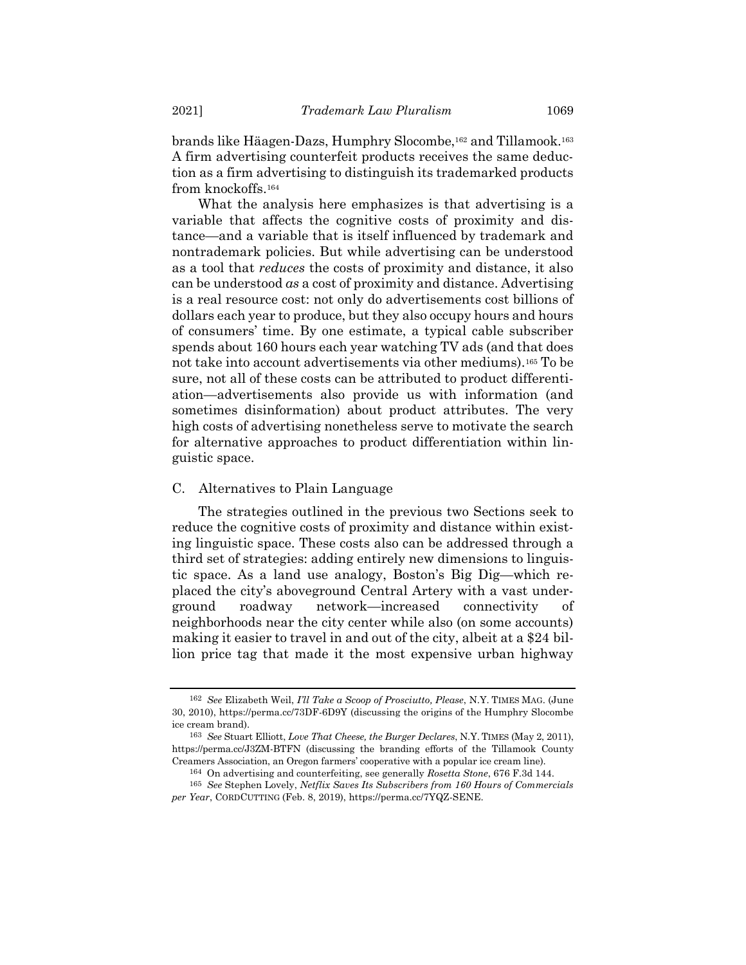brands like Häagen-Dazs, Humphry Slocombe,<sup>162</sup> and Tillamook. 163 A firm advertising counterfeit products receives the same deduction as a firm advertising to distinguish its trademarked products from knockoffs.<sup>164</sup>

What the analysis here emphasizes is that advertising is a variable that affects the cognitive costs of proximity and distance—and a variable that is itself influenced by trademark and nontrademark policies. But while advertising can be understood as a tool that *reduces* the costs of proximity and distance, it also can be understood *as* a cost of proximity and distance. Advertising is a real resource cost: not only do advertisements cost billions of dollars each year to produce, but they also occupy hours and hours of consumers' time. By one estimate, a typical cable subscriber spends about 160 hours each year watching TV ads (and that does not take into account advertisements via other mediums).<sup>165</sup> To be sure, not all of these costs can be attributed to product differentiation—advertisements also provide us with information (and sometimes disinformation) about product attributes. The very high costs of advertising nonetheless serve to motivate the search for alternative approaches to product differentiation within linguistic space.

### C. Alternatives to Plain Language

The strategies outlined in the previous two Sections seek to reduce the cognitive costs of proximity and distance within existing linguistic space. These costs also can be addressed through a third set of strategies: adding entirely new dimensions to linguistic space. As a land use analogy, Boston's Big Dig—which replaced the city's aboveground Central Artery with a vast underground roadway network—increased connectivity of neighborhoods near the city center while also (on some accounts) making it easier to travel in and out of the city, albeit at a \$24 billion price tag that made it the most expensive urban highway

<sup>162</sup> *See* Elizabeth Weil, *I'll Take a Scoop of Prosciutto, Please*, N.Y. TIMES MAG. (June 30, 2010), https://perma.cc/73DF-6D9Y (discussing the origins of the Humphry Slocombe ice cream brand).

<sup>163</sup> *See* Stuart Elliott, *Love That Cheese, the Burger Declares*, N.Y. TIMES (May 2, 2011), https://perma.cc/J3ZM-BTFN (discussing the branding efforts of the Tillamook County Creamers Association, an Oregon farmers' cooperative with a popular ice cream line).

<sup>164</sup> On advertising and counterfeiting, see generally *Rosetta Stone*, 676 F.3d 144.

<sup>165</sup> *See* Stephen Lovely, *Netflix Saves Its Subscribers from 160 Hours of Commercials per Year*, CORDCUTTING (Feb. 8, 2019), https://perma.cc/7YQZ-SENE.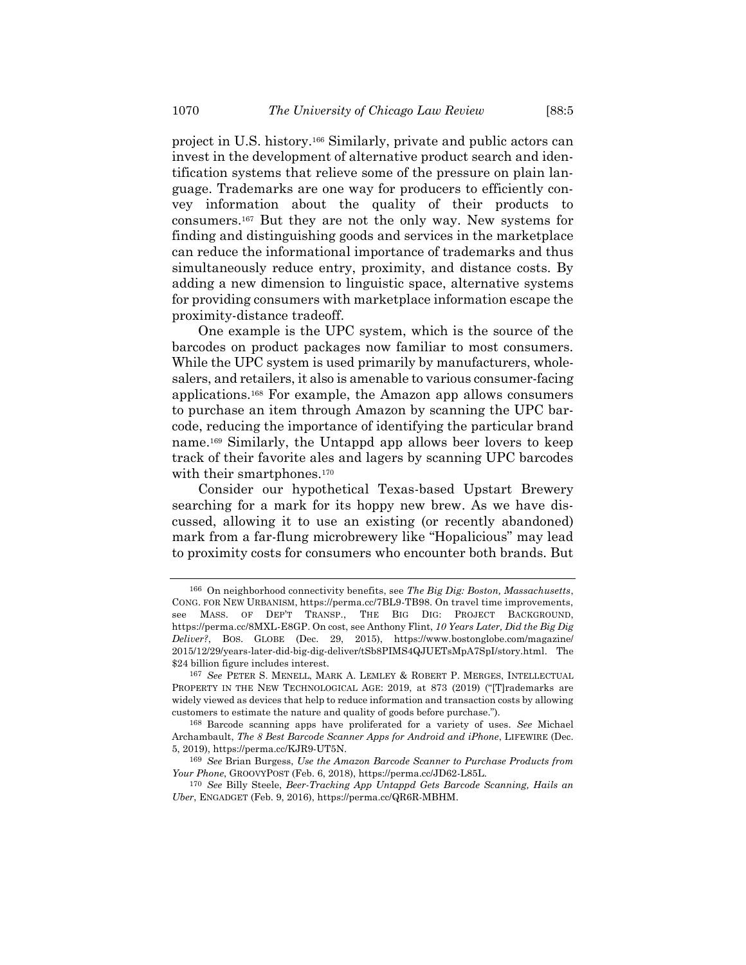project in U.S. history.<sup>166</sup> Similarly, private and public actors can invest in the development of alternative product search and identification systems that relieve some of the pressure on plain language. Trademarks are one way for producers to efficiently convey information about the quality of their products to consumers.<sup>167</sup> But they are not the only way. New systems for finding and distinguishing goods and services in the marketplace can reduce the informational importance of trademarks and thus simultaneously reduce entry, proximity, and distance costs. By adding a new dimension to linguistic space, alternative systems for providing consumers with marketplace information escape the proximity-distance tradeoff.

One example is the UPC system, which is the source of the barcodes on product packages now familiar to most consumers. While the UPC system is used primarily by manufacturers, wholesalers, and retailers, it also is amenable to various consumer-facing applications. <sup>168</sup> For example, the Amazon app allows consumers to purchase an item through Amazon by scanning the UPC barcode, reducing the importance of identifying the particular brand name.<sup>169</sup> Similarly, the Untappd app allows beer lovers to keep track of their favorite ales and lagers by scanning UPC barcodes with their smartphones.<sup>170</sup>

Consider our hypothetical Texas-based Upstart Brewery searching for a mark for its hoppy new brew. As we have discussed, allowing it to use an existing (or recently abandoned) mark from a far-flung microbrewery like "Hopalicious" may lead to proximity costs for consumers who encounter both brands. But

<sup>166</sup> On neighborhood connectivity benefits, see *The Big Dig: Boston, Massachusetts*, CONG. FOR NEW URBANISM, https://perma.cc/7BL9-TB98. On travel time improvements, see MASS. OF DEP'T TRANSP., THE BIG DIG: PROJECT BACKGROUND, https://perma.cc/8MXL-E8GP. On cost, see Anthony Flint, *10 Years Later, Did the Big Dig Deliver?*, BOS. GLOBE (Dec. 29, 2015), https://www.bostonglobe.com/magazine/ 2015/12/29/years-later-did-big-dig-deliver/tSb8PIMS4QJUETsMpA7SpI/story.html. The \$24 billion figure includes interest.

<sup>167</sup> *See* PETER S. MENELL, MARK A. LEMLEY & ROBERT P. MERGES, INTELLECTUAL PROPERTY IN THE NEW TECHNOLOGICAL AGE: 2019, at 873 (2019) ("T]rademarks are widely viewed as devices that help to reduce information and transaction costs by allowing customers to estimate the nature and quality of goods before purchase.").

<sup>168</sup> Barcode scanning apps have proliferated for a variety of uses. *See* Michael Archambault, *The 8 Best Barcode Scanner Apps for Android and iPhone*, LIFEWIRE (Dec. 5, 2019), https://perma.cc/KJR9-UT5N.

<sup>169</sup> *See* Brian Burgess, *Use the Amazon Barcode Scanner to Purchase Products from Your Phone*, GROOVYPOST (Feb. 6, 2018), https://perma.cc/JD62-L85L.

<sup>170</sup> *See* Billy Steele, *Beer-Tracking App Untappd Gets Barcode Scanning, Hails an Uber*, ENGADGET (Feb. 9, 2016), https://perma.cc/QR6R-MBHM.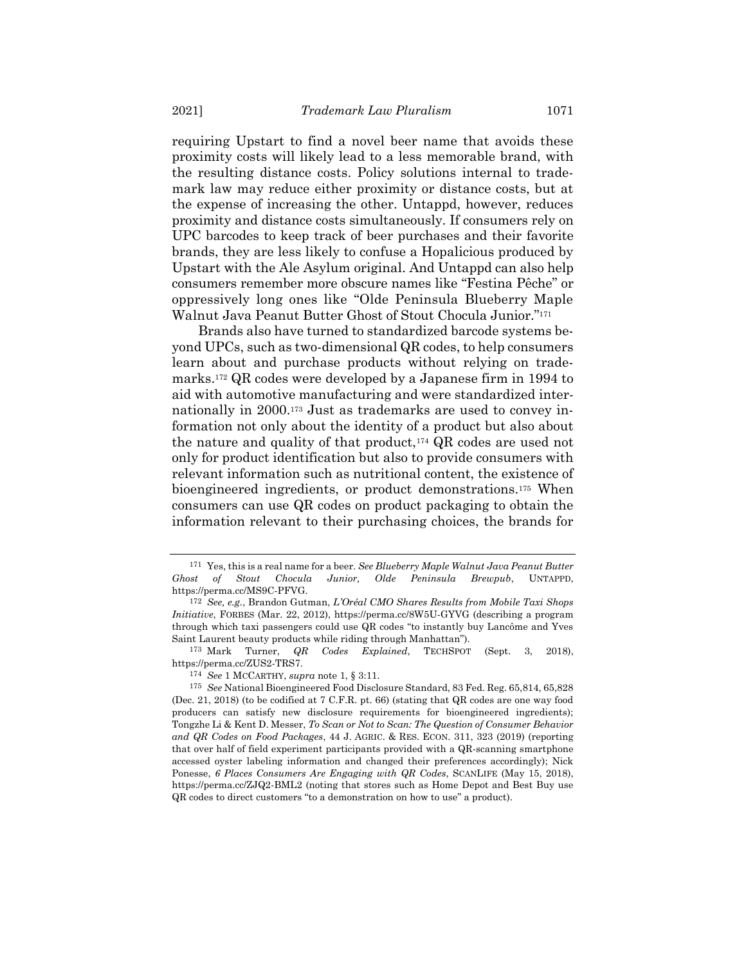requiring Upstart to find a novel beer name that avoids these proximity costs will likely lead to a less memorable brand, with the resulting distance costs. Policy solutions internal to trademark law may reduce either proximity or distance costs, but at the expense of increasing the other. Untappd, however, reduces proximity and distance costs simultaneously. If consumers rely on UPC barcodes to keep track of beer purchases and their favorite brands, they are less likely to confuse a Hopalicious produced by Upstart with the Ale Asylum original. And Untappd can also help consumers remember more obscure names like "Festina Pêche" or oppressively long ones like "Olde Peninsula Blueberry Maple Walnut Java Peanut Butter Ghost of Stout Chocula Junior." 171

Brands also have turned to standardized barcode systems beyond UPCs, such as two-dimensional QR codes, to help consumers learn about and purchase products without relying on trademarks.<sup>172</sup> QR codes were developed by a Japanese firm in 1994 to aid with automotive manufacturing and were standardized internationally in 2000.<sup>173</sup> Just as trademarks are used to convey information not only about the identity of a product but also about the nature and quality of that product,<sup>174</sup> QR codes are used not only for product identification but also to provide consumers with relevant information such as nutritional content, the existence of bioengineered ingredients, or product demonstrations.<sup>175</sup> When consumers can use QR codes on product packaging to obtain the information relevant to their purchasing choices, the brands for

174 *See* 1 MCCARTHY, *supra* note [1,](#page-1-0) § 3:11.

<sup>171</sup> Yes, this is a real name for a beer. *See Blueberry Maple Walnut Java Peanut Butter Ghost of Stout Chocula Junior, Olde Peninsula Brewpub*, UNTAPPD, https://perma.cc/MS9C-PFVG.

<sup>172</sup> *See, e.g.*, Brandon Gutman, *L'Oréal CMO Shares Results from Mobile Taxi Shops Initiative*, FORBES (Mar. 22, 2012), https://perma.cc/8W5U-GYVG (describing a program through which taxi passengers could use QR codes "to instantly buy Lancôme and Yves Saint Laurent beauty products while riding through Manhattan").

<sup>173</sup> Mark Turner, *QR Codes Explained*, TECHSPOT (Sept. 3, 2018), https://perma.cc/ZUS2-TRS7.

<sup>175</sup> *See* National Bioengineered Food Disclosure Standard, 83 Fed. Reg. 65,814, 65,828 (Dec. 21, 2018) (to be codified at 7 C.F.R. pt. 66) (stating that QR codes are one way food producers can satisfy new disclosure requirements for bioengineered ingredients); Tongzhe Li & Kent D. Messer, *To Scan or Not to Scan: The Question of Consumer Behavior and QR Codes on Food Packages*, 44 J. AGRIC. & RES. ECON. 311, 323 (2019) (reporting that over half of field experiment participants provided with a QR-scanning smartphone accessed oyster labeling information and changed their preferences accordingly); Nick Ponesse, *6 Places Consumers Are Engaging with QR Codes*, SCANLIFE (May 15, 2018), https://perma.cc/ZJQ2-BML2 (noting that stores such as Home Depot and Best Buy use QR codes to direct customers "to a demonstration on how to use" a product).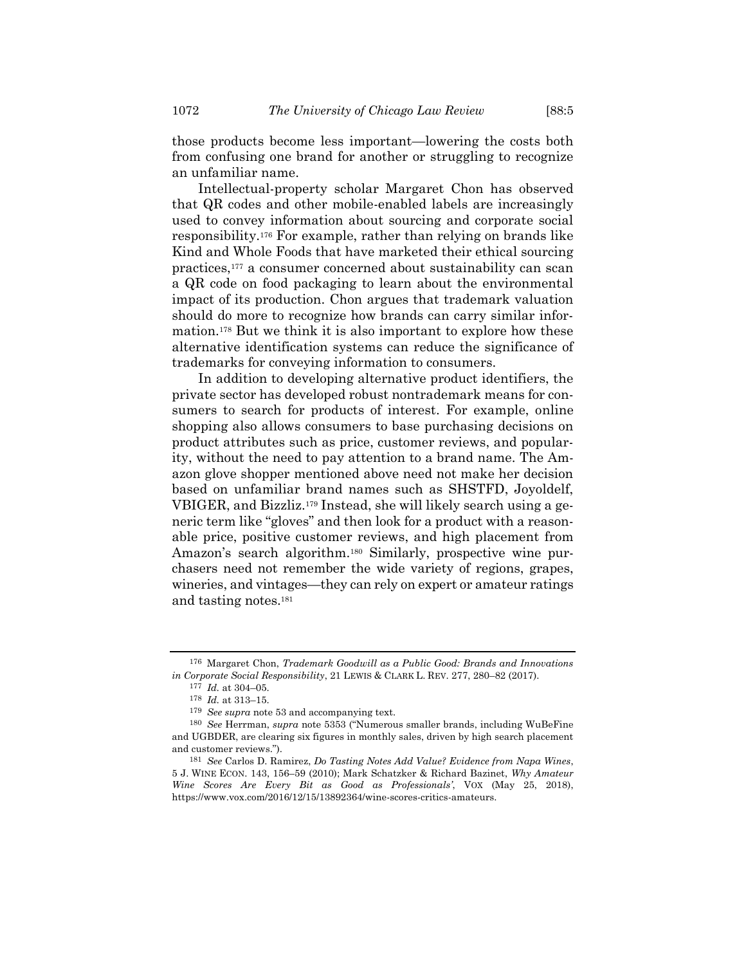those products become less important—lowering the costs both from confusing one brand for another or struggling to recognize an unfamiliar name.

Intellectual-property scholar Margaret Chon has observed that QR codes and other mobile-enabled labels are increasingly used to convey information about sourcing and corporate social responsibility.<sup>176</sup> For example, rather than relying on brands like Kind and Whole Foods that have marketed their ethical sourcing practices,<sup>177</sup> a consumer concerned about sustainability can scan a QR code on food packaging to learn about the environmental impact of its production. Chon argues that trademark valuation should do more to recognize how brands can carry similar information.<sup>178</sup> But we think it is also important to explore how these alternative identification systems can reduce the significance of trademarks for conveying information to consumers.

In addition to developing alternative product identifiers, the private sector has developed robust nontrademark means for consumers to search for products of interest. For example, online shopping also allows consumers to base purchasing decisions on product attributes such as price, customer reviews, and popularity, without the need to pay attention to a brand name. The Amazon glove shopper mentioned above need not make her decision based on unfamiliar brand names such as SHSTFD, Joyoldelf, VBIGER, and Bizzliz.<sup>179</sup> Instead, she will likely search using a generic term like "gloves" and then look for a product with a reasonable price, positive customer reviews, and high placement from Amazon's search algorithm.<sup>180</sup> Similarly, prospective wine purchasers need not remember the wide variety of regions, grapes, wineries, and vintages—they can rely on expert or amateur ratings and tasting notes.<sup>181</sup>

<sup>176</sup> Margaret Chon, *Trademark Goodwill as a Public Good: Brands and Innovations in Corporate Social Responsibility*, 21 LEWIS & CLARK L. REV. 277, 280–82 (2017).

<sup>177</sup> *Id.* at 304–05.

<sup>178</sup> *Id.* at 313–15.

<sup>179</sup> *See supra* note [53](#page-16-0) and accompanying text.

<sup>180</sup> *See* Herrman, *supra* note [5353](#page-16-0) ("Numerous smaller brands, including WuBeFine and UGBDER, are clearing six figures in monthly sales, driven by high search placement and customer reviews.").

<sup>181</sup> *See* Carlos D. Ramirez, *Do Tasting Notes Add Value? Evidence from Napa Wines*, 5 J. WINE ECON. 143, 156–59 (2010); Mark Schatzker & Richard Bazinet, *Why Amateur Wine Scores Are Every Bit as Good as Professionals'*, VOX (May 25, 2018), https://www.vox.com/2016/12/15/13892364/wine-scores-critics-amateurs.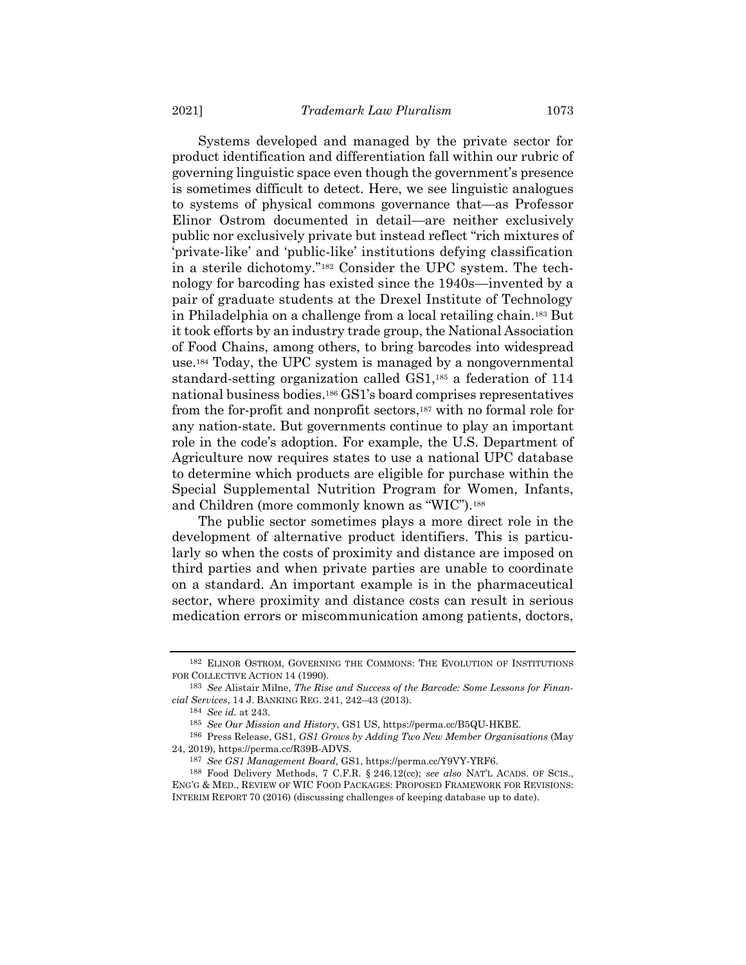Systems developed and managed by the private sector for product identification and differentiation fall within our rubric of governing linguistic space even though the government's presence is sometimes difficult to detect. Here, we see linguistic analogues to systems of physical commons governance that—as Professor Elinor Ostrom documented in detail—are neither exclusively public nor exclusively private but instead reflect "rich mixtures of 'private-like' and 'public-like' institutions defying classification in a sterile dichotomy."<sup>182</sup> Consider the UPC system. The technology for barcoding has existed since the 1940s—invented by a pair of graduate students at the Drexel Institute of Technology in Philadelphia on a challenge from a local retailing chain.<sup>183</sup> But it took efforts by an industry trade group, the National Association of Food Chains, among others, to bring barcodes into widespread use.<sup>184</sup> Today, the UPC system is managed by a nongovernmental standard-setting organization called GS1,<sup>185</sup> a federation of 114 national business bodies.<sup>186</sup> GS1's board comprises representatives from the for-profit and nonprofit sectors,<sup>187</sup> with no formal role for any nation-state. But governments continue to play an important role in the code's adoption. For example, the U.S. Department of Agriculture now requires states to use a national UPC database to determine which products are eligible for purchase within the Special Supplemental Nutrition Program for Women, Infants, and Children (more commonly known as "WIC").<sup>188</sup>

The public sector sometimes plays a more direct role in the development of alternative product identifiers. This is particularly so when the costs of proximity and distance are imposed on third parties and when private parties are unable to coordinate on a standard. An important example is in the pharmaceutical sector, where proximity and distance costs can result in serious medication errors or miscommunication among patients, doctors,

184 *See id.* at 243.

<sup>182</sup> ELINOR OSTROM, GOVERNING THE COMMONS: THE EVOLUTION OF INSTITUTIONS FOR COLLECTIVE ACTION 14 (1990).

<sup>183</sup> *See* Alistair Milne, *The Rise and Success of the Barcode: Some Lessons for Financial Services*, 14 J. BANKING REG. 241, 242–43 (2013).

<sup>185</sup> *See Our Mission and History*, GS1 US, https://perma.cc/B5QU-HKBE.

<sup>186</sup> Press Release, GS1, *GS1 Grows by Adding Two New Member Organisations* (May 24, 2019), https://perma.cc/R39B-ADVS.

<sup>187</sup> *See GS1 Management Board*, GS1, https://perma.cc/Y9VY-YRF6.

<sup>188</sup> Food Delivery Methods, 7 C.F.R. § 246.12(cc); *see also* NAT'L ACADS. OF SCIS., ENG'G & MED., REVIEW OF WIC FOOD PACKAGES: PROPOSED FRAMEWORK FOR REVISIONS: INTERIM REPORT 70 (2016) (discussing challenges of keeping database up to date).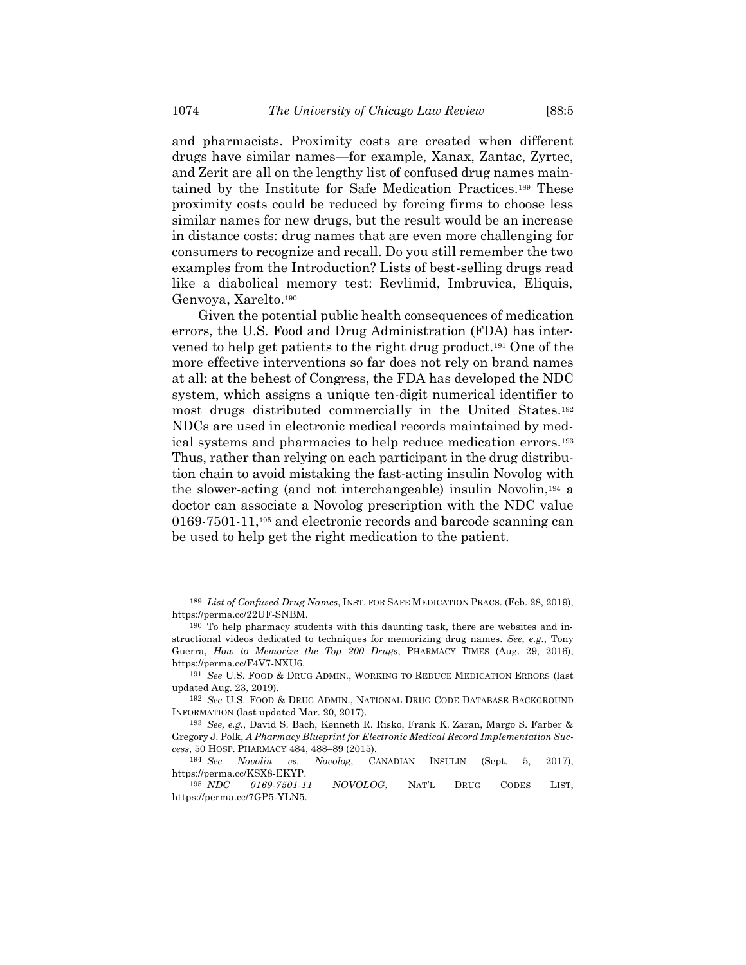and pharmacists. Proximity costs are created when different drugs have similar names—for example, Xanax, Zantac, Zyrtec, and Zerit are all on the lengthy list of confused drug names maintained by the Institute for Safe Medication Practices.<sup>189</sup> These proximity costs could be reduced by forcing firms to choose less similar names for new drugs, but the result would be an increase in distance costs: drug names that are even more challenging for consumers to recognize and recall. Do you still remember the two examples from the Introduction? Lists of best-selling drugs read like a diabolical memory test: Revlimid, Imbruvica, Eliquis, Genvoya, Xarelto.<sup>190</sup>

<span id="page-49-0"></span>Given the potential public health consequences of medication errors, the U.S. Food and Drug Administration (FDA) has intervened to help get patients to the right drug product.<sup>191</sup> One of the more effective interventions so far does not rely on brand names at all: at the behest of Congress, the FDA has developed the NDC system, which assigns a unique ten-digit numerical identifier to most drugs distributed commercially in the United States.<sup>192</sup> NDCs are used in electronic medical records maintained by medical systems and pharmacies to help reduce medication errors.<sup>193</sup> Thus, rather than relying on each participant in the drug distribution chain to avoid mistaking the fast-acting insulin Novolog with the slower-acting (and not interchangeable) insulin Novolin, <sup>194</sup> a doctor can associate a Novolog prescription with the NDC value 0169-7501-11,<sup>195</sup> and electronic records and barcode scanning can be used to help get the right medication to the patient.

<sup>189</sup> *List of Confused Drug Names*, INST. FOR SAFE MEDICATION PRACS. (Feb. 28, 2019), https://perma.cc/22UF-SNBM.

<sup>190</sup> To help pharmacy students with this daunting task, there are websites and instructional videos dedicated to techniques for memorizing drug names. *See, e.g.*, Tony Guerra, *How to Memorize the Top 200 Drugs*, PHARMACY TIMES (Aug. 29, 2016), https://perma.cc/F4V7-NXU6.

<sup>191</sup> *See* U.S. FOOD & DRUG ADMIN., WORKING TO REDUCE MEDICATION ERRORS (last updated Aug. 23, 2019).

<sup>192</sup> *See* U.S. FOOD & DRUG ADMIN., NATIONAL DRUG CODE DATABASE BACKGROUND INFORMATION (last updated Mar. 20, 2017).

<sup>193</sup> *See, e.g.*, David S. Bach, Kenneth R. Risko, Frank K. Zaran, Margo S. Farber & Gregory J. Polk, *A Pharmacy Blueprint for Electronic Medical Record Implementation Success*, 50 HOSP. PHARMACY 484, 488–89 (2015).

<sup>194</sup> *See Novolin vs. Novolog*, CANADIAN INSULIN (Sept. 5, 2017), https://perma.cc/KSX8-EKYP.

<sup>195</sup> *NDC 0169-7501-11 NOVOLOG*, NAT'L DRUG CODES LIST, https://perma.cc/7GP5-YLN5.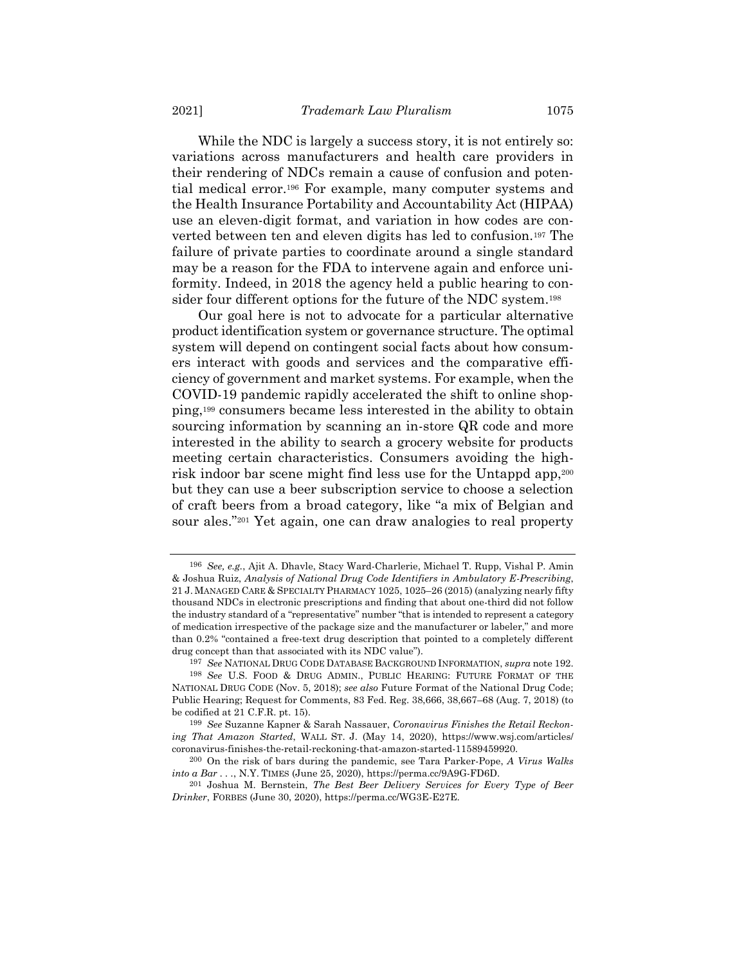While the NDC is largely a success story, it is not entirely so: variations across manufacturers and health care providers in their rendering of NDCs remain a cause of confusion and potential medical error.<sup>196</sup> For example, many computer systems and the Health Insurance Portability and Accountability Act (HIPAA) use an eleven-digit format, and variation in how codes are converted between ten and eleven digits has led to confusion.<sup>197</sup> The failure of private parties to coordinate around a single standard may be a reason for the FDA to intervene again and enforce uniformity. Indeed, in 2018 the agency held a public hearing to consider four different options for the future of the NDC system.<sup>198</sup>

Our goal here is not to advocate for a particular alternative product identification system or governance structure. The optimal system will depend on contingent social facts about how consumers interact with goods and services and the comparative efficiency of government and market systems. For example, when the COVID-19 pandemic rapidly accelerated the shift to online shopping,<sup>199</sup> consumers became less interested in the ability to obtain sourcing information by scanning an in-store QR code and more interested in the ability to search a grocery website for products meeting certain characteristics. Consumers avoiding the highrisk indoor bar scene might find less use for the Untappd app,<sup>200</sup> but they can use a beer subscription service to choose a selection of craft beers from a broad category, like "a mix of Belgian and sour ales."<sup>201</sup> Yet again, one can draw analogies to real property

<sup>196</sup> *See, e.g.*, Ajit A. Dhavle, Stacy Ward-Charlerie, Michael T. Rupp, Vishal P. Amin & Joshua Ruiz, *Analysis of National Drug Code Identifiers in Ambulatory E-Prescribing*, 21 J. MANAGED CARE & SPECIALTY PHARMACY 1025, 1025–26 (2015) (analyzing nearly fifty thousand NDCs in electronic prescriptions and finding that about one-third did not follow the industry standard of a "representative" number "that is intended to represent a category of medication irrespective of the package size and the manufacturer or labeler," and more than 0.2% "contained a free-text drug description that pointed to a completely different drug concept than that associated with its NDC value").

<sup>197</sup> *See* NATIONAL DRUG CODE DATABASE BACKGROUND INFORMATION, *supra* not[e 192.](#page-49-0)

<sup>198</sup> *See* U.S. FOOD & DRUG ADMIN., PUBLIC HEARING: FUTURE FORMAT OF THE NATIONAL DRUG CODE (Nov. 5, 2018); *see also* Future Format of the National Drug Code; Public Hearing; Request for Comments, 83 Fed. Reg. 38,666, 38,667–68 (Aug. 7, 2018) (to be codified at 21 C.F.R. pt. 15).

<sup>199</sup> *See* Suzanne Kapner & Sarah Nassauer, *Coronavirus Finishes the Retail Reckoning That Amazon Started*, WALL ST. J. (May 14, 2020), https://www.wsj.com/articles/ coronavirus-finishes-the-retail-reckoning-that-amazon-started-11589459920.

<sup>200</sup> On the risk of bars during the pandemic, see Tara Parker-Pope, *A Virus Walks into a Bar . . .*, N.Y. TIMES (June 25, 2020), https://perma.cc/9A9G-FD6D.

<sup>201</sup> Joshua M. Bernstein, *The Best Beer Delivery Services for Every Type of Beer Drinker*, FORBES (June 30, 2020), https://perma.cc/WG3E-E27E.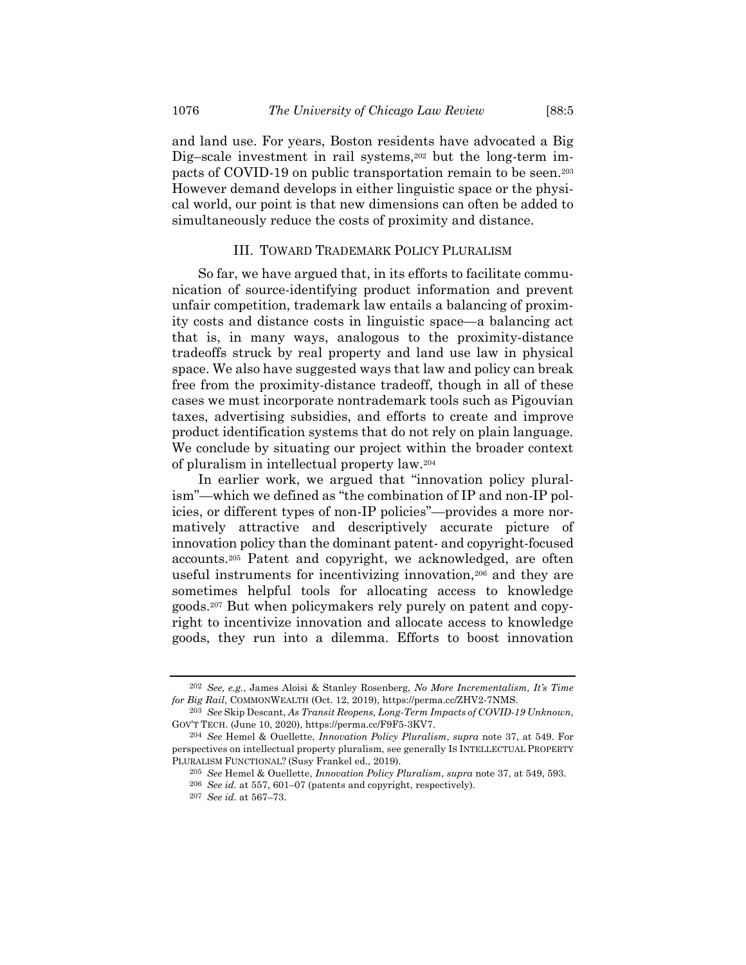and land use. For years, Boston residents have advocated a Big Dig–scale investment in rail systems,<sup>202</sup> but the long-term impacts of COVID-19 on public transportation remain to be seen.<sup>203</sup> However demand develops in either linguistic space or the physical world, our point is that new dimensions can often be added to simultaneously reduce the costs of proximity and distance.

### III. TOWARD TRADEMARK POLICY PLURALISM

So far, we have argued that, in its efforts to facilitate communication of source-identifying product information and prevent unfair competition, trademark law entails a balancing of proximity costs and distance costs in linguistic space—a balancing act that is, in many ways, analogous to the proximity-distance tradeoffs struck by real property and land use law in physical space. We also have suggested ways that law and policy can break free from the proximity-distance tradeoff, though in all of these cases we must incorporate nontrademark tools such as Pigouvian taxes, advertising subsidies, and efforts to create and improve product identification systems that do not rely on plain language. We conclude by situating our project within the broader context of pluralism in intellectual property law.<sup>204</sup>

In earlier work, we argued that "innovation policy pluralism"—which we defined as "the combination of IP and non-IP policies, or different types of non-IP policies"—provides a more normatively attractive and descriptively accurate picture of innovation policy than the dominant patent- and copyright-focused accounts. <sup>205</sup> Patent and copyright, we acknowledged, are often useful instruments for incentivizing innovation,<sup>206</sup> and they are sometimes helpful tools for allocating access to knowledge goods.<sup>207</sup> But when policymakers rely purely on patent and copyright to incentivize innovation and allocate access to knowledge goods, they run into a dilemma. Efforts to boost innovation

<sup>202</sup> *See, e.g.*, James Aloisi & Stanley Rosenberg, *No More Incrementalism, It's Time for Big Rail*, COMMONWEALTH (Oct. 12, 2019), https://perma.cc/ZHV2-7NMS.

<sup>203</sup> *See* Skip Descant, *As Transit Reopens, Long-Term Impacts of COVID-19 Unknown*, GOV'T TECH. (June 10, 2020), https://perma.cc/F9F5-3KV7.

<sup>204</sup> *See* Hemel & Ouellette, *Innovation Policy Pluralism*, *supra* note [37,](#page-11-0) at 549. For perspectives on intellectual property pluralism, see generally IS INTELLECTUAL PROPERTY PLURALISM FUNCTIONAL? (Susy Frankel ed., 2019).

<sup>205</sup> *See* Hemel & Ouellette, *Innovation Policy Pluralism*, *supra* not[e 37,](#page-11-0) at 549, 593.

<sup>206</sup> *See id.* at 557, 601–07 (patents and copyright, respectively).

<sup>207</sup> *See id.* at 567–73.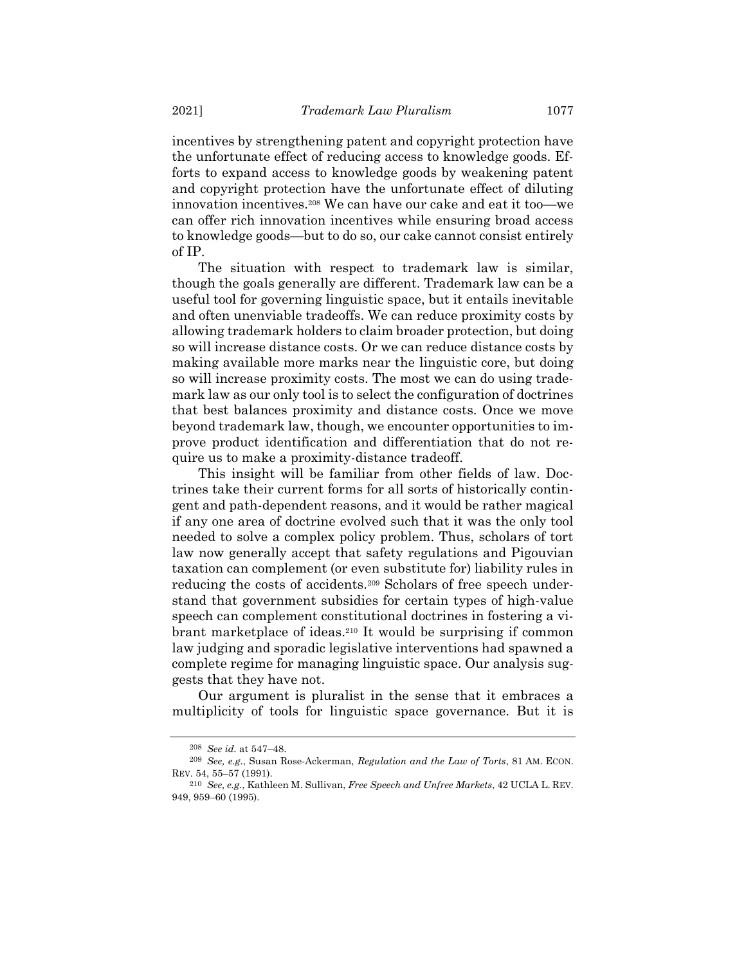incentives by strengthening patent and copyright protection have the unfortunate effect of reducing access to knowledge goods. Efforts to expand access to knowledge goods by weakening patent and copyright protection have the unfortunate effect of diluting innovation incentives.<sup>208</sup> We can have our cake and eat it too—we can offer rich innovation incentives while ensuring broad access to knowledge goods—but to do so, our cake cannot consist entirely of IP.

The situation with respect to trademark law is similar, though the goals generally are different. Trademark law can be a useful tool for governing linguistic space, but it entails inevitable and often unenviable tradeoffs. We can reduce proximity costs by allowing trademark holders to claim broader protection, but doing so will increase distance costs. Or we can reduce distance costs by making available more marks near the linguistic core, but doing so will increase proximity costs. The most we can do using trademark law as our only tool is to select the configuration of doctrines that best balances proximity and distance costs. Once we move beyond trademark law, though, we encounter opportunities to improve product identification and differentiation that do not require us to make a proximity-distance tradeoff.

This insight will be familiar from other fields of law. Doctrines take their current forms for all sorts of historically contingent and path-dependent reasons, and it would be rather magical if any one area of doctrine evolved such that it was the only tool needed to solve a complex policy problem. Thus, scholars of tort law now generally accept that safety regulations and Pigouvian taxation can complement (or even substitute for) liability rules in reducing the costs of accidents.<sup>209</sup> Scholars of free speech understand that government subsidies for certain types of high-value speech can complement constitutional doctrines in fostering a vibrant marketplace of ideas.<sup>210</sup> It would be surprising if common law judging and sporadic legislative interventions had spawned a complete regime for managing linguistic space. Our analysis suggests that they have not.

Our argument is pluralist in the sense that it embraces a multiplicity of tools for linguistic space governance. But it is

<sup>208</sup> *See id.* at 547–48.

<sup>209</sup> *See, e.g.*, Susan Rose-Ackerman, *Regulation and the Law of Torts*, 81 AM. ECON. REV. 54, 55–57 (1991).

<sup>210</sup> *See, e.g.*, Kathleen M. Sullivan, *Free Speech and Unfree Markets*, 42 UCLA L. REV. 949, 959–60 (1995).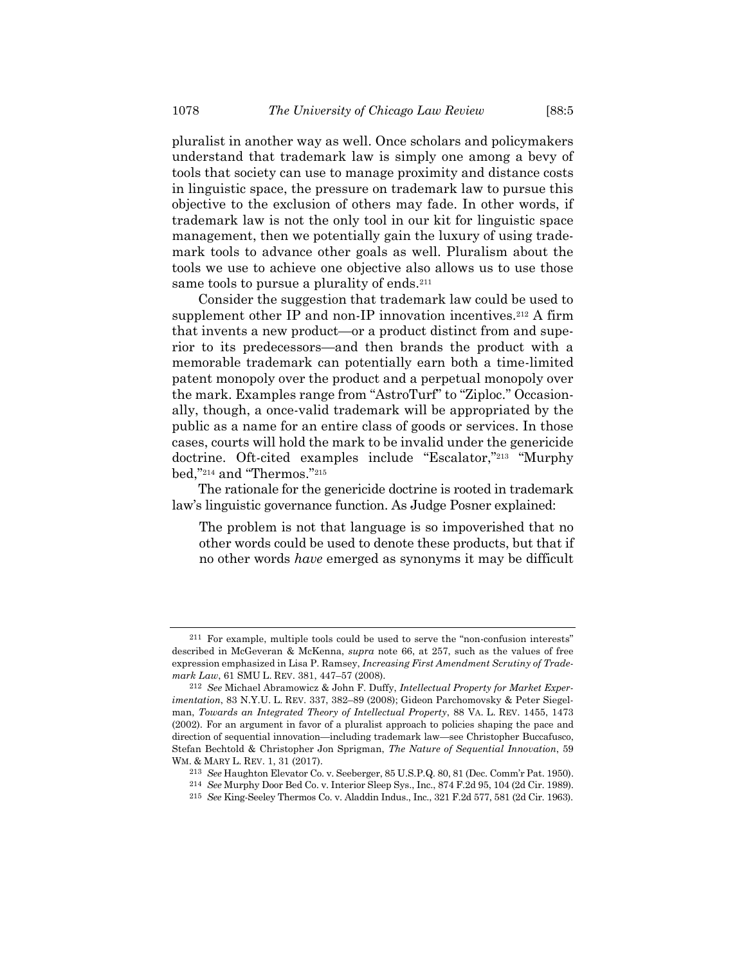pluralist in another way as well. Once scholars and policymakers understand that trademark law is simply one among a bevy of tools that society can use to manage proximity and distance costs in linguistic space, the pressure on trademark law to pursue this objective to the exclusion of others may fade. In other words, if trademark law is not the only tool in our kit for linguistic space management, then we potentially gain the luxury of using trademark tools to advance other goals as well. Pluralism about the tools we use to achieve one objective also allows us to use those same tools to pursue a plurality of ends.<sup>211</sup>

Consider the suggestion that trademark law could be used to supplement other IP and non-IP innovation incentives.<sup>212</sup> A firm that invents a new product—or a product distinct from and superior to its predecessors—and then brands the product with a memorable trademark can potentially earn both a time-limited patent monopoly over the product and a perpetual monopoly over the mark. Examples range from "AstroTurf" to "Ziploc." Occasionally, though, a once-valid trademark will be appropriated by the public as a name for an entire class of goods or services. In those cases, courts will hold the mark to be invalid under the genericide doctrine. Oft-cited examples include "Escalator," <sup>213</sup> "Murphy bed," <sup>214</sup> and "Thermos." 215

The rationale for the genericide doctrine is rooted in trademark law's linguistic governance function. As Judge Posner explained:

The problem is not that language is so impoverished that no other words could be used to denote these products, but that if no other words *have* emerged as synonyms it may be difficult

<sup>211</sup> For example, multiple tools could be used to serve the "non-confusion interests" described in McGeveran & McKenna, *supra* note [66,](#page-19-1) at 257, such as the values of free expression emphasized in Lisa P. Ramsey, *Increasing First Amendment Scrutiny of Trademark Law*, 61 SMU L. REV. 381, 447–57 (2008).

<sup>212</sup> *See* Michael Abramowicz & John F. Duffy, *Intellectual Property for Market Experimentation*, 83 N.Y.U. L. REV. 337, 382–89 (2008); Gideon Parchomovsky & Peter Siegelman, *Towards an Integrated Theory of Intellectual Property*, 88 VA. L. REV. 1455, 1473 (2002). For an argument in favor of a pluralist approach to policies shaping the pace and direction of sequential innovation—including trademark law—see Christopher Buccafusco, Stefan Bechtold & Christopher Jon Sprigman, *The Nature of Sequential Innovation*, 59 WM. & MARY L. REV. 1, 31 (2017).

<sup>213</sup> *See* Haughton Elevator Co. v. Seeberger, 85 U.S.P.Q. 80, 81 (Dec. Comm'r Pat. 1950).

<sup>214</sup> *See* Murphy Door Bed Co. v. Interior Sleep Sys., Inc., 874 F.2d 95, 104 (2d Cir. 1989).

<sup>215</sup> *See* King-Seeley Thermos Co. v. Aladdin Indus., Inc., 321 F.2d 577, 581 (2d Cir. 1963).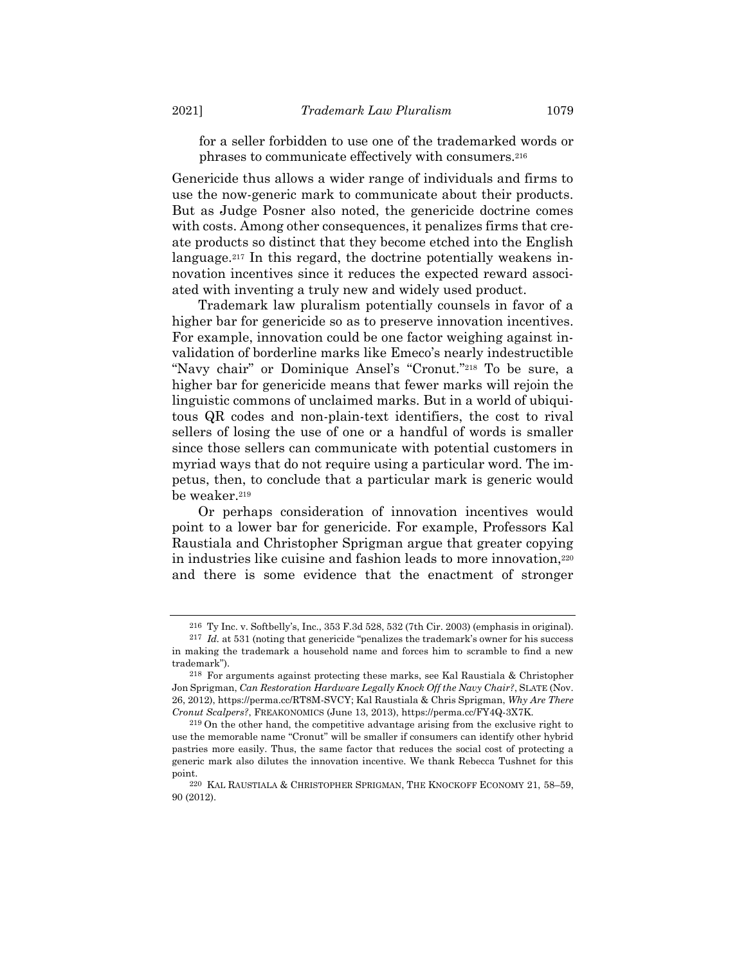for a seller forbidden to use one of the trademarked words or phrases to communicate effectively with consumers.<sup>216</sup>

Genericide thus allows a wider range of individuals and firms to use the now-generic mark to communicate about their products. But as Judge Posner also noted, the genericide doctrine comes with costs. Among other consequences, it penalizes firms that create products so distinct that they become etched into the English language.<sup>217</sup> In this regard, the doctrine potentially weakens innovation incentives since it reduces the expected reward associated with inventing a truly new and widely used product.

Trademark law pluralism potentially counsels in favor of a higher bar for genericide so as to preserve innovation incentives. For example, innovation could be one factor weighing against invalidation of borderline marks like Emeco's nearly indestructible "Navy chair" or Dominique Ansel's "Cronut." <sup>218</sup> To be sure, a higher bar for genericide means that fewer marks will rejoin the linguistic commons of unclaimed marks. But in a world of ubiquitous QR codes and non-plain-text identifiers, the cost to rival sellers of losing the use of one or a handful of words is smaller since those sellers can communicate with potential customers in myriad ways that do not require using a particular word. The impetus, then, to conclude that a particular mark is generic would be weaker.<sup>219</sup>

Or perhaps consideration of innovation incentives would point to a lower bar for genericide. For example, Professors Kal Raustiala and Christopher Sprigman argue that greater copying in industries like cuisine and fashion leads to more innovation,<sup>220</sup> and there is some evidence that the enactment of stronger

<sup>216</sup> Ty Inc. v. Softbelly's, Inc., 353 F.3d 528, 532 (7th Cir. 2003) (emphasis in original).

<sup>217</sup> *Id.* at 531 (noting that genericide "penalizes the trademark's owner for his success in making the trademark a household name and forces him to scramble to find a new trademark").

<sup>218</sup> For arguments against protecting these marks, see Kal Raustiala & Christopher Jon Sprigman, *Can Restoration Hardware Legally Knock Off the Navy Chair?*, SLATE (Nov. 26, 2012), https://perma.cc/RT8M-SVCY; Kal Raustiala & Chris Sprigman, *Why Are There Cronut Scalpers?*, FREAKONOMICS (June 13, 2013), https://perma.cc/FY4Q-3X7K.

<sup>219</sup> On the other hand, the competitive advantage arising from the exclusive right to use the memorable name "Cronut" will be smaller if consumers can identify other hybrid pastries more easily. Thus, the same factor that reduces the social cost of protecting a generic mark also dilutes the innovation incentive. We thank Rebecca Tushnet for this point.

<sup>220</sup> KAL RAUSTIALA & CHRISTOPHER SPRIGMAN, THE KNOCKOFF ECONOMY 21, 58–59, 90 (2012).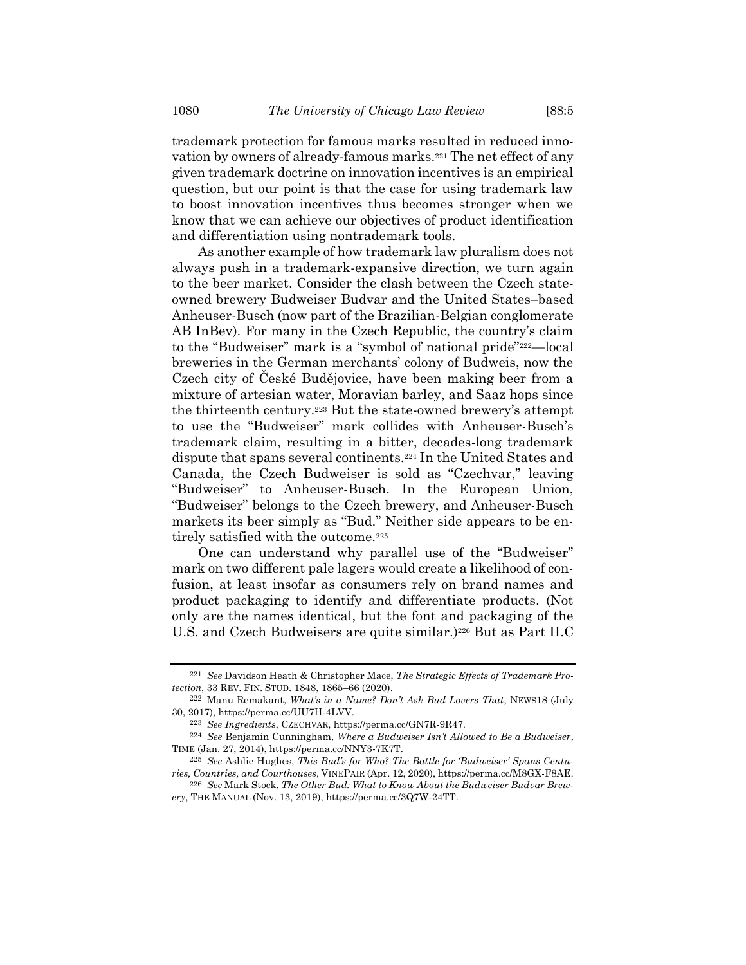trademark protection for famous marks resulted in reduced innovation by owners of already-famous marks.<sup>221</sup> The net effect of any given trademark doctrine on innovation incentives is an empirical question, but our point is that the case for using trademark law to boost innovation incentives thus becomes stronger when we know that we can achieve our objectives of product identification and differentiation using nontrademark tools.

As another example of how trademark law pluralism does not always push in a trademark-expansive direction, we turn again to the beer market. Consider the clash between the Czech stateowned brewery Budweiser Budvar and the United States–based Anheuser-Busch (now part of the Brazilian-Belgian conglomerate AB InBev). For many in the Czech Republic, the country's claim to the "Budweiser" mark is a "symbol of national pride"222—local breweries in the German merchants' colony of Budweis, now the Czech city of České Budějovice, have been making beer from a mixture of artesian water, Moravian barley, and Saaz hops since the thirteenth century.<sup>223</sup> But the state-owned brewery's attempt to use the "Budweiser" mark collides with Anheuser-Busch's trademark claim, resulting in a bitter, decades-long trademark dispute that spans several continents.<sup>224</sup> In the United States and Canada, the Czech Budweiser is sold as "Czechvar," leaving "Budweiser" to Anheuser-Busch. In the European Union, "Budweiser" belongs to the Czech brewery, and Anheuser-Busch markets its beer simply as "Bud." Neither side appears to be entirely satisfied with the outcome.<sup>225</sup>

One can understand why parallel use of the "Budweiser" mark on two different pale lagers would create a likelihood of confusion, at least insofar as consumers rely on brand names and product packaging to identify and differentiate products. (Not only are the names identical, but the font and packaging of the U.S. and Czech Budweisers are quite similar.) <sup>226</sup> But as Part II.C

<sup>221</sup> *See* Davidson Heath & Christopher Mace, *The Strategic Effects of Trademark Protection*, 33 REV. FIN. STUD. 1848, 1865–66 (2020).

<sup>222</sup> Manu Remakant, *What's in a Name? Don't Ask Bud Lovers That*, NEWS18 (July 30, 2017), https://perma.cc/UU7H-4LVV.

<sup>223</sup> *See Ingredients*, CZECHVAR, https://perma.cc/GN7R-9R47.

<sup>224</sup> *See* Benjamin Cunningham, *Where a Budweiser Isn't Allowed to Be a Budweiser*, TIME (Jan. 27, 2014), https://perma.cc/NNY3-7K7T.

<sup>225</sup> *See* Ashlie Hughes, *This Bud's for Who? The Battle for 'Budweiser' Spans Centuries, Countries, and Courthouses*, VINEPAIR (Apr. 12, 2020), https://perma.cc/M8GX-F8AE.

<sup>226</sup> *See* Mark Stock, *The Other Bud: What to Know About the Budweiser Budvar Brewery*, THE MANUAL (Nov. 13, 2019), https://perma.cc/3Q7W-24TT.